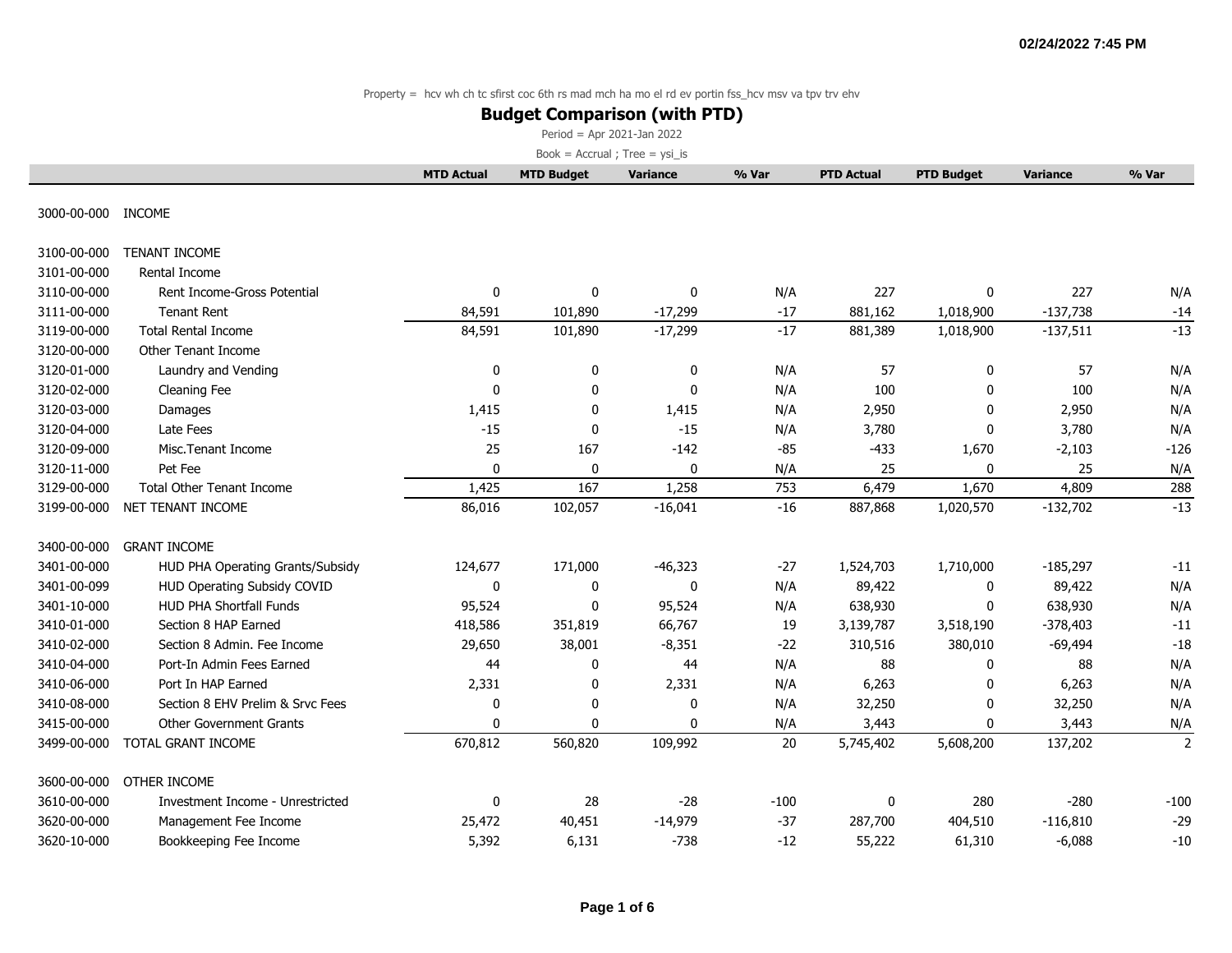### **Budget Comparison (with PTD)**

Period = Apr 2021-Jan 2022

|             |                                    | <b>MTD Actual</b> | <b>MTD Budget</b> | <b>Variance</b> | % Var  | <b>PTD Actual</b> | <b>PTD Budget</b> | <b>Variance</b> | % Var          |
|-------------|------------------------------------|-------------------|-------------------|-----------------|--------|-------------------|-------------------|-----------------|----------------|
| 3000-00-000 | INCOME                             |                   |                   |                 |        |                   |                   |                 |                |
|             |                                    |                   |                   |                 |        |                   |                   |                 |                |
| 3100-00-000 | <b>TENANT INCOME</b>               |                   |                   |                 |        |                   |                   |                 |                |
| 3101-00-000 | Rental Income                      |                   |                   |                 |        |                   |                   |                 |                |
| 3110-00-000 | Rent Income-Gross Potential        | 0                 | 0                 | 0               | N/A    | 227               | 0                 | 227             | N/A            |
| 3111-00-000 | <b>Tenant Rent</b>                 | 84,591            | 101,890           | $-17,299$       | $-17$  | 881,162           | 1,018,900         | $-137,738$      | $-14$          |
| 3119-00-000 | <b>Total Rental Income</b>         | 84,591            | 101,890           | $-17,299$       | $-17$  | 881,389           | 1,018,900         | $-137,511$      | $-13$          |
| 3120-00-000 | Other Tenant Income                |                   |                   |                 |        |                   |                   |                 |                |
| 3120-01-000 | Laundry and Vending                | 0                 | 0                 | 0               | N/A    | 57                | 0                 | 57              | N/A            |
| 3120-02-000 | Cleaning Fee                       | $\mathbf{0}$      | 0                 | $\mathbf{0}$    | N/A    | 100               | $\Omega$          | 100             | N/A            |
| 3120-03-000 | Damages                            | 1,415             | 0                 | 1,415           | N/A    | 2,950             | 0                 | 2,950           | N/A            |
| 3120-04-000 | Late Fees                          | $-15$             | 0                 | $-15$           | N/A    | 3,780             | $\mathbf{0}$      | 3,780           | N/A            |
| 3120-09-000 | Misc.Tenant Income                 | 25                | 167               | $-142$          | $-85$  | $-433$            | 1,670             | $-2,103$        | $-126$         |
| 3120-11-000 | Pet Fee                            | 0                 | 0                 | 0               | N/A    | 25                | 0                 | 25              | N/A            |
| 3129-00-000 | <b>Total Other Tenant Income</b>   | 1,425             | 167               | 1,258           | 753    | 6,479             | 1,670             | 4,809           | 288            |
| 3199-00-000 | NET TENANT INCOME                  | 86,016            | 102,057           | $-16,041$       | $-16$  | 887,868           | 1,020,570         | $-132,702$      | $-13$          |
| 3400-00-000 | <b>GRANT INCOME</b>                |                   |                   |                 |        |                   |                   |                 |                |
| 3401-00-000 | HUD PHA Operating Grants/Subsidy   | 124,677           | 171,000           | $-46,323$       | $-27$  | 1,524,703         | 1,710,000         | $-185,297$      | $-11$          |
| 3401-00-099 | <b>HUD Operating Subsidy COVID</b> | 0                 | 0                 | $\mathbf 0$     | N/A    | 89,422            | 0                 | 89,422          | N/A            |
| 3401-10-000 | <b>HUD PHA Shortfall Funds</b>     | 95,524            | 0                 | 95,524          | N/A    | 638,930           | 0                 | 638,930         | N/A            |
| 3410-01-000 | Section 8 HAP Earned               | 418,586           | 351,819           | 66,767          | 19     | 3,139,787         | 3,518,190         | $-378,403$      | $-11$          |
| 3410-02-000 | Section 8 Admin, Fee Income        | 29,650            | 38,001            | $-8,351$        | $-22$  | 310,516           | 380,010           | $-69,494$       | $-18$          |
| 3410-04-000 | Port-In Admin Fees Earned          | 44                | 0                 | 44              | N/A    | 88                | $\mathbf{0}$      | 88              | N/A            |
| 3410-06-000 | Port In HAP Earned                 | 2,331             | 0                 | 2,331           | N/A    | 6,263             | $\mathbf{0}$      | 6,263           | N/A            |
| 3410-08-000 | Section 8 EHV Prelim & Srvc Fees   | 0                 | 0                 | 0               | N/A    | 32,250            | 0                 | 32,250          | N/A            |
| 3415-00-000 | <b>Other Government Grants</b>     | $\mathbf{0}$      | 0                 | $\Omega$        | N/A    | 3,443             | $\mathbf{0}$      | 3,443           | N/A            |
| 3499-00-000 | TOTAL GRANT INCOME                 | 670,812           | 560,820           | 109,992         | 20     | 5,745,402         | 5,608,200         | 137,202         | $\overline{2}$ |
| 3600-00-000 | OTHER INCOME                       |                   |                   |                 |        |                   |                   |                 |                |
| 3610-00-000 | Investment Income - Unrestricted   | 0                 | 28                | $-28$           | $-100$ | 0                 | 280               | $-280$          | $-100$         |
| 3620-00-000 | Management Fee Income              | 25,472            | 40,451            | $-14,979$       | $-37$  | 287,700           | 404,510           | $-116,810$      | $-29$          |
| 3620-10-000 | Bookkeeping Fee Income             | 5,392             | 6,131             | $-738$          | $-12$  | 55,222            | 61,310            | $-6,088$        | $-10$          |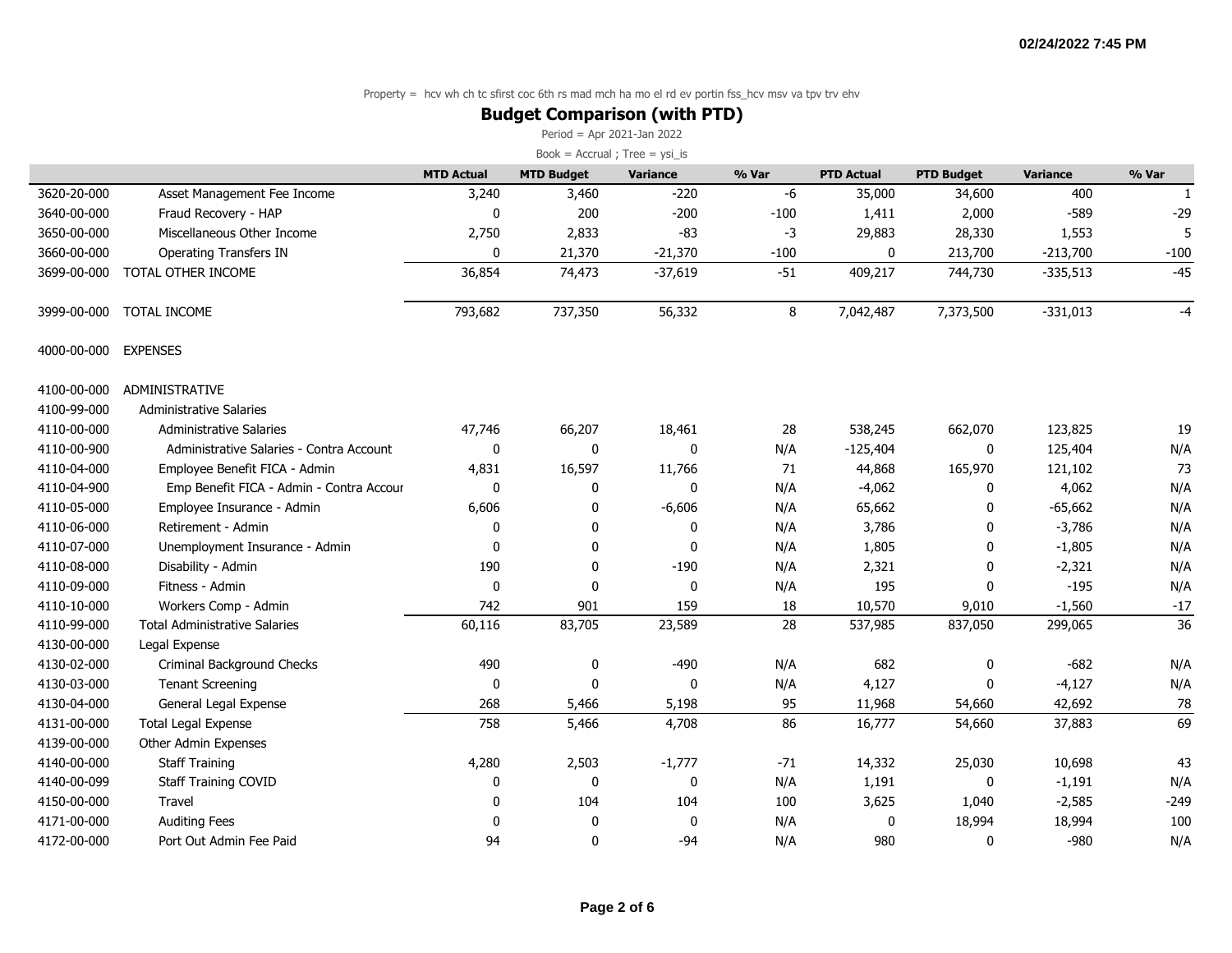### **Budget Comparison (with PTD)**

Period = Apr 2021-Jan 2022

|             |                                          | <b>MTD Actual</b> | <b>MTD Budget</b> | <b>Variance</b> | % Var  | <b>PTD Actual</b> | <b>PTD Budget</b> | <b>Variance</b> | % Var  |
|-------------|------------------------------------------|-------------------|-------------------|-----------------|--------|-------------------|-------------------|-----------------|--------|
| 3620-20-000 | Asset Management Fee Income              | 3,240             | 3,460             | $-220$          | -6     | 35,000            | 34,600            | 400             | 1      |
| 3640-00-000 | Fraud Recovery - HAP                     | $\mathbf{0}$      | 200               | $-200$          | $-100$ | 1,411             | 2,000             | $-589$          | $-29$  |
| 3650-00-000 | Miscellaneous Other Income               | 2,750             | 2,833             | $-83$           | $-3$   | 29,883            | 28,330            | 1,553           |        |
| 3660-00-000 | <b>Operating Transfers IN</b>            | $\mathbf{0}$      | 21,370            | $-21,370$       | $-100$ | 0                 | 213,700           | $-213,700$      | $-100$ |
| 3699-00-000 | TOTAL OTHER INCOME                       | 36,854            | 74,473            | $-37,619$       | $-51$  | 409,217           | 744,730           | $-335,513$      | $-45$  |
| 3999-00-000 | <b>TOTAL INCOME</b>                      | 793,682           | 737,350           | 56,332          | 8      | 7,042,487         | 7,373,500         | $-331,013$      | $-4$   |
| 4000-00-000 | <b>EXPENSES</b>                          |                   |                   |                 |        |                   |                   |                 |        |
| 4100-00-000 | <b>ADMINISTRATIVE</b>                    |                   |                   |                 |        |                   |                   |                 |        |
| 4100-99-000 | <b>Administrative Salaries</b>           |                   |                   |                 |        |                   |                   |                 |        |
| 4110-00-000 | <b>Administrative Salaries</b>           | 47,746            | 66,207            | 18,461          | 28     | 538,245           | 662,070           | 123,825         | 19     |
| 4110-00-900 | Administrative Salaries - Contra Account | $\mathbf 0$       | 0                 | $\mathbf 0$     | N/A    | $-125,404$        | $\mathbf 0$       | 125,404         | N/A    |
| 4110-04-000 | Employee Benefit FICA - Admin            | 4,831             | 16,597            | 11,766          | 71     | 44,868            | 165,970           | 121,102         | 73     |
| 4110-04-900 | Emp Benefit FICA - Admin - Contra Accour | $\mathbf 0$       | 0                 | $\mathbf 0$     | N/A    | $-4,062$          | 0                 | 4,062           | N/A    |
| 4110-05-000 | Employee Insurance - Admin               | 6,606             | 0                 | $-6,606$        | N/A    | 65,662            | $\mathbf{0}$      | $-65,662$       | N/A    |
| 4110-06-000 | Retirement - Admin                       | 0                 | 0                 | 0               | N/A    | 3,786             | $\mathbf{0}$      | $-3,786$        | N/A    |
| 4110-07-000 | Unemployment Insurance - Admin           | $\Omega$          | 0                 | $\Omega$        | N/A    | 1,805             | $\mathbf{0}$      | $-1,805$        | N/A    |
| 4110-08-000 | Disability - Admin                       | 190               | 0                 | $-190$          | N/A    | 2,321             | 0                 | $-2,321$        | N/A    |
| 4110-09-000 | Fitness - Admin                          | 0                 | 0                 | 0               | N/A    | 195               | 0                 | $-195$          | N/A    |
| 4110-10-000 | Workers Comp - Admin                     | 742               | 901               | 159             | 18     | 10,570            | 9,010             | $-1,560$        | $-17$  |
| 4110-99-000 | <b>Total Administrative Salaries</b>     | 60,116            | 83,705            | 23,589          | 28     | 537,985           | 837,050           | 299,065         | 36     |
| 4130-00-000 | Legal Expense                            |                   |                   |                 |        |                   |                   |                 |        |
| 4130-02-000 | Criminal Background Checks               | 490               | 0                 | $-490$          | N/A    | 682               | 0                 | $-682$          | N/A    |
| 4130-03-000 | <b>Tenant Screening</b>                  | $\mathbf 0$       | $\mathbf{0}$      | $\Omega$        | N/A    | 4,127             | $\Omega$          | $-4,127$        | N/A    |
| 4130-04-000 | General Legal Expense                    | 268               | 5,466             | 5,198           | 95     | 11,968            | 54,660            | 42,692          | 78     |
| 4131-00-000 | <b>Total Legal Expense</b>               | 758               | 5,466             | 4,708           | 86     | 16,777            | 54,660            | 37,883          | 69     |
| 4139-00-000 | Other Admin Expenses                     |                   |                   |                 |        |                   |                   |                 |        |
| 4140-00-000 | <b>Staff Training</b>                    | 4,280             | 2,503             | $-1,777$        | $-71$  | 14,332            | 25,030            | 10,698          | 43     |
| 4140-00-099 | Staff Training COVID                     | 0                 | 0                 | $\mathbf 0$     | N/A    | 1,191             | 0                 | $-1,191$        | N/A    |
| 4150-00-000 | Travel                                   | 0                 | 104               | 104             | 100    | 3,625             | 1,040             | $-2,585$        | $-249$ |
| 4171-00-000 | <b>Auditing Fees</b>                     | $\Omega$          | 0                 | $\mathbf 0$     | N/A    | 0                 | 18,994            | 18,994          | 100    |
| 4172-00-000 | Port Out Admin Fee Paid                  | 94                | 0                 | $-94$           | N/A    | 980               | 0                 | $-980$          | N/A    |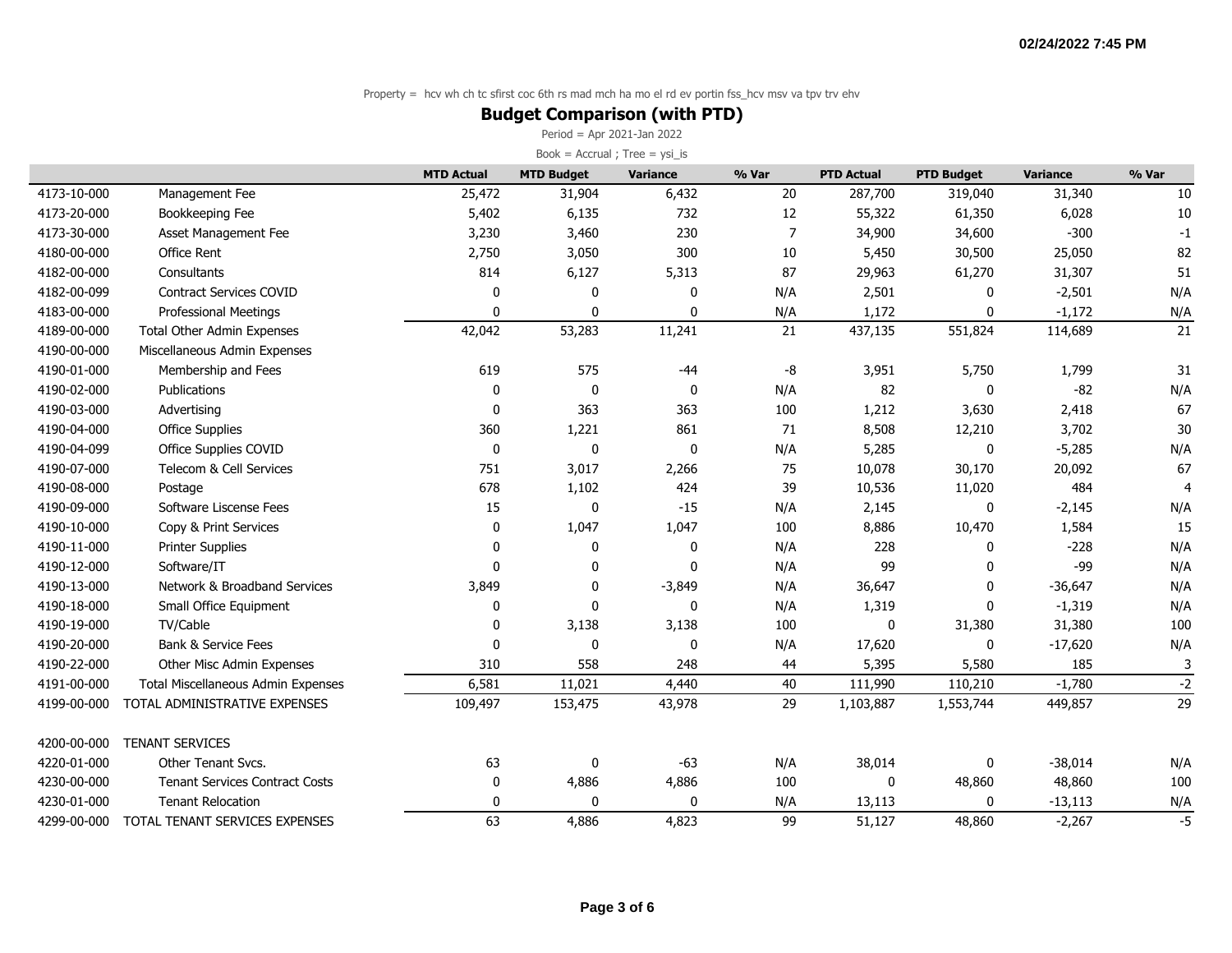### **Budget Comparison (with PTD)**

Period = Apr 2021-Jan 2022

|             |                                           | <b>MTD Actual</b> | <b>MTD Budget</b> | <b>Variance</b> | % Var | <b>PTD Actual</b> | <b>PTD Budget</b> | <b>Variance</b> | % Var |
|-------------|-------------------------------------------|-------------------|-------------------|-----------------|-------|-------------------|-------------------|-----------------|-------|
| 4173-10-000 | Management Fee                            | 25,472            | 31,904            | 6,432           | 20    | 287,700           | 319,040           | 31,340          | 10    |
| 4173-20-000 | Bookkeeping Fee                           | 5,402             | 6,135             | 732             | 12    | 55,322            | 61,350            | 6,028           | 10    |
| 4173-30-000 | Asset Management Fee                      | 3,230             | 3,460             | 230             | 7     | 34,900            | 34,600            | $-300$          | $-1$  |
| 4180-00-000 | Office Rent                               | 2,750             | 3,050             | 300             | 10    | 5,450             | 30,500            | 25,050          | 82    |
| 4182-00-000 | Consultants                               | 814               | 6,127             | 5,313           | 87    | 29,963            | 61,270            | 31,307          | 51    |
| 4182-00-099 | <b>Contract Services COVID</b>            | 0                 | 0                 | 0               | N/A   | 2,501             | $\Omega$          | $-2,501$        | N/A   |
| 4183-00-000 | <b>Professional Meetings</b>              | $\mathbf{0}$      | $\Omega$          | 0               | N/A   | 1,172             | $\mathbf 0$       | $-1,172$        | N/A   |
| 4189-00-000 | <b>Total Other Admin Expenses</b>         | 42,042            | 53,283            | 11,241          | 21    | 437,135           | 551,824           | 114,689         | 21    |
| 4190-00-000 | Miscellaneous Admin Expenses              |                   |                   |                 |       |                   |                   |                 |       |
| 4190-01-000 | Membership and Fees                       | 619               | 575               | $-44$           | -8    | 3,951             | 5,750             | 1,799           | 31    |
| 4190-02-000 | Publications                              | $\mathbf{0}$      | 0                 | 0               | N/A   | 82                | $\mathbf 0$       | $-82$           | N/A   |
| 4190-03-000 | Advertising                               | $\mathbf{0}$      | 363               | 363             | 100   | 1,212             | 3,630             | 2,418           | 67    |
| 4190-04-000 | <b>Office Supplies</b>                    | 360               | 1,221             | 861             | 71    | 8,508             | 12,210            | 3,702           | 30    |
| 4190-04-099 | Office Supplies COVID                     | $\mathbf 0$       | 0                 | 0               | N/A   | 5,285             | 0                 | $-5,285$        | N/A   |
| 4190-07-000 | Telecom & Cell Services                   | 751               | 3,017             | 2,266           | 75    | 10,078            | 30,170            | 20,092          | 67    |
| 4190-08-000 | Postage                                   | 678               | 1,102             | 424             | 39    | 10,536            | 11,020            | 484             | 4     |
| 4190-09-000 | Software Liscense Fees                    | 15                | 0                 | $-15$           | N/A   | 2,145             | $\mathbf 0$       | $-2,145$        | N/A   |
| 4190-10-000 | Copy & Print Services                     | 0                 | 1,047             | 1,047           | 100   | 8,886             | 10,470            | 1,584           | 15    |
| 4190-11-000 | <b>Printer Supplies</b>                   | $\mathbf{0}$      | 0                 | 0               | N/A   | 228               | 0                 | $-228$          | N/A   |
| 4190-12-000 | Software/IT                               | $\mathbf{0}$      | 0                 | 0               | N/A   | 99                | $\Omega$          | -99             | N/A   |
| 4190-13-000 | Network & Broadband Services              | 3,849             | 0                 | $-3,849$        | N/A   | 36,647            | n                 | $-36,647$       | N/A   |
| 4190-18-000 | Small Office Equipment                    | $\mathbf{0}$      | 0                 | 0               | N/A   | 1,319             | $\Omega$          | $-1,319$        | N/A   |
| 4190-19-000 | TV/Cable                                  | 0                 | 3,138             | 3,138           | 100   | $\mathbf 0$       | 31,380            | 31,380          | 100   |
| 4190-20-000 | Bank & Service Fees                       | $\mathbf 0$       | 0                 | 0               | N/A   | 17,620            | 0                 | $-17,620$       | N/A   |
| 4190-22-000 | Other Misc Admin Expenses                 | 310               | 558               | 248             | 44    | 5,395             | 5,580             | 185             | 3     |
| 4191-00-000 | <b>Total Miscellaneous Admin Expenses</b> | 6,581             | 11,021            | 4,440           | 40    | 111,990           | 110,210           | $-1,780$        | $-2$  |
| 4199-00-000 | TOTAL ADMINISTRATIVE EXPENSES             | 109,497           | 153,475           | 43,978          | 29    | 1,103,887         | 1,553,744         | 449,857         | 29    |
| 4200-00-000 | <b>TENANT SERVICES</b>                    |                   |                   |                 |       |                   |                   |                 |       |
| 4220-01-000 | Other Tenant Svcs.                        | 63                | 0                 | $-63$           | N/A   | 38,014            | $\mathbf 0$       | $-38,014$       | N/A   |
| 4230-00-000 | <b>Tenant Services Contract Costs</b>     | 0                 | 4,886             | 4,886           | 100   | $\mathbf 0$       | 48,860            | 48,860          | 100   |
| 4230-01-000 | <b>Tenant Relocation</b>                  | 0                 | 0                 | 0               | N/A   | 13,113            | $\mathbf 0$       | $-13,113$       | N/A   |
| 4299-00-000 | TOTAL TENANT SERVICES EXPENSES            | 63                | 4,886             | 4,823           | 99    | 51,127            | 48,860            | $-2,267$        | $-5$  |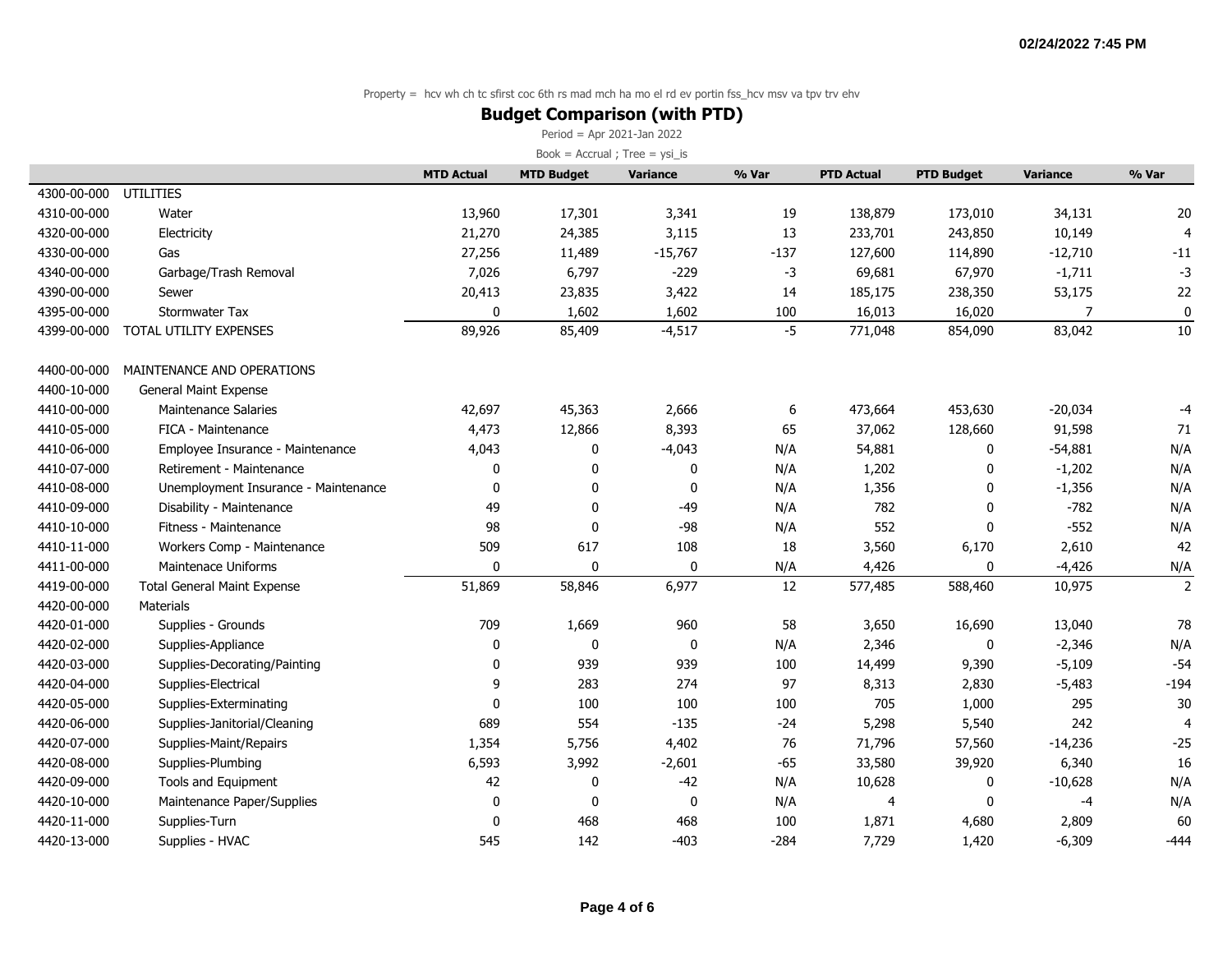### **Budget Comparison (with PTD)**

Period = Apr 2021-Jan 2022

|             |                                      | <b>MTD Actual</b> | <b>MTD Budget</b> | <b>Variance</b> | % Var  | <b>PTD Actual</b> | <b>PTD Budget</b> | <b>Variance</b> | % Var          |
|-------------|--------------------------------------|-------------------|-------------------|-----------------|--------|-------------------|-------------------|-----------------|----------------|
| 4300-00-000 | UTILITIES                            |                   |                   |                 |        |                   |                   |                 |                |
| 4310-00-000 | Water                                | 13,960            | 17,301            | 3,341           | 19     | 138,879           | 173,010           | 34,131          | 20             |
| 4320-00-000 | Electricity                          | 21,270            | 24,385            | 3,115           | 13     | 233,701           | 243,850           | 10,149          | $\overline{4}$ |
| 4330-00-000 | Gas                                  | 27,256            | 11,489            | $-15,767$       | $-137$ | 127,600           | 114,890           | $-12,710$       | $-11$          |
| 4340-00-000 | Garbage/Trash Removal                | 7,026             | 6,797             | $-229$          | -3     | 69,681            | 67,970            | $-1,711$        | $-3$           |
| 4390-00-000 | Sewer                                | 20,413            | 23,835            | 3,422           | 14     | 185,175           | 238,350           | 53,175          | 22             |
| 4395-00-000 | Stormwater Tax                       | 0                 | 1,602             | 1,602           | 100    | 16,013            | 16,020            | 7               | $\pmb{0}$      |
| 4399-00-000 | TOTAL UTILITY EXPENSES               | 89,926            | 85,409            | $-4,517$        | $-5$   | 771,048           | 854,090           | 83,042          | 10             |
| 4400-00-000 | MAINTENANCE AND OPERATIONS           |                   |                   |                 |        |                   |                   |                 |                |
| 4400-10-000 | General Maint Expense                |                   |                   |                 |        |                   |                   |                 |                |
| 4410-00-000 | <b>Maintenance Salaries</b>          | 42,697            | 45,363            | 2,666           | 6      | 473,664           | 453,630           | $-20,034$       | $-4$           |
| 4410-05-000 | FICA - Maintenance                   | 4,473             | 12,866            | 8,393           | 65     | 37,062            | 128,660           | 91,598          | 71             |
| 4410-06-000 | Employee Insurance - Maintenance     | 4,043             | 0                 | $-4,043$        | N/A    | 54,881            | 0                 | $-54,881$       | N/A            |
| 4410-07-000 | Retirement - Maintenance             | 0                 | 0                 | 0               | N/A    | 1,202             | 0                 | $-1,202$        | N/A            |
| 4410-08-000 | Unemployment Insurance - Maintenance | 0                 | 0                 | 0               | N/A    | 1,356             | $\mathbf{0}$      | $-1,356$        | N/A            |
| 4410-09-000 | Disability - Maintenance             | 49                | 0                 | $-49$           | N/A    | 782               | 0                 | $-782$          | N/A            |
| 4410-10-000 | Fitness - Maintenance                | 98                | 0                 | $-98$           | N/A    | 552               | $\mathbf{0}$      | $-552$          | N/A            |
| 4410-11-000 | Workers Comp - Maintenance           | 509               | 617               | 108             | 18     | 3,560             | 6,170             | 2,610           | 42             |
| 4411-00-000 | <b>Maintenace Uniforms</b>           | $\mathbf{0}$      | 0                 | 0               | N/A    | 4,426             | 0                 | $-4,426$        | N/A            |
| 4419-00-000 | <b>Total General Maint Expense</b>   | 51,869            | 58,846            | 6,977           | 12     | 577,485           | 588,460           | 10,975          | $\overline{2}$ |
| 4420-00-000 | <b>Materials</b>                     |                   |                   |                 |        |                   |                   |                 |                |
| 4420-01-000 | Supplies - Grounds                   | 709               | 1,669             | 960             | 58     | 3,650             | 16,690            | 13,040          | 78             |
| 4420-02-000 | Supplies-Appliance                   | $\mathbf 0$       | 0                 | 0               | N/A    | 2,346             | 0                 | $-2,346$        | N/A            |
| 4420-03-000 | Supplies-Decorating/Painting         | $\mathbf 0$       | 939               | 939             | 100    | 14,499            | 9,390             | $-5,109$        | $-54$          |
| 4420-04-000 | Supplies-Electrical                  | 9                 | 283               | 274             | 97     | 8,313             | 2,830             | $-5,483$        | $-194$         |
| 4420-05-000 | Supplies-Exterminating               | $\mathbf 0$       | 100               | 100             | 100    | 705               | 1,000             | 295             | 30             |
| 4420-06-000 | Supplies-Janitorial/Cleaning         | 689               | 554               | $-135$          | $-24$  | 5,298             | 5,540             | 242             | $\overline{4}$ |
| 4420-07-000 | Supplies-Maint/Repairs               | 1,354             | 5,756             | 4,402           | 76     | 71,796            | 57,560            | $-14,236$       | $-25$          |
| 4420-08-000 | Supplies-Plumbing                    | 6,593             | 3,992             | $-2,601$        | $-65$  | 33,580            | 39,920            | 6,340           | 16             |
| 4420-09-000 | Tools and Equipment                  | 42                | 0                 | $-42$           | N/A    | 10,628            | 0                 | $-10,628$       | N/A            |
| 4420-10-000 | Maintenance Paper/Supplies           | 0                 | 0                 | 0               | N/A    | $\overline{4}$    | 0                 | -4              | N/A            |
| 4420-11-000 | Supplies-Turn                        | $\mathbf{0}$      | 468               | 468             | 100    | 1,871             | 4,680             | 2,809           | 60             |
| 4420-13-000 | Supplies - HVAC                      | 545               | 142               | $-403$          | $-284$ | 7,729             | 1,420             | $-6,309$        | $-444$         |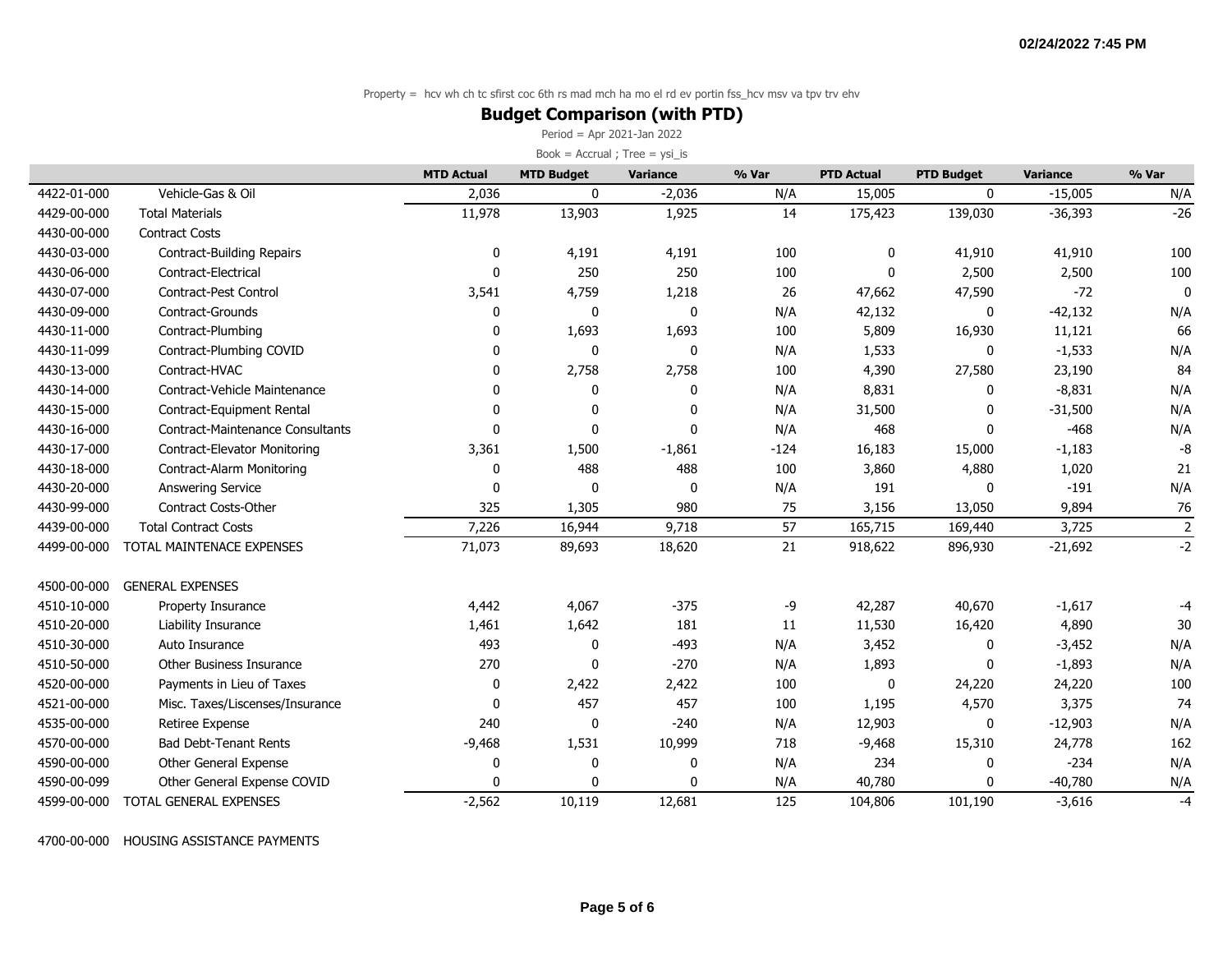### **Budget Comparison (with PTD)**

Period = Apr 2021-Jan 2022

Book =  $Accrual$ ; Tree =  $ysi_is$ 

|             |                                  | <b>MTD Actual</b> | <b>MTD Budget</b> | Variance     | % Var  | <b>PTD Actual</b> | <b>PTD Budget</b> | <b>Variance</b> | % Var          |
|-------------|----------------------------------|-------------------|-------------------|--------------|--------|-------------------|-------------------|-----------------|----------------|
| 4422-01-000 | Vehicle-Gas & Oil                | 2,036             | $\mathbf{0}$      | $-2,036$     | N/A    | 15,005            | $\mathbf{0}$      | $-15,005$       | N/A            |
| 4429-00-000 | <b>Total Materials</b>           | 11,978            | 13,903            | 1,925        | 14     | 175,423           | 139,030           | $-36,393$       | $-26$          |
| 4430-00-000 | <b>Contract Costs</b>            |                   |                   |              |        |                   |                   |                 |                |
| 4430-03-000 | Contract-Building Repairs        | 0                 | 4,191             | 4,191        | 100    | 0                 | 41,910            | 41,910          | 100            |
| 4430-06-000 | Contract-Electrical              | $\Omega$          | 250               | 250          | 100    | $\Omega$          | 2,500             | 2,500           | 100            |
| 4430-07-000 | <b>Contract-Pest Control</b>     | 3,541             | 4,759             | 1,218        | 26     | 47,662            | 47,590            | $-72$           | $\mathbf{0}$   |
| 4430-09-000 | Contract-Grounds                 | $\Omega$          | 0                 | 0            | N/A    | 42,132            | 0                 | $-42,132$       | N/A            |
| 4430-11-000 | Contract-Plumbing                | $\mathbf{0}$      | 1,693             | 1,693        | 100    | 5,809             | 16,930            | 11,121          | 66             |
| 4430-11-099 | Contract-Plumbing COVID          | 0                 | 0                 | 0            | N/A    | 1,533             | 0                 | $-1,533$        | N/A            |
| 4430-13-000 | Contract-HVAC                    | 0                 | 2,758             | 2,758        | 100    | 4,390             | 27,580            | 23,190          | 84             |
| 4430-14-000 | Contract-Vehicle Maintenance     | $\mathbf{0}$      | 0                 | 0            | N/A    | 8,831             | 0                 | $-8,831$        | N/A            |
| 4430-15-000 | Contract-Equipment Rental        | $\Omega$          | 0                 | $\Omega$     | N/A    | 31,500            | 0                 | $-31,500$       | N/A            |
| 4430-16-000 | Contract-Maintenance Consultants | $\Omega$          | 0                 | $\mathbf{0}$ | N/A    | 468               | 0                 | $-468$          | N/A            |
| 4430-17-000 | Contract-Elevator Monitoring     | 3,361             | 1,500             | $-1,861$     | $-124$ | 16,183            | 15,000            | $-1,183$        | -8             |
| 4430-18-000 | <b>Contract-Alarm Monitoring</b> | $\mathbf{0}$      | 488               | 488          | 100    | 3,860             | 4,880             | 1,020           | 21             |
| 4430-20-000 | <b>Answering Service</b>         | $\mathbf{0}$      | $\mathbf 0$       | $\mathbf{0}$ | N/A    | 191               | 0                 | $-191$          | N/A            |
| 4430-99-000 | Contract Costs-Other             | 325               | 1,305             | 980          | 75     | 3,156             | 13,050            | 9,894           | 76             |
| 4439-00-000 | <b>Total Contract Costs</b>      | 7,226             | 16,944            | 9,718        | 57     | 165,715           | 169,440           | 3,725           | $\overline{2}$ |
| 4499-00-000 | TOTAL MAINTENACE EXPENSES        | 71,073            | 89,693            | 18,620       | 21     | 918,622           | 896,930           | $-21,692$       | $-2$           |
| 4500-00-000 | <b>GENERAL EXPENSES</b>          |                   |                   |              |        |                   |                   |                 |                |
| 4510-10-000 | Property Insurance               | 4,442             | 4,067             | $-375$       | -9     | 42,287            | 40,670            | $-1,617$        | -4             |
| 4510-20-000 | Liability Insurance              | 1,461             | 1,642             | 181          | 11     | 11,530            | 16,420            | 4,890           | 30             |
| 4510-30-000 | Auto Insurance                   | 493               | 0                 | $-493$       | N/A    | 3,452             | 0                 | $-3,452$        | N/A            |
| 4510-50-000 | Other Business Insurance         | 270               | 0                 | $-270$       | N/A    | 1,893             | 0                 | $-1,893$        | N/A            |
| 4520-00-000 | Payments in Lieu of Taxes        | 0                 | 2,422             | 2,422        | 100    | 0                 | 24,220            | 24,220          | 100            |
| 4521-00-000 | Misc. Taxes/Liscenses/Insurance  | $\mathbf{0}$      | 457               | 457          | 100    | 1,195             | 4,570             | 3,375           | 74             |
| 4535-00-000 | Retiree Expense                  | 240               | 0                 | $-240$       | N/A    | 12,903            | 0                 | $-12,903$       | N/A            |
| 4570-00-000 | <b>Bad Debt-Tenant Rents</b>     | $-9,468$          | 1,531             | 10,999       | 718    | $-9,468$          | 15,310            | 24,778          | 162            |
| 4590-00-000 | Other General Expense            | 0                 | 0                 | 0            | N/A    | 234               | 0                 | $-234$          | N/A            |
| 4590-00-099 | Other General Expense COVID      | $\Omega$          | 0                 | $\mathbf 0$  | N/A    | 40,780            | $\Omega$          | $-40,780$       | N/A            |
| 4599-00-000 | TOTAL GENERAL EXPENSES           | $-2,562$          | 10,119            | 12,681       | 125    | 104,806           | 101,190           | $-3,616$        | $-4$           |

4700-00-000 HOUSING ASSISTANCE PAYMENTS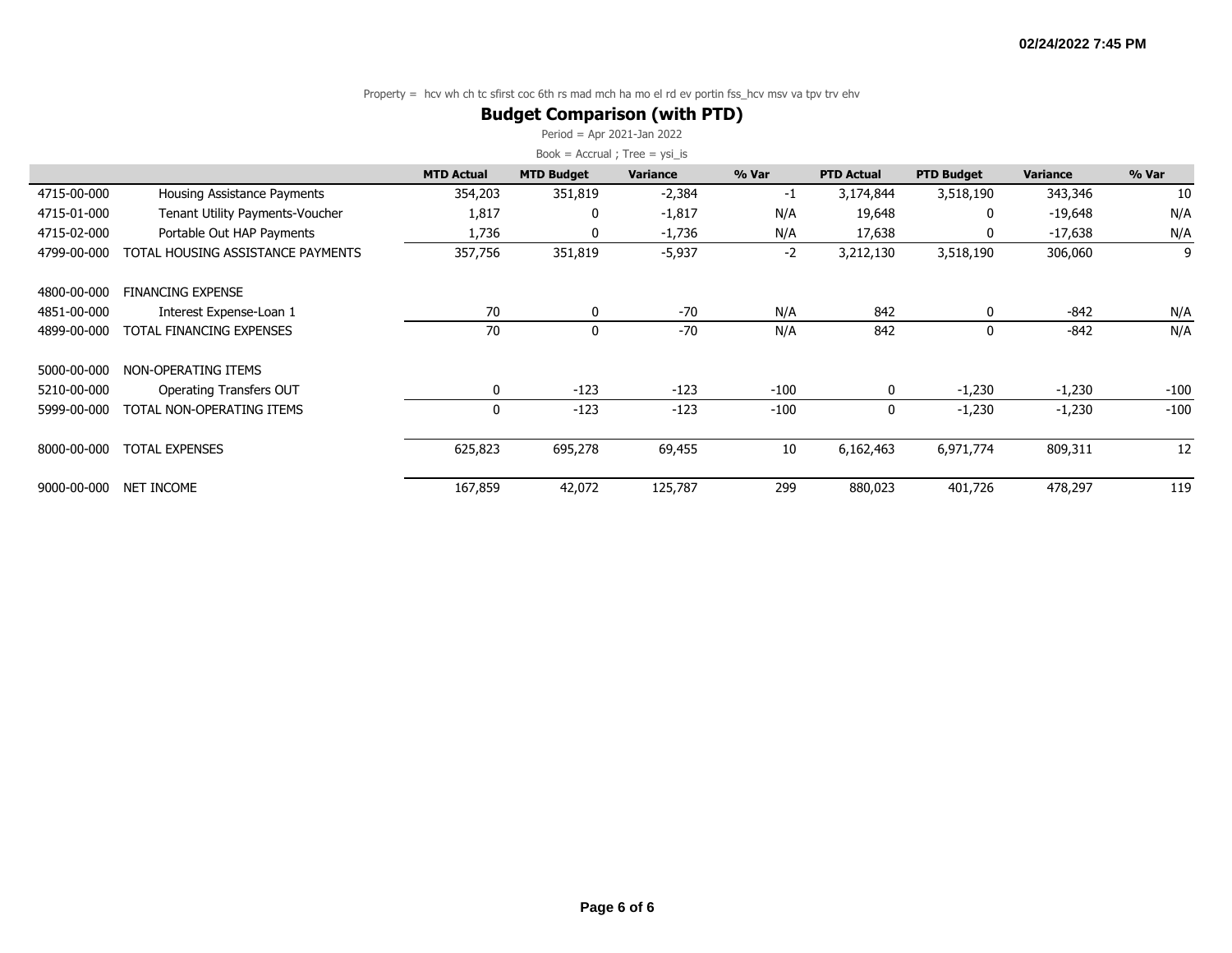### **Budget Comparison (with PTD)**

Period = Apr 2021-Jan 2022

|             |                                        | <b>MTD Actual</b> | <b>MTD Budget</b> | Variance | % Var  | <b>PTD Actual</b> | <b>PTD Budget</b> | <b>Variance</b> | % Var  |
|-------------|----------------------------------------|-------------------|-------------------|----------|--------|-------------------|-------------------|-----------------|--------|
| 4715-00-000 | Housing Assistance Payments            | 354,203           | 351,819           | $-2,384$ | $-1$   | 3,174,844         | 3,518,190         | 343,346         | 10     |
| 4715-01-000 | <b>Tenant Utility Payments-Voucher</b> | 1,817             | 0                 | $-1,817$ | N/A    | 19,648            | 0                 | -19,648         | N/A    |
| 4715-02-000 | Portable Out HAP Payments              | 1,736             | 0                 | $-1,736$ | N/A    | 17,638            | 0                 | $-17,638$       | N/A    |
| 4799-00-000 | TOTAL HOUSING ASSISTANCE PAYMENTS      | 357,756           | 351,819           | $-5,937$ | $-2$   | 3,212,130         | 3,518,190         | 306,060         | 9      |
| 4800-00-000 | <b>FINANCING EXPENSE</b>               |                   |                   |          |        |                   |                   |                 |        |
| 4851-00-000 | Interest Expense-Loan 1                | 70                | 0                 | $-70$    | N/A    | 842               | $\Omega$          | $-842$          | N/A    |
| 4899-00-000 | TOTAL FINANCING EXPENSES               | 70                | 0                 | $-70$    | N/A    | 842               | 0                 | $-842$          | N/A    |
| 5000-00-000 | NON-OPERATING ITEMS                    |                   |                   |          |        |                   |                   |                 |        |
| 5210-00-000 | Operating Transfers OUT                | 0                 | $-123$            | $-123$   | $-100$ | $\mathbf{0}$      | $-1,230$          | $-1,230$        | $-100$ |
| 5999-00-000 | TOTAL NON-OPERATING ITEMS              | $\mathbf{0}$      | $-123$            | $-123$   | $-100$ | 0                 | $-1,230$          | $-1,230$        | $-100$ |
| 8000-00-000 | <b>TOTAL EXPENSES</b>                  | 625,823           | 695,278           | 69,455   | 10     | 6,162,463         | 6,971,774         | 809,311         | 12     |
| 9000-00-000 | NET INCOME                             | 167,859           | 42,072            | 125,787  | 299    | 880,023           | 401,726           | 478,297         | 119    |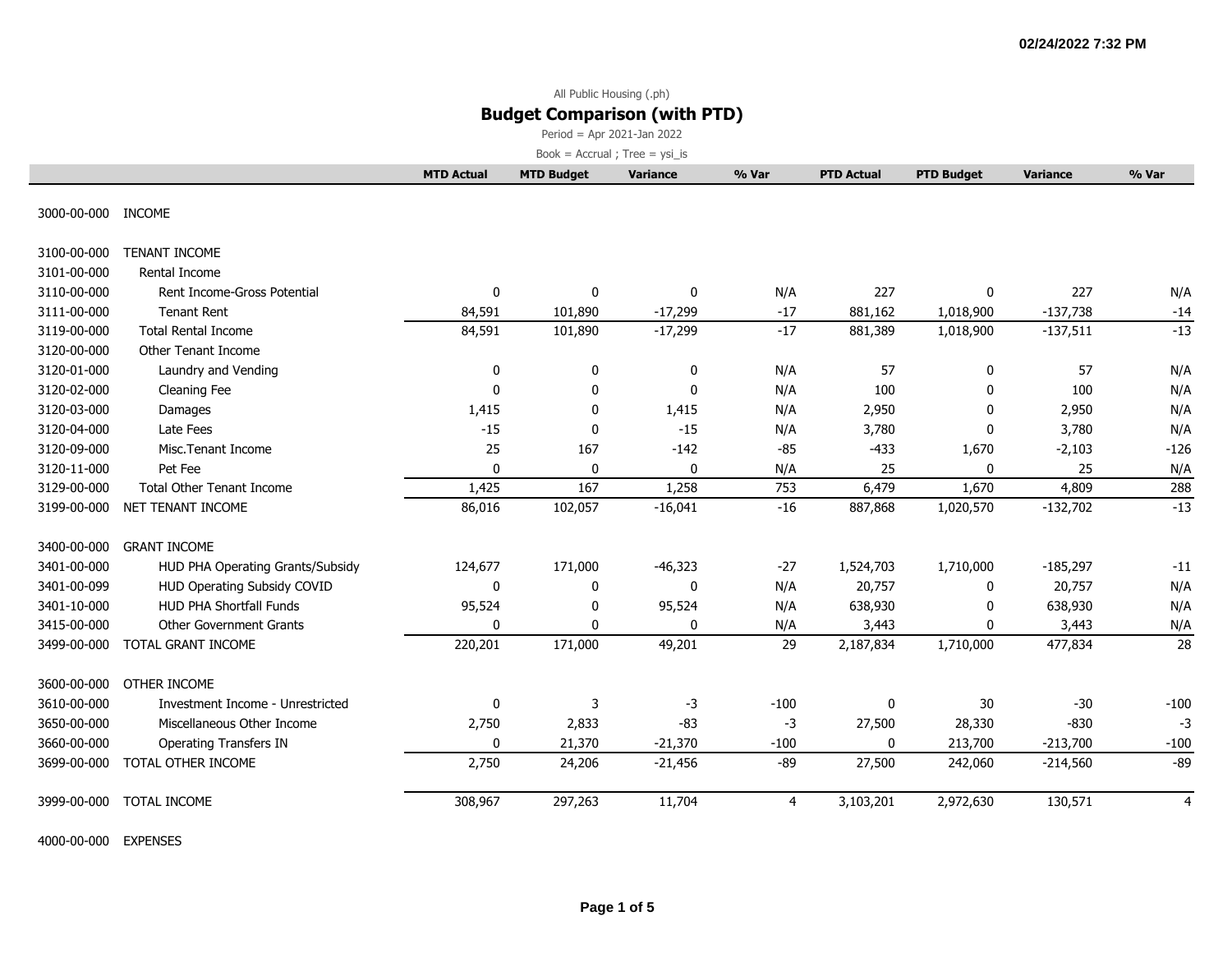Period = Apr 2021-Jan 2022

 $Book = Accrual ; Tree = ysi_is$ 

|                    |                                  | <b>MTD Actual</b> | <b>MTD Budget</b> | Variance     | % Var  | <b>PTD Actual</b> | <b>PTD Budget</b> | <b>Variance</b> | % Var  |
|--------------------|----------------------------------|-------------------|-------------------|--------------|--------|-------------------|-------------------|-----------------|--------|
| 3000-00-000 INCOME |                                  |                   |                   |              |        |                   |                   |                 |        |
|                    |                                  |                   |                   |              |        |                   |                   |                 |        |
| 3100-00-000        | <b>TENANT INCOME</b>             |                   |                   |              |        |                   |                   |                 |        |
| 3101-00-000        | Rental Income                    |                   |                   |              |        |                   |                   |                 |        |
| 3110-00-000        | Rent Income-Gross Potential      | 0                 | 0                 | 0            | N/A    | 227               | 0                 | 227             | N/A    |
| 3111-00-000        | <b>Tenant Rent</b>               | 84,591            | 101,890           | $-17,299$    | $-17$  | 881,162           | 1,018,900         | $-137,738$      | $-14$  |
| 3119-00-000        | <b>Total Rental Income</b>       | 84,591            | 101,890           | $-17,299$    | $-17$  | 881,389           | 1,018,900         | $-137,511$      | $-13$  |
| 3120-00-000        | Other Tenant Income              |                   |                   |              |        |                   |                   |                 |        |
| 3120-01-000        | Laundry and Vending              | 0                 | 0                 | $\mathbf 0$  | N/A    | 57                | $\mathbf 0$       | 57              | N/A    |
| 3120-02-000        | Cleaning Fee                     | 0                 | $\mathbf 0$       | $\mathbf 0$  | N/A    | 100               | $\mathbf 0$       | 100             | N/A    |
| 3120-03-000        | Damages                          | 1,415             | 0                 | 1,415        | N/A    | 2,950             | 0                 | 2,950           | N/A    |
| 3120-04-000        | Late Fees                        | $-15$             | 0                 | $-15$        | N/A    | 3,780             | $\mathbf{0}$      | 3,780           | N/A    |
| 3120-09-000        | Misc. Tenant Income              | 25                | 167               | $-142$       | $-85$  | $-433$            | 1,670             | $-2,103$        | $-126$ |
| 3120-11-000        | Pet Fee                          | $\mathbf 0$       | $\mathbf 0$       | $\mathbf 0$  | N/A    | 25                | $\mathbf 0$       | 25              | N/A    |
| 3129-00-000        | <b>Total Other Tenant Income</b> | 1,425             | 167               | 1,258        | 753    | 6,479             | 1,670             | 4,809           | 288    |
| 3199-00-000        | NET TENANT INCOME                | 86,016            | 102,057           | $-16,041$    | $-16$  | 887,868           | 1,020,570         | $-132,702$      | $-13$  |
| 3400-00-000        | <b>GRANT INCOME</b>              |                   |                   |              |        |                   |                   |                 |        |
| 3401-00-000        | HUD PHA Operating Grants/Subsidy | 124,677           | 171,000           | $-46,323$    | $-27$  | 1,524,703         | 1,710,000         | $-185,297$      | $-11$  |
| 3401-00-099        | HUD Operating Subsidy COVID      | 0                 | 0                 | 0            | N/A    | 20,757            | 0                 | 20,757          | N/A    |
| 3401-10-000        | <b>HUD PHA Shortfall Funds</b>   | 95,524            | 0                 | 95,524       | N/A    | 638,930           | $\Omega$          | 638,930         | N/A    |
| 3415-00-000        | <b>Other Government Grants</b>   | 0                 | 0                 | $\mathbf{0}$ | N/A    | 3,443             | $\mathbf{0}$      | 3,443           | N/A    |
| 3499-00-000        | TOTAL GRANT INCOME               | 220,201           | 171,000           | 49,201       | 29     | 2,187,834         | 1,710,000         | 477,834         | 28     |
| 3600-00-000        | OTHER INCOME                     |                   |                   |              |        |                   |                   |                 |        |
| 3610-00-000        | Investment Income - Unrestricted | $\mathbf{0}$      | 3                 | $-3$         | $-100$ | 0                 | 30                | $-30$           | $-100$ |
| 3650-00-000        | Miscellaneous Other Income       | 2,750             | 2,833             | $-83$        | $-3$   | 27,500            | 28,330            | $-830$          | $-3$   |
| 3660-00-000        | <b>Operating Transfers IN</b>    | 0                 | 21,370            | $-21,370$    | $-100$ | 0                 | 213,700           | $-213,700$      | $-100$ |
| 3699-00-000        | TOTAL OTHER INCOME               | 2,750             | 24,206            | $-21,456$    | $-89$  | 27,500            | 242,060           | $-214,560$      | $-89$  |
| 3999-00-000        | <b>TOTAL INCOME</b>              | 308,967           | 297,263           | 11,704       | 4      | 3,103,201         | 2,972,630         | 130,571         | 4      |

4000-00-000 EXPENSES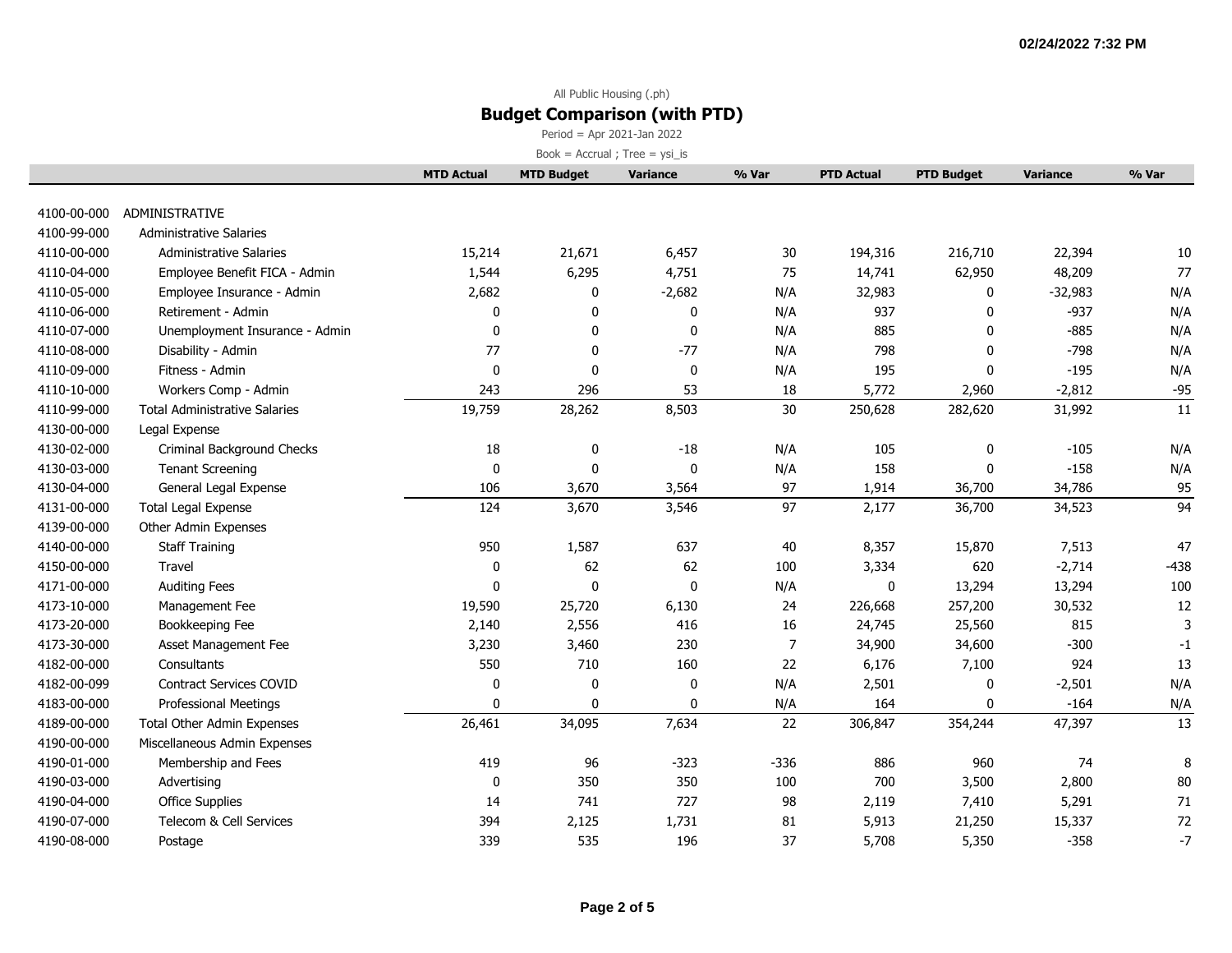Period = Apr 2021-Jan 2022

|             |                                      | <b>MTD Actual</b> | <b>MTD Budget</b> | <b>Variance</b> | % Var          | <b>PTD Actual</b> | <b>PTD Budget</b> | <b>Variance</b> | % Var  |
|-------------|--------------------------------------|-------------------|-------------------|-----------------|----------------|-------------------|-------------------|-----------------|--------|
|             |                                      |                   |                   |                 |                |                   |                   |                 |        |
| 4100-00-000 | ADMINISTRATIVE                       |                   |                   |                 |                |                   |                   |                 |        |
| 4100-99-000 | <b>Administrative Salaries</b>       |                   |                   |                 |                |                   |                   |                 |        |
| 4110-00-000 | <b>Administrative Salaries</b>       | 15,214            | 21,671            | 6,457           | 30             | 194,316           | 216,710           | 22,394          | 10     |
| 4110-04-000 | Employee Benefit FICA - Admin        | 1,544             | 6,295             | 4,751           | 75             | 14,741            | 62,950            | 48,209          | 77     |
| 4110-05-000 | Employee Insurance - Admin           | 2,682             | 0                 | $-2,682$        | N/A            | 32,983            | 0                 | $-32,983$       | N/A    |
| 4110-06-000 | Retirement - Admin                   | 0                 | 0                 | 0               | N/A            | 937               | $\mathbf{0}$      | $-937$          | N/A    |
| 4110-07-000 | Unemployment Insurance - Admin       | $\mathbf 0$       | $\mathbf 0$       | 0               | N/A            | 885               | $\mathbf{0}$      | $-885$          | N/A    |
| 4110-08-000 | Disability - Admin                   | 77                | 0                 | $-77$           | N/A            | 798               | $\Omega$          | $-798$          | N/A    |
| 4110-09-000 | Fitness - Admin                      | $\mathbf 0$       | $\mathbf 0$       | 0               | N/A            | 195               | $\mathbf{0}$      | $-195$          | N/A    |
| 4110-10-000 | Workers Comp - Admin                 | 243               | 296               | 53              | 18             | 5,772             | 2,960             | $-2,812$        | $-95$  |
| 4110-99-000 | <b>Total Administrative Salaries</b> | 19,759            | 28,262            | 8,503           | 30             | 250,628           | 282,620           | 31,992          | 11     |
| 4130-00-000 | Legal Expense                        |                   |                   |                 |                |                   |                   |                 |        |
| 4130-02-000 | Criminal Background Checks           | 18                | 0                 | $-18$           | N/A            | 105               | 0                 | $-105$          | N/A    |
| 4130-03-000 | <b>Tenant Screening</b>              | $\mathbf 0$       | $\mathbf 0$       | 0               | N/A            | 158               | $\Omega$          | $-158$          | N/A    |
| 4130-04-000 | General Legal Expense                | 106               | 3,670             | 3,564           | 97             | 1,914             | 36,700            | 34,786          | 95     |
| 4131-00-000 | <b>Total Legal Expense</b>           | 124               | 3,670             | 3,546           | 97             | 2,177             | 36,700            | 34,523          | 94     |
| 4139-00-000 | Other Admin Expenses                 |                   |                   |                 |                |                   |                   |                 |        |
| 4140-00-000 | <b>Staff Training</b>                | 950               | 1,587             | 637             | 40             | 8,357             | 15,870            | 7,513           | 47     |
| 4150-00-000 | Travel                               | $\mathbf 0$       | 62                | 62              | 100            | 3,334             | 620               | $-2,714$        | $-438$ |
| 4171-00-000 | <b>Auditing Fees</b>                 | 0                 | 0                 | 0               | N/A            | 0                 | 13,294            | 13,294          | 100    |
| 4173-10-000 | Management Fee                       | 19,590            | 25,720            | 6,130           | 24             | 226,668           | 257,200           | 30,532          | 12     |
| 4173-20-000 | Bookkeeping Fee                      | 2,140             | 2,556             | 416             | 16             | 24,745            | 25,560            | 815             | 3      |
| 4173-30-000 | Asset Management Fee                 | 3,230             | 3,460             | 230             | $\overline{7}$ | 34,900            | 34,600            | $-300$          | $-1$   |
| 4182-00-000 | Consultants                          | 550               | 710               | 160             | 22             | 6,176             | 7,100             | 924             | 13     |
| 4182-00-099 | <b>Contract Services COVID</b>       | $\Omega$          | 0                 | 0               | N/A            | 2,501             | 0                 | $-2,501$        | N/A    |
| 4183-00-000 | <b>Professional Meetings</b>         | $\mathbf{0}$      | $\mathbf 0$       | $\Omega$        | N/A            | 164               | 0                 | $-164$          | N/A    |
| 4189-00-000 | <b>Total Other Admin Expenses</b>    | 26,461            | 34,095            | 7,634           | 22             | 306,847           | 354,244           | 47,397          | 13     |
| 4190-00-000 | Miscellaneous Admin Expenses         |                   |                   |                 |                |                   |                   |                 |        |
| 4190-01-000 | Membership and Fees                  | 419               | 96                | $-323$          | $-336$         | 886               | 960               | 74              | 8      |
| 4190-03-000 | Advertising                          | $\mathbf 0$       | 350               | 350             | 100            | 700               | 3,500             | 2,800           | 80     |
| 4190-04-000 | <b>Office Supplies</b>               | 14                | 741               | 727             | 98             | 2,119             | 7,410             | 5,291           | $71\,$ |
| 4190-07-000 | Telecom & Cell Services              | 394               | 2,125             | 1,731           | 81             | 5,913             | 21,250            | 15,337          | 72     |
| 4190-08-000 | Postage                              | 339               | 535               | 196             | 37             | 5,708             | 5,350             | $-358$          | $-7$   |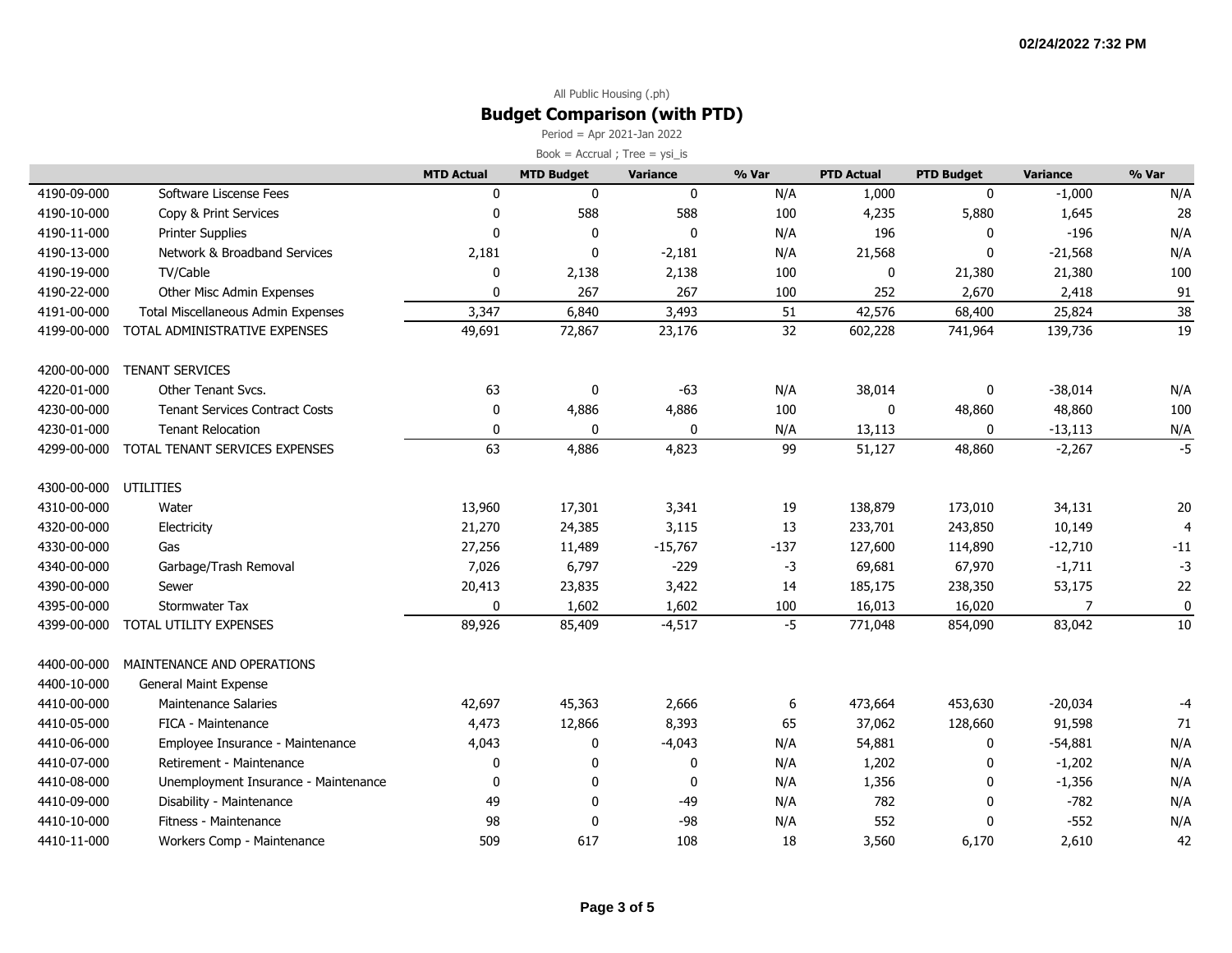Period = Apr 2021-Jan 2022

| Book = $Accrual$ ; Tree = $ysi_is$ |  |
|------------------------------------|--|
|------------------------------------|--|

|                       |                                       | <b>MTD Actual</b> | <b>MTD Budget</b> | <b>Variance</b> | % Var  | <b>PTD Actual</b> | <b>PTD Budget</b> | <b>Variance</b> | % Var           |
|-----------------------|---------------------------------------|-------------------|-------------------|-----------------|--------|-------------------|-------------------|-----------------|-----------------|
| 4190-09-000           | Software Liscense Fees                | 0                 | 0                 | $\mathbf 0$     | N/A    | 1,000             | 0                 | $-1,000$        | N/A             |
| 4190-10-000           | Copy & Print Services                 | 0                 | 588               | 588             | 100    | 4,235             | 5,880             | 1,645           | 28              |
| 4190-11-000           | <b>Printer Supplies</b>               | $\Omega$          | $\mathbf 0$       | $\mathbf 0$     | N/A    | 196               | 0                 | $-196$          | N/A             |
| 4190-13-000           | Network & Broadband Services          | 2,181             | $\Omega$          | $-2,181$        | N/A    | 21,568            | $\mathbf{0}$      | $-21,568$       | N/A             |
| 4190-19-000           | TV/Cable                              | 0                 | 2,138             | 2,138           | 100    | 0                 | 21,380            | 21,380          | 100             |
| 4190-22-000           | Other Misc Admin Expenses             | 0                 | 267               | 267             | 100    | 252               | 2,670             | 2,418           | 91              |
| 4191-00-000           | Total Miscellaneous Admin Expenses    | 3,347             | 6,840             | 3,493           | 51     | 42,576            | 68,400            | 25,824          | $\overline{38}$ |
| 4199-00-000           | TOTAL ADMINISTRATIVE EXPENSES         | 49,691            | 72,867            | 23,176          | 32     | 602,228           | 741,964           | 139,736         | 19              |
| 4200-00-000           | <b>TENANT SERVICES</b>                |                   |                   |                 |        |                   |                   |                 |                 |
| 4220-01-000           | Other Tenant Svcs.                    | 63                | 0                 | $-63$           | N/A    | 38,014            | 0                 | $-38,014$       | N/A             |
| 4230-00-000           | <b>Tenant Services Contract Costs</b> | 0                 | 4,886             | 4,886           | 100    | 0                 | 48,860            | 48,860          | 100             |
| 4230-01-000           | <b>Tenant Relocation</b>              | 0                 | 0                 | 0               | N/A    | 13,113            | 0                 | $-13,113$       | N/A             |
| 4299-00-000           | TOTAL TENANT SERVICES EXPENSES        | 63                | 4,886             | 4,823           | 99     | 51,127            | 48,860            | $-2,267$        | $-5$            |
| 4300-00-000 UTILITIES |                                       |                   |                   |                 |        |                   |                   |                 |                 |
| 4310-00-000           | Water                                 | 13,960            | 17,301            | 3,341           | 19     | 138,879           | 173,010           | 34,131          | 20              |
| 4320-00-000           | Electricity                           | 21,270            | 24,385            | 3,115           | 13     | 233,701           | 243,850           | 10,149          | $\overline{4}$  |
| 4330-00-000           | Gas                                   | 27,256            | 11,489            | $-15,767$       | $-137$ | 127,600           | 114,890           | $-12,710$       | $-11$           |
| 4340-00-000           | Garbage/Trash Removal                 | 7,026             | 6,797             | $-229$          | $-3$   | 69,681            | 67,970            | $-1,711$        | $-3$            |
| 4390-00-000           | Sewer                                 | 20,413            | 23,835            | 3,422           | 14     | 185,175           | 238,350           | 53,175          | 22              |
| 4395-00-000           | <b>Stormwater Tax</b>                 | 0                 | 1,602             | 1,602           | 100    | 16,013            | 16,020            | 7               | 0               |
| 4399-00-000           | TOTAL UTILITY EXPENSES                | 89,926            | 85,409            | $-4,517$        | $-5$   | 771,048           | 854,090           | 83,042          | 10              |
| 4400-00-000           | MAINTENANCE AND OPERATIONS            |                   |                   |                 |        |                   |                   |                 |                 |
| 4400-10-000           | <b>General Maint Expense</b>          |                   |                   |                 |        |                   |                   |                 |                 |
| 4410-00-000           | <b>Maintenance Salaries</b>           | 42,697            | 45,363            | 2,666           | 6      | 473,664           | 453,630           | $-20,034$       | -4              |
| 4410-05-000           | FICA - Maintenance                    | 4,473             | 12,866            | 8,393           | 65     | 37,062            | 128,660           | 91,598          | 71              |
| 4410-06-000           | Employee Insurance - Maintenance      | 4,043             | 0                 | $-4,043$        | N/A    | 54,881            | 0                 | $-54,881$       | N/A             |
| 4410-07-000           | Retirement - Maintenance              | 0                 | 0                 | 0               | N/A    | 1,202             | 0                 | $-1,202$        | N/A             |
| 4410-08-000           | Unemployment Insurance - Maintenance  | 0                 | 0                 | 0               | N/A    | 1,356             | 0                 | $-1,356$        | N/A             |
| 4410-09-000           | Disability - Maintenance              | 49                | 0                 | -49             | N/A    | 782               | 0                 | $-782$          | N/A             |
| 4410-10-000           | Fitness - Maintenance                 | 98                | 0                 | $-98$           | N/A    | 552               | $\mathbf{0}$      | $-552$          | N/A             |
| 4410-11-000           | Workers Comp - Maintenance            | 509               | 617               | 108             | 18     | 3,560             | 6,170             | 2,610           | 42              |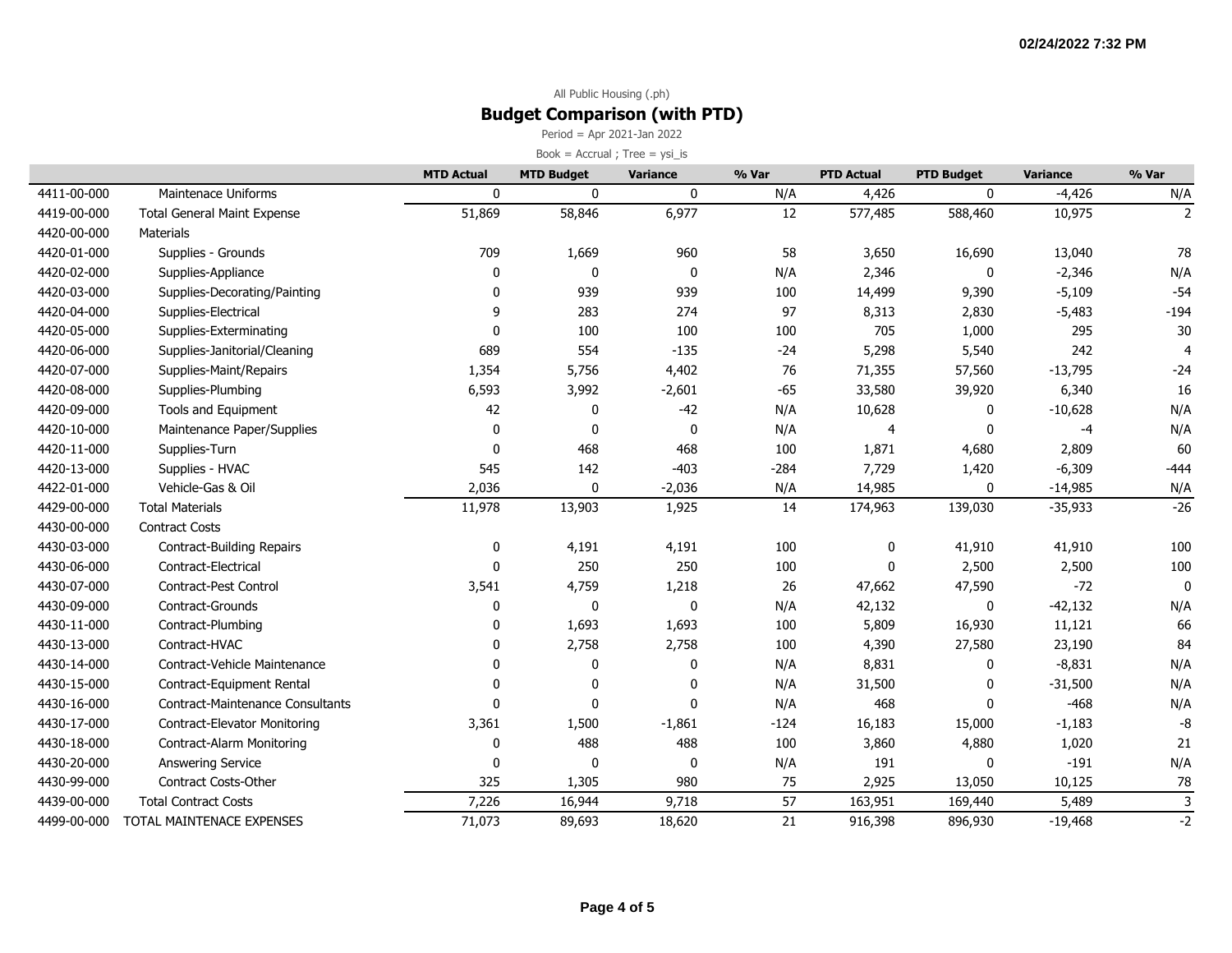Period = Apr 2021-Jan 2022

|             |                                         | <b>MTD Actual</b> | <b>MTD Budget</b> | <b>Variance</b> | % Var  | <b>PTD Actual</b> | <b>PTD Budget</b> | <b>Variance</b> | % Var                 |
|-------------|-----------------------------------------|-------------------|-------------------|-----------------|--------|-------------------|-------------------|-----------------|-----------------------|
| 4411-00-000 | Maintenace Uniforms                     | 0                 | $\mathbf 0$       | $\mathbf 0$     | N/A    | 4,426             | $\mathbf{0}$      | $-4,426$        | N/A                   |
| 4419-00-000 | <b>Total General Maint Expense</b>      | 51,869            | 58,846            | 6,977           | 12     | 577,485           | 588,460           | 10,975          | $\overline{2}$        |
| 4420-00-000 | Materials                               |                   |                   |                 |        |                   |                   |                 |                       |
| 4420-01-000 | Supplies - Grounds                      | 709               | 1,669             | 960             | 58     | 3,650             | 16,690            | 13,040          | 78                    |
| 4420-02-000 | Supplies-Appliance                      | $\mathbf 0$       | $\mathbf 0$       | $\mathbf 0$     | N/A    | 2,346             | 0                 | $-2,346$        | N/A                   |
| 4420-03-000 | Supplies-Decorating/Painting            | 0                 | 939               | 939             | 100    | 14,499            | 9,390             | $-5,109$        | $-54$                 |
| 4420-04-000 | Supplies-Electrical                     | 9                 | 283               | 274             | 97     | 8,313             | 2,830             | $-5,483$        | $-194$                |
| 4420-05-000 | Supplies-Exterminating                  | $\mathbf 0$       | 100               | 100             | 100    | 705               | 1,000             | 295             | 30                    |
| 4420-06-000 | Supplies-Janitorial/Cleaning            | 689               | 554               | $-135$          | $-24$  | 5,298             | 5,540             | 242             | $\boldsymbol{\Delta}$ |
| 4420-07-000 | Supplies-Maint/Repairs                  | 1,354             | 5,756             | 4,402           | 76     | 71,355            | 57,560            | $-13,795$       | $-24$                 |
| 4420-08-000 | Supplies-Plumbing                       | 6,593             | 3,992             | $-2,601$        | $-65$  | 33,580            | 39,920            | 6,340           | 16                    |
| 4420-09-000 | Tools and Equipment                     | 42                | $\mathbf 0$       | $-42$           | N/A    | 10,628            | $\Omega$          | $-10,628$       | N/A                   |
| 4420-10-000 | Maintenance Paper/Supplies              | $\pmb{0}$         | $\mathbf 0$       | 0               | N/A    | $\overline{4}$    | $\mathbf 0$       | $-4$            | N/A                   |
| 4420-11-000 | Supplies-Turn                           | $\mathbf 0$       | 468               | 468             | 100    | 1,871             | 4,680             | 2,809           | 60                    |
| 4420-13-000 | Supplies - HVAC                         | 545               | 142               | $-403$          | $-284$ | 7,729             | 1,420             | $-6,309$        | $-444$                |
| 4422-01-000 | Vehicle-Gas & Oil                       | 2,036             | 0                 | $-2,036$        | N/A    | 14,985            | 0                 | $-14,985$       | N/A                   |
| 4429-00-000 | <b>Total Materials</b>                  | 11,978            | 13,903            | 1,925           | 14     | 174,963           | 139,030           | $-35,933$       | $-26$                 |
| 4430-00-000 | <b>Contract Costs</b>                   |                   |                   |                 |        |                   |                   |                 |                       |
| 4430-03-000 | Contract-Building Repairs               | 0                 | 4,191             | 4,191           | 100    | 0                 | 41,910            | 41,910          | 100                   |
| 4430-06-000 | Contract-Electrical                     | 0                 | 250               | 250             | 100    | 0                 | 2,500             | 2,500           | 100                   |
| 4430-07-000 | Contract-Pest Control                   | 3,541             | 4,759             | 1,218           | 26     | 47,662            | 47,590            | $-72$           | $\mathbf{0}$          |
| 4430-09-000 | Contract-Grounds                        | 0                 | $\mathbf 0$       | $\mathbf 0$     | N/A    | 42,132            | $\Omega$          | $-42,132$       | N/A                   |
| 4430-11-000 | Contract-Plumbing                       | 0                 | 1,693             | 1,693           | 100    | 5,809             | 16,930            | 11,121          | 66                    |
| 4430-13-000 | Contract-HVAC                           | 0                 | 2,758             | 2,758           | 100    | 4,390             | 27,580            | 23,190          | 84                    |
| 4430-14-000 | Contract-Vehicle Maintenance            | 0                 | $\mathbf 0$       | $\mathbf 0$     | N/A    | 8,831             | 0                 | $-8,831$        | N/A                   |
| 4430-15-000 | Contract-Equipment Rental               | 0                 | $\Omega$          | $\mathbf{0}$    | N/A    | 31,500            | n                 | $-31,500$       | N/A                   |
| 4430-16-000 | <b>Contract-Maintenance Consultants</b> | $\mathbf{0}$      | $\mathbf 0$       | $\mathbf{0}$    | N/A    | 468               | $\mathbf 0$       | $-468$          | N/A                   |
| 4430-17-000 | <b>Contract-Elevator Monitoring</b>     | 3,361             | 1,500             | $-1,861$        | $-124$ | 16,183            | 15,000            | $-1,183$        | -8                    |
| 4430-18-000 | Contract-Alarm Monitoring               | 0                 | 488               | 488             | 100    | 3,860             | 4,880             | 1,020           | 21                    |
| 4430-20-000 | Answering Service                       | 0                 | $\mathbf 0$       | 0               | N/A    | 191               | 0                 | $-191$          | N/A                   |
| 4430-99-000 | <b>Contract Costs-Other</b>             | 325               | 1,305             | 980             | 75     | 2,925             | 13,050            | 10,125          | 78                    |
| 4439-00-000 | <b>Total Contract Costs</b>             | 7,226             | 16,944            | 9,718           | 57     | 163,951           | 169,440           | 5,489           | $\overline{3}$        |
| 4499-00-000 | TOTAL MAINTENACE EXPENSES               | 71,073            | 89,693            | 18,620          | 21     | 916,398           | 896,930           | $-19,468$       | $-2$                  |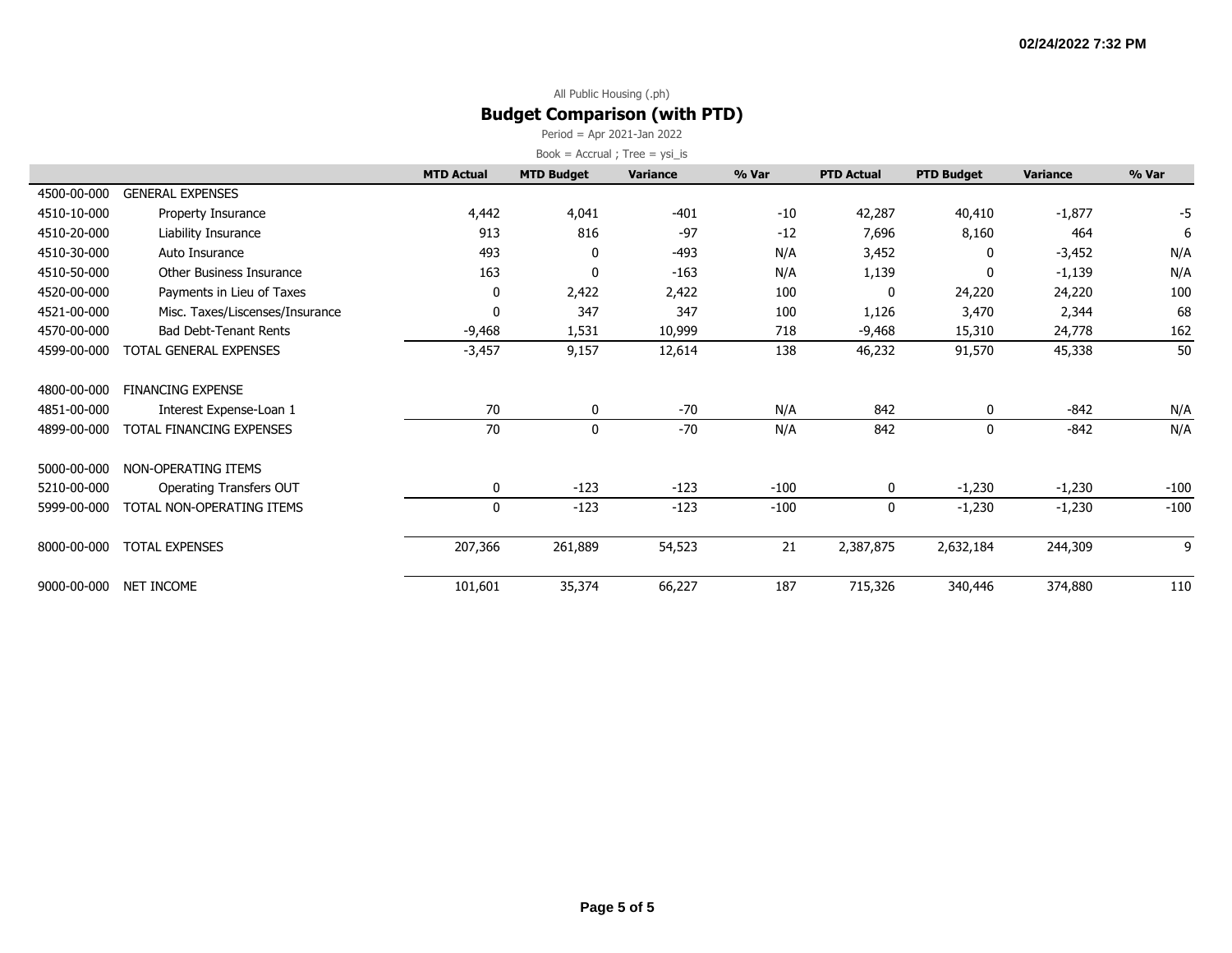Period = Apr 2021-Jan 2022

|             |                                 | <b>MTD Actual</b> | <b>MTD Budget</b> | <b>Variance</b> | % Var  | <b>PTD Actual</b> | <b>PTD Budget</b> | <b>Variance</b> | % Var  |
|-------------|---------------------------------|-------------------|-------------------|-----------------|--------|-------------------|-------------------|-----------------|--------|
| 4500-00-000 | <b>GENERAL EXPENSES</b>         |                   |                   |                 |        |                   |                   |                 |        |
| 4510-10-000 | Property Insurance              | 4,442             | 4,041             | $-401$          | $-10$  | 42,287            | 40,410            | $-1,877$        | -5     |
| 4510-20-000 | Liability Insurance             | 913               | 816               | $-97$           | $-12$  | 7,696             | 8,160             | 464             | 6      |
| 4510-30-000 | Auto Insurance                  | 493               | 0                 | -493            | N/A    | 3,452             | 0                 | $-3,452$        | N/A    |
| 4510-50-000 | Other Business Insurance        | 163               | 0                 | $-163$          | N/A    | 1,139             | 0                 | $-1,139$        | N/A    |
| 4520-00-000 | Payments in Lieu of Taxes       | 0                 | 2,422             | 2,422           | 100    | 0                 | 24,220            | 24,220          | 100    |
| 4521-00-000 | Misc. Taxes/Liscenses/Insurance | 0                 | 347               | 347             | 100    | 1,126             | 3,470             | 2,344           | 68     |
| 4570-00-000 | <b>Bad Debt-Tenant Rents</b>    | -9,468            | 1,531             | 10,999          | 718    | -9,468            | 15,310            | 24,778          | 162    |
| 4599-00-000 | TOTAL GENERAL EXPENSES          | $-3,457$          | 9,157             | 12,614          | 138    | 46,232            | 91,570            | 45,338          | 50     |
| 4800-00-000 | <b>FINANCING EXPENSE</b>        |                   |                   |                 |        |                   |                   |                 |        |
| 4851-00-000 | Interest Expense-Loan 1         | 70                | 0                 | $-70$           | N/A    | 842               | 0                 | $-842$          | N/A    |
| 4899-00-000 | TOTAL FINANCING EXPENSES        | 70                | $\mathbf 0$       | $-70$           | N/A    | 842               | $\mathbf 0$       | $-842$          | N/A    |
| 5000-00-000 | NON-OPERATING ITEMS             |                   |                   |                 |        |                   |                   |                 |        |
| 5210-00-000 | Operating Transfers OUT         | 0                 | $-123$            | $-123$          | $-100$ | 0                 | $-1,230$          | $-1,230$        | $-100$ |
| 5999-00-000 | TOTAL NON-OPERATING ITEMS       | 0                 | $-123$            | $-123$          | $-100$ | 0                 | $-1,230$          | $-1,230$        | $-100$ |
| 8000-00-000 | <b>TOTAL EXPENSES</b>           | 207,366           | 261,889           | 54,523          | 21     | 2,387,875         | 2,632,184         | 244,309         | 9      |
| 9000-00-000 | NET INCOME                      | 101,601           | 35,374            | 66,227          | 187    | 715,326           | 340,446           | 374,880         | 110    |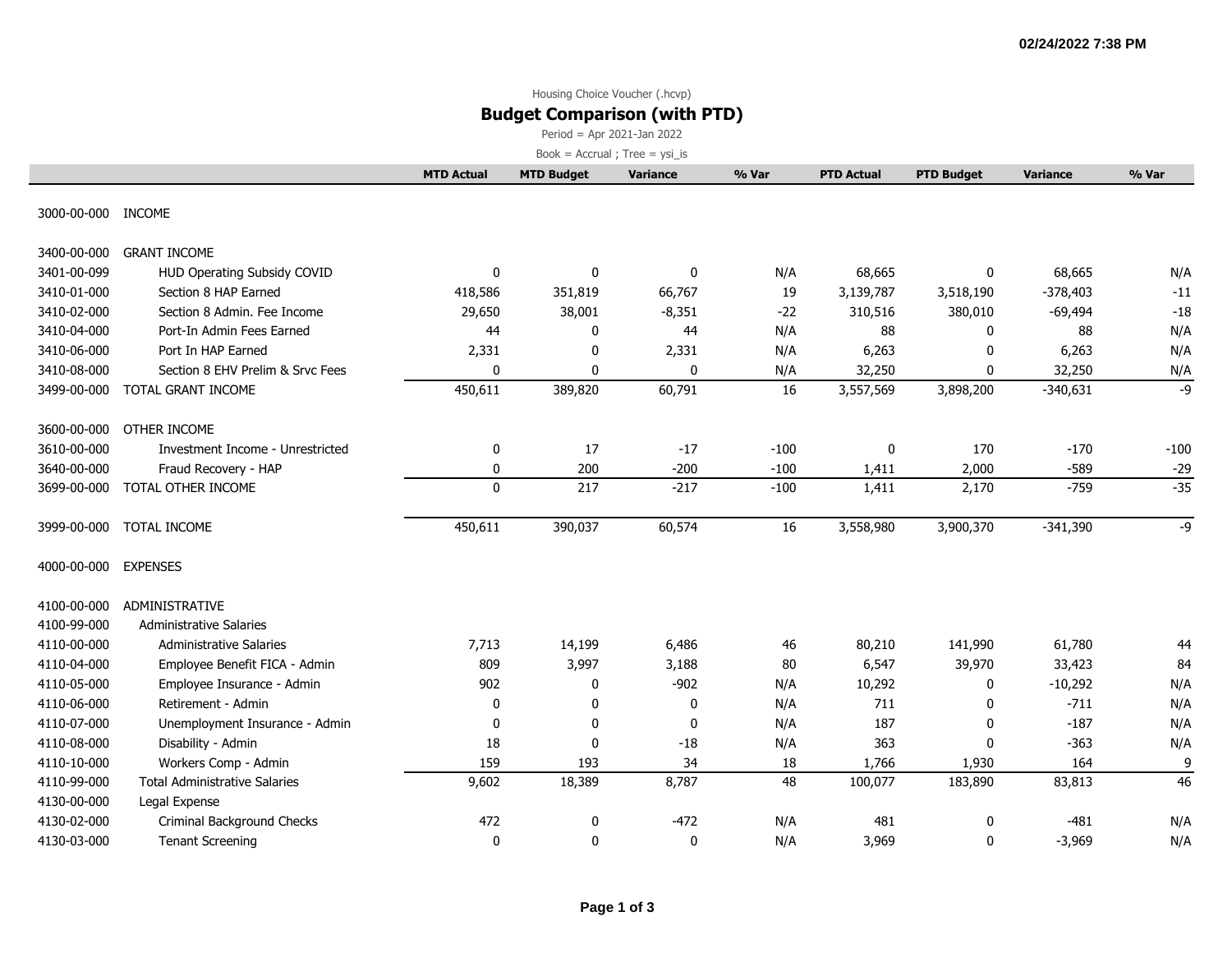# Housing Choice Voucher (.hcvp)

# **Budget Comparison (with PTD)**

Period = Apr 2021-Jan 2022

|                    |                                      | <b>MTD Actual</b> | <b>MTD Budget</b> | <b>Variance</b> | % Var  | <b>PTD Actual</b> | <b>PTD Budget</b> | <b>Variance</b> | % Var  |
|--------------------|--------------------------------------|-------------------|-------------------|-----------------|--------|-------------------|-------------------|-----------------|--------|
| 3000-00-000 INCOME |                                      |                   |                   |                 |        |                   |                   |                 |        |
|                    |                                      |                   |                   |                 |        |                   |                   |                 |        |
| 3400-00-000        | <b>GRANT INCOME</b>                  |                   |                   |                 |        |                   |                   |                 |        |
| 3401-00-099        | HUD Operating Subsidy COVID          | $\mathbf 0$       | $\mathbf 0$       | 0               | N/A    | 68,665            | 0                 | 68,665          | N/A    |
| 3410-01-000        | Section 8 HAP Earned                 | 418,586           | 351,819           | 66,767          | 19     | 3,139,787         | 3,518,190         | $-378,403$      | $-11$  |
| 3410-02-000        | Section 8 Admin, Fee Income          | 29,650            | 38,001            | $-8,351$        | $-22$  | 310,516           | 380,010           | $-69,494$       | $-18$  |
| 3410-04-000        | Port-In Admin Fees Earned            | 44                | 0                 | 44              | N/A    | 88                | 0                 | 88              | N/A    |
| 3410-06-000        | Port In HAP Earned                   | 2,331             | 0                 | 2,331           | N/A    | 6,263             | $\mathbf{0}$      | 6,263           | N/A    |
| 3410-08-000        | Section 8 EHV Prelim & Srvc Fees     | $\mathbf 0$       | 0                 | 0               | N/A    | 32,250            | $\mathbf{0}$      | 32,250          | N/A    |
| 3499-00-000        | TOTAL GRANT INCOME                   | 450,611           | 389,820           | 60,791          | 16     | 3,557,569         | 3,898,200         | $-340,631$      | -9     |
| 3600-00-000        | OTHER INCOME                         |                   |                   |                 |        |                   |                   |                 |        |
| 3610-00-000        | Investment Income - Unrestricted     | 0                 | 17                | $-17$           | $-100$ | 0                 | 170               | $-170$          | $-100$ |
| 3640-00-000        | Fraud Recovery - HAP                 | 0                 | 200               | $-200$          | $-100$ | 1,411             | 2,000             | $-589$          | $-29$  |
| 3699-00-000        | TOTAL OTHER INCOME                   | $\mathbf{0}$      | 217               | $-217$          | $-100$ | 1,411             | 2,170             | $-759$          | $-35$  |
| 3999-00-000        | TOTAL INCOME                         | 450,611           | 390,037           | 60,574          | 16     | 3,558,980         | 3,900,370         | $-341,390$      | $-9$   |
| 4000-00-000        | <b>EXPENSES</b>                      |                   |                   |                 |        |                   |                   |                 |        |
| 4100-00-000        | ADMINISTRATIVE                       |                   |                   |                 |        |                   |                   |                 |        |
| 4100-99-000        | <b>Administrative Salaries</b>       |                   |                   |                 |        |                   |                   |                 |        |
| 4110-00-000        | <b>Administrative Salaries</b>       | 7,713             | 14,199            | 6,486           | 46     | 80,210            | 141,990           | 61,780          | 44     |
| 4110-04-000        | Employee Benefit FICA - Admin        | 809               | 3,997             | 3,188           | 80     | 6,547             | 39,970            | 33,423          | 84     |
| 4110-05-000        | Employee Insurance - Admin           | 902               | 0                 | $-902$          | N/A    | 10,292            | 0                 | $-10,292$       | N/A    |
| 4110-06-000        | Retirement - Admin                   | $\mathbf 0$       | 0                 | 0               | N/A    | 711               | $\Omega$          | $-711$          | N/A    |
| 4110-07-000        | Unemployment Insurance - Admin       | $\mathbf 0$       | 0                 | $\mathbf 0$     | N/A    | 187               | $\mathbf{0}$      | $-187$          | N/A    |
| 4110-08-000        | Disability - Admin                   | 18                | $\mathbf 0$       | $-18$           | N/A    | 363               | $\mathbf{0}$      | $-363$          | N/A    |
| 4110-10-000        | Workers Comp - Admin                 | 159               | 193               | 34              | 18     | 1,766             | 1,930             | 164             | 9      |
| 4110-99-000        | <b>Total Administrative Salaries</b> | 9,602             | 18,389            | 8,787           | 48     | 100,077           | 183,890           | 83,813          | 46     |
| 4130-00-000        | Legal Expense                        |                   |                   |                 |        |                   |                   |                 |        |
| 4130-02-000        | Criminal Background Checks           | 472               | 0                 | $-472$          | N/A    | 481               | $\mathbf 0$       | $-481$          | N/A    |
| 4130-03-000        | <b>Tenant Screening</b>              | $\mathbf 0$       | 0                 | 0               | N/A    | 3,969             | 0                 | $-3,969$        | N/A    |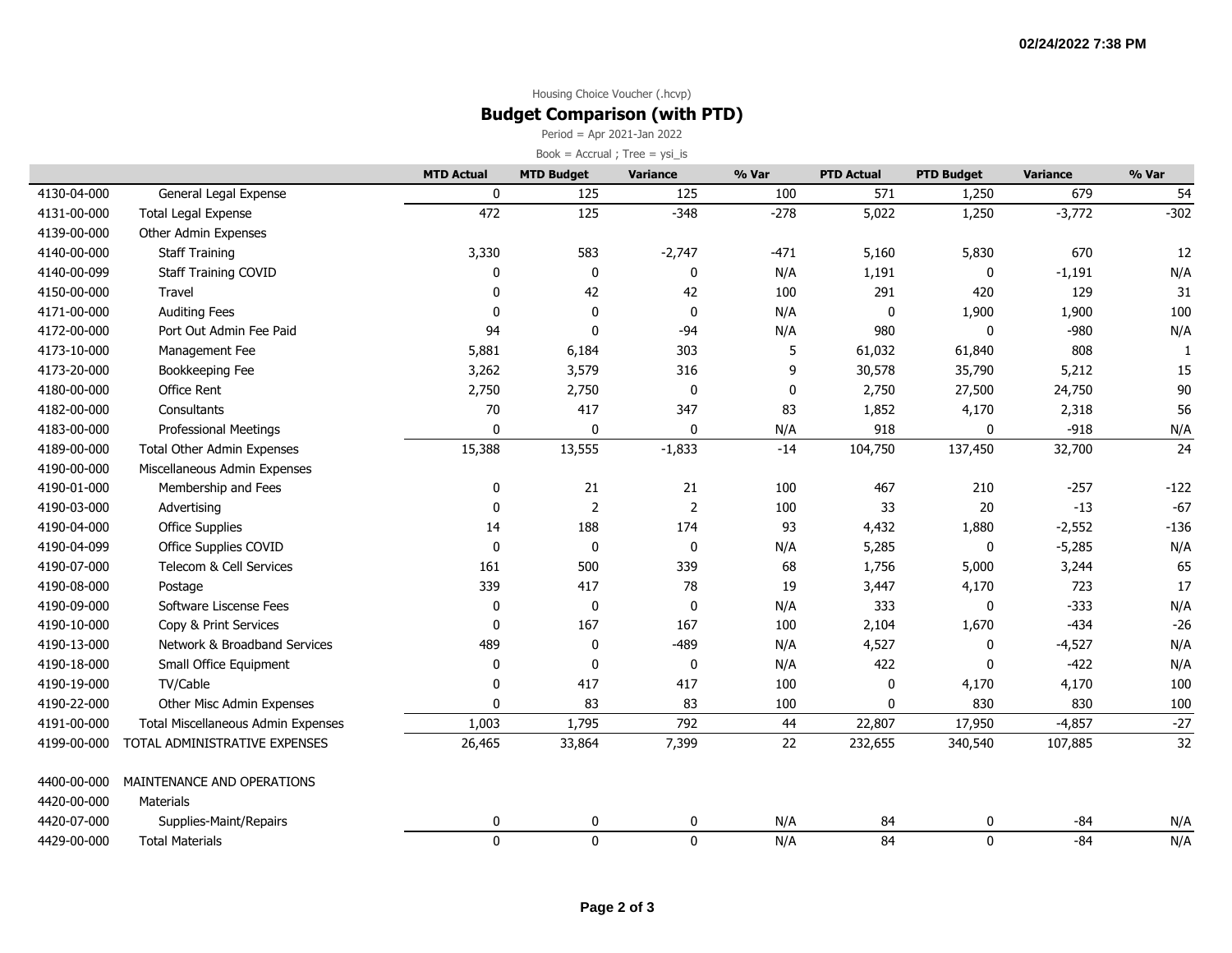### Housing Choice Voucher (.hcvp) **Budget Comparison (with PTD)**

Period = Apr 2021-Jan 2022

|             |                                    | <b>MTD Actual</b> | <b>MTD Budget</b> | Variance       | % Var       | <b>PTD Actual</b> | <b>PTD Budget</b> | Variance | % Var  |
|-------------|------------------------------------|-------------------|-------------------|----------------|-------------|-------------------|-------------------|----------|--------|
| 4130-04-000 | General Legal Expense              | $\mathbf 0$       | 125               | 125            | 100         | 571               | 1,250             | 679      | 54     |
| 4131-00-000 | <b>Total Legal Expense</b>         | 472               | 125               | $-348$         | $-278$      | 5,022             | 1,250             | $-3,772$ | $-302$ |
| 4139-00-000 | Other Admin Expenses               |                   |                   |                |             |                   |                   |          |        |
| 4140-00-000 | <b>Staff Training</b>              | 3,330             | 583               | $-2,747$       | $-471$      | 5,160             | 5,830             | 670      | 12     |
| 4140-00-099 | <b>Staff Training COVID</b>        | 0                 | 0                 | 0              | N/A         | 1,191             | 0                 | $-1,191$ | N/A    |
| 4150-00-000 | Travel                             | $\mathbf{0}$      | 42                | 42             | 100         | 291               | 420               | 129      | 31     |
| 4171-00-000 | <b>Auditing Fees</b>               | $\mathbf{0}$      | $\mathbf 0$       | $\mathbf 0$    | N/A         | $\pmb{0}$         | 1,900             | 1,900    | 100    |
| 4172-00-000 | Port Out Admin Fee Paid            | 94                | 0                 | $-94$          | N/A         | 980               | 0                 | $-980$   | N/A    |
| 4173-10-000 | Management Fee                     | 5,881             | 6,184             | 303            | 5           | 61,032            | 61,840            | 808      | -1     |
| 4173-20-000 | Bookkeeping Fee                    | 3,262             | 3,579             | 316            | 9           | 30,578            | 35,790            | 5,212    | 15     |
| 4180-00-000 | <b>Office Rent</b>                 | 2,750             | 2,750             | $\pmb{0}$      | $\mathbf 0$ | 2,750             | 27,500            | 24,750   | 90     |
| 4182-00-000 | Consultants                        | 70                | 417               | 347            | 83          | 1,852             | 4,170             | 2,318    | 56     |
| 4183-00-000 | <b>Professional Meetings</b>       | $\mathbf{0}$      | $\mathbf 0$       | $\pmb{0}$      | N/A         | 918               | 0                 | $-918$   | N/A    |
| 4189-00-000 | <b>Total Other Admin Expenses</b>  | 15,388            | 13,555            | $-1,833$       | $-14$       | 104,750           | 137,450           | 32,700   | 24     |
| 4190-00-000 | Miscellaneous Admin Expenses       |                   |                   |                |             |                   |                   |          |        |
| 4190-01-000 | Membership and Fees                | $\mathbf 0$       | 21                | 21             | 100         | 467               | 210               | $-257$   | $-122$ |
| 4190-03-000 | Advertising                        | $\mathbf 0$       | $\overline{2}$    | $\overline{2}$ | 100         | 33                | 20                | $-13$    | $-67$  |
| 4190-04-000 | <b>Office Supplies</b>             | 14                | 188               | 174            | 93          | 4,432             | 1,880             | $-2,552$ | $-136$ |
| 4190-04-099 | Office Supplies COVID              | $\Omega$          | $\mathbf 0$       | $\mathbf 0$    | N/A         | 5,285             | $\mathbf 0$       | $-5,285$ | N/A    |
| 4190-07-000 | Telecom & Cell Services            | 161               | 500               | 339            | 68          | 1,756             | 5,000             | 3,244    | 65     |
| 4190-08-000 | Postage                            | 339               | 417               | 78             | 19          | 3,447             | 4,170             | 723      | 17     |
| 4190-09-000 | Software Liscense Fees             | 0                 | 0                 | 0              | N/A         | 333               | 0                 | $-333$   | N/A    |
| 4190-10-000 | Copy & Print Services              | $\mathbf 0$       | 167               | 167            | 100         | 2,104             | 1,670             | $-434$   | $-26$  |
| 4190-13-000 | Network & Broadband Services       | 489               | 0                 | $-489$         | N/A         | 4,527             | 0                 | $-4,527$ | N/A    |
| 4190-18-000 | Small Office Equipment             | 0                 | 0                 | 0              | N/A         | 422               | 0                 | $-422$   | N/A    |
| 4190-19-000 | TV/Cable                           | $\mathbf{0}$      | 417               | 417            | 100         | $\mathbf 0$       | 4,170             | 4,170    | 100    |
| 4190-22-000 | Other Misc Admin Expenses          | 0                 | 83                | 83             | 100         | $\mathbf 0$       | 830               | 830      | 100    |
| 4191-00-000 | Total Miscellaneous Admin Expenses | 1,003             | 1,795             | 792            | 44          | 22,807            | 17,950            | $-4,857$ | $-27$  |
| 4199-00-000 | TOTAL ADMINISTRATIVE EXPENSES      | 26,465            | 33,864            | 7,399          | 22          | 232,655           | 340,540           | 107,885  | 32     |
| 4400-00-000 | MAINTENANCE AND OPERATIONS         |                   |                   |                |             |                   |                   |          |        |
| 4420-00-000 | <b>Materials</b>                   |                   |                   |                |             |                   |                   |          |        |
| 4420-07-000 | Supplies-Maint/Repairs             | 0                 | 0                 | 0              | N/A         | 84                | 0                 | $-84$    | N/A    |
| 4429-00-000 | <b>Total Materials</b>             | $\mathbf 0$       | $\pmb{0}$         | $\mathbf 0$    | N/A         | 84                | $\mathbf 0$       | $-84$    | N/A    |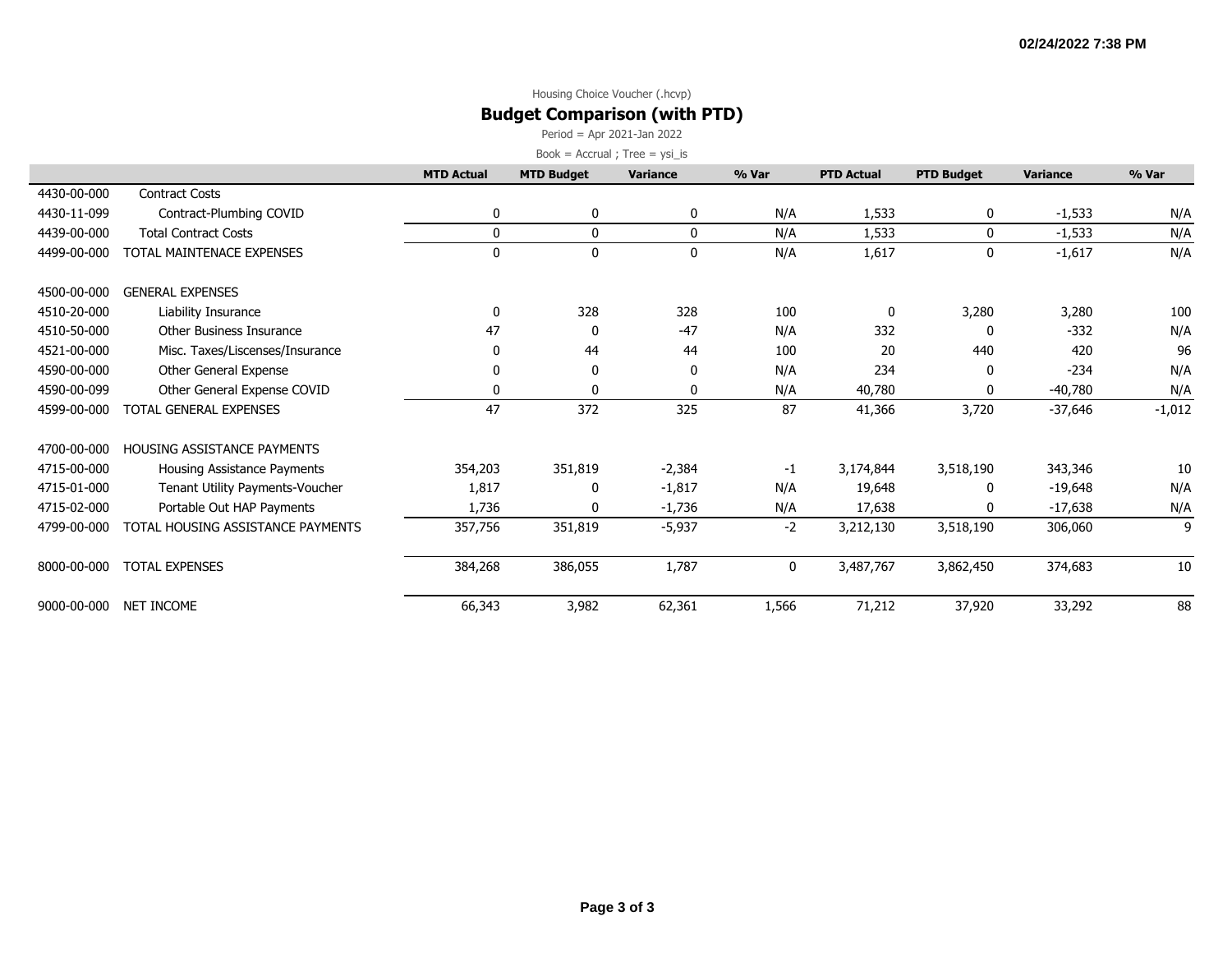### Housing Choice Voucher (.hcvp) **Budget Comparison (with PTD)**

Period = Apr 2021-Jan 2022

|             |                                    | <b>MTD Actual</b> | <b>MTD Budget</b> | Variance     | % Var | <b>PTD Actual</b> | <b>PTD Budget</b> | <b>Variance</b> | % Var    |
|-------------|------------------------------------|-------------------|-------------------|--------------|-------|-------------------|-------------------|-----------------|----------|
| 4430-00-000 | <b>Contract Costs</b>              |                   |                   |              |       |                   |                   |                 |          |
| 4430-11-099 | Contract-Plumbing COVID            | 0                 | 0                 | 0            | N/A   | 1,533             | 0                 | $-1,533$        | N/A      |
| 4439-00-000 | <b>Total Contract Costs</b>        | 0                 | 0                 | 0            | N/A   | 1,533             | $\mathbf{0}$      | $-1,533$        | N/A      |
| 4499-00-000 | TOTAL MAINTENACE EXPENSES          | 0                 | $\mathbf 0$       | 0            | N/A   | 1,617             | $\mathbf 0$       | $-1,617$        | N/A      |
| 4500-00-000 | <b>GENERAL EXPENSES</b>            |                   |                   |              |       |                   |                   |                 |          |
| 4510-20-000 | Liability Insurance                | 0                 | 328               | 328          | 100   | 0                 | 3,280             | 3,280           | 100      |
| 4510-50-000 | Other Business Insurance           | 47                | 0                 | $-47$        | N/A   | 332               | 0                 | $-332$          | N/A      |
| 4521-00-000 | Misc. Taxes/Liscenses/Insurance    | 0                 | 44                | 44           | 100   | 20                | 440               | 420             | 96       |
| 4590-00-000 | Other General Expense              | 0                 | 0                 | 0            | N/A   | 234               | 0                 | $-234$          | N/A      |
| 4590-00-099 | Other General Expense COVID        | 0                 | 0                 | $\mathbf{0}$ | N/A   | 40,780            | 0                 | $-40,780$       | N/A      |
| 4599-00-000 | <b>TOTAL GENERAL EXPENSES</b>      | 47                | 372               | 325          | 87    | 41,366            | 3,720             | $-37,646$       | $-1,012$ |
| 4700-00-000 | <b>HOUSING ASSISTANCE PAYMENTS</b> |                   |                   |              |       |                   |                   |                 |          |
| 4715-00-000 | Housing Assistance Payments        | 354,203           | 351,819           | $-2,384$     | $-1$  | 3,174,844         | 3,518,190         | 343,346         | 10       |
| 4715-01-000 | Tenant Utility Payments-Voucher    | 1,817             | 0                 | $-1,817$     | N/A   | 19,648            | 0                 | $-19,648$       | N/A      |
| 4715-02-000 | Portable Out HAP Payments          | 1,736             | 0                 | $-1,736$     | N/A   | 17,638            | n                 | $-17,638$       | N/A      |
| 4799-00-000 | TOTAL HOUSING ASSISTANCE PAYMENTS  | 357,756           | 351,819           | $-5,937$     | $-2$  | 3,212,130         | 3,518,190         | 306,060         | 9        |
| 8000-00-000 | <b>TOTAL EXPENSES</b>              | 384,268           | 386,055           | 1,787        | 0     | 3,487,767         | 3,862,450         | 374,683         | 10       |
| 9000-00-000 | NET INCOME                         | 66,343            | 3,982             | 62,361       | 1,566 | 71,212            | 37,920            | 33,292          | 88       |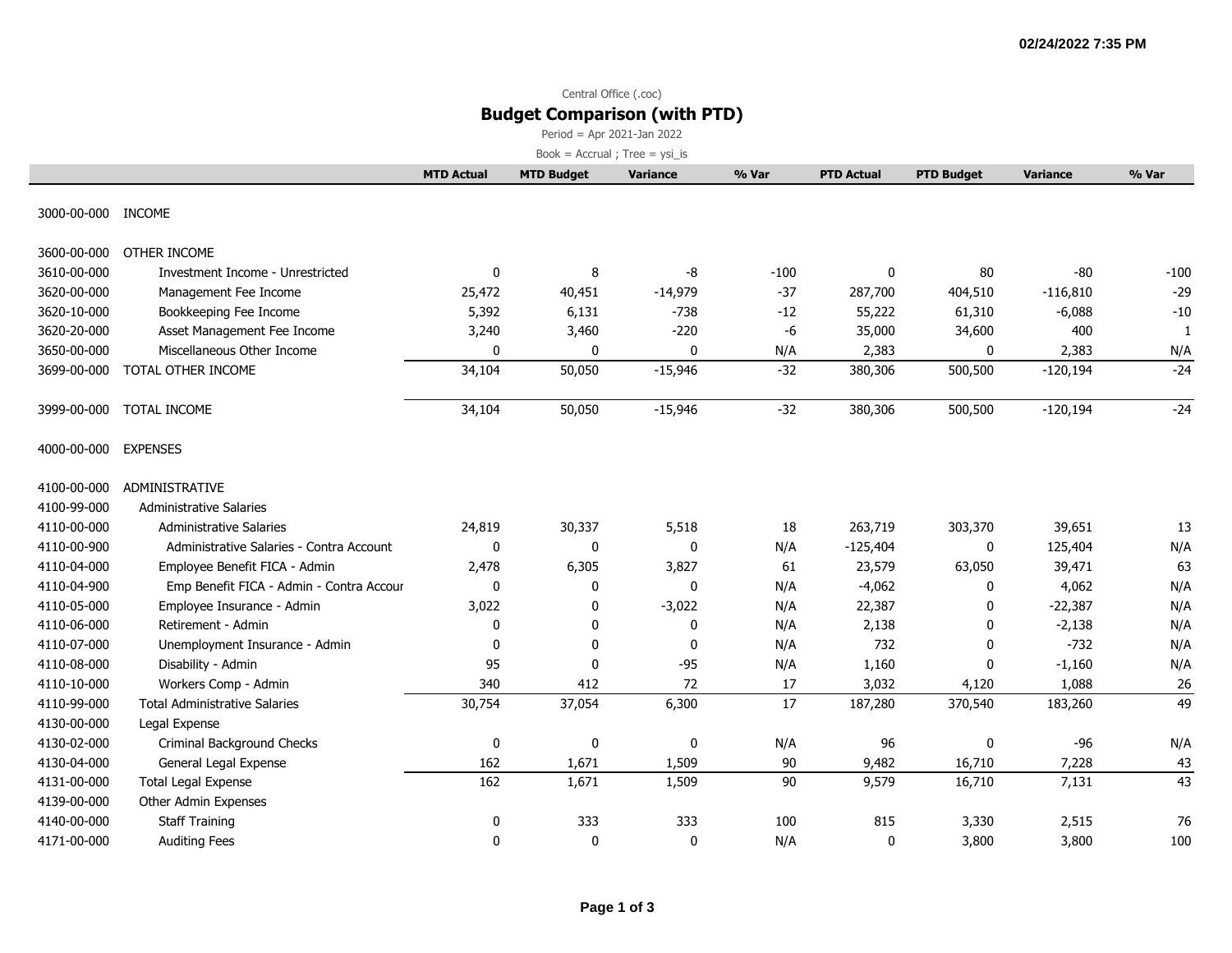# Central Office (.coc) **Budget Comparison (with PTD)**

Period = Apr 2021-Jan 2022

|                    |                                          | <b>MTD Actual</b> | <b>MTD Budget</b> | Variance    | % Var  | <b>PTD Actual</b> | <b>PTD Budget</b> | <b>Variance</b> | % Var  |
|--------------------|------------------------------------------|-------------------|-------------------|-------------|--------|-------------------|-------------------|-----------------|--------|
| 3000-00-000 INCOME |                                          |                   |                   |             |        |                   |                   |                 |        |
|                    |                                          |                   |                   |             |        |                   |                   |                 |        |
| 3600-00-000        | OTHER INCOME                             |                   |                   |             |        |                   |                   |                 |        |
| 3610-00-000        | Investment Income - Unrestricted         | 0                 | 8                 | -8          | $-100$ | $\mathbf 0$       | 80                | $-80$           | $-100$ |
| 3620-00-000        | Management Fee Income                    | 25,472            | 40,451            | $-14,979$   | $-37$  | 287,700           | 404,510           | $-116,810$      | $-29$  |
| 3620-10-000        | Bookkeeping Fee Income                   | 5,392             | 6,131             | $-738$      | $-12$  | 55,222            | 61,310            | $-6,088$        | $-10$  |
| 3620-20-000        | Asset Management Fee Income              | 3,240             | 3,460             | $-220$      | -6     | 35,000            | 34,600            | 400             | 1      |
| 3650-00-000        | Miscellaneous Other Income               | $\mathbf 0$       | $\mathbf 0$       | 0           | N/A    | 2,383             | 0                 | 2,383           | N/A    |
| 3699-00-000        | TOTAL OTHER INCOME                       | 34,104            | 50,050            | $-15,946$   | $-32$  | 380,306           | 500,500           | $-120,194$      | $-24$  |
|                    |                                          |                   |                   |             |        |                   |                   |                 |        |
| 3999-00-000        | TOTAL INCOME                             | 34,104            | 50,050            | $-15,946$   | $-32$  | 380,306           | 500,500           | $-120,194$      | $-24$  |
| 4000-00-000        | <b>EXPENSES</b>                          |                   |                   |             |        |                   |                   |                 |        |
| 4100-00-000        | ADMINISTRATIVE                           |                   |                   |             |        |                   |                   |                 |        |
| 4100-99-000        | <b>Administrative Salaries</b>           |                   |                   |             |        |                   |                   |                 |        |
| 4110-00-000        | <b>Administrative Salaries</b>           | 24,819            | 30,337            | 5,518       | 18     | 263,719           | 303,370           | 39,651          | 13     |
| 4110-00-900        | Administrative Salaries - Contra Account | 0                 | 0                 | 0           | N/A    | $-125,404$        | 0                 | 125,404         | N/A    |
| 4110-04-000        | Employee Benefit FICA - Admin            | 2,478             | 6,305             | 3,827       | 61     | 23,579            | 63,050            | 39,471          | 63     |
| 4110-04-900        | Emp Benefit FICA - Admin - Contra Accour | $\mathbf 0$       | 0                 | 0           | N/A    | $-4,062$          | 0                 | 4,062           | N/A    |
| 4110-05-000        | Employee Insurance - Admin               | 3,022             | 0                 | $-3,022$    | N/A    | 22,387            | 0                 | $-22,387$       | N/A    |
| 4110-06-000        | Retirement - Admin                       | $\mathbf 0$       | 0                 | 0           | N/A    | 2,138             | 0                 | $-2,138$        | N/A    |
| 4110-07-000        | Unemployment Insurance - Admin           | $\mathbf 0$       | 0                 | $\mathbf 0$ | N/A    | 732               | $\mathbf{0}$      | $-732$          | N/A    |
| 4110-08-000        | Disability - Admin                       | 95                | $\mathbf 0$       | $-95$       | N/A    | 1,160             | $\mathbf{0}$      | $-1,160$        | N/A    |
| 4110-10-000        | Workers Comp - Admin                     | 340               | 412               | 72          | 17     | 3,032             | 4,120             | 1,088           | 26     |
| 4110-99-000        | <b>Total Administrative Salaries</b>     | 30,754            | 37,054            | 6,300       | 17     | 187,280           | 370,540           | 183,260         | 49     |
| 4130-00-000        | Legal Expense                            |                   |                   |             |        |                   |                   |                 |        |
| 4130-02-000        | Criminal Background Checks               | 0                 | $\pmb{0}$         | 0           | N/A    | 96                | $\mathbf 0$       | $-96$           | N/A    |
| 4130-04-000        | General Legal Expense                    | 162               | 1,671             | 1,509       | 90     | 9,482             | 16,710            | 7,228           | 43     |
| 4131-00-000        | <b>Total Legal Expense</b>               | 162               | 1,671             | 1,509       | 90     | 9,579             | 16,710            | 7,131           | 43     |
| 4139-00-000        | Other Admin Expenses                     |                   |                   |             |        |                   |                   |                 |        |
| 4140-00-000        | <b>Staff Training</b>                    | 0                 | 333               | 333         | 100    | 815               | 3,330             | 2,515           | 76     |
| 4171-00-000        | <b>Auditing Fees</b>                     | $\mathbf 0$       | 0                 | 0           | N/A    | 0                 | 3,800             | 3,800           | 100    |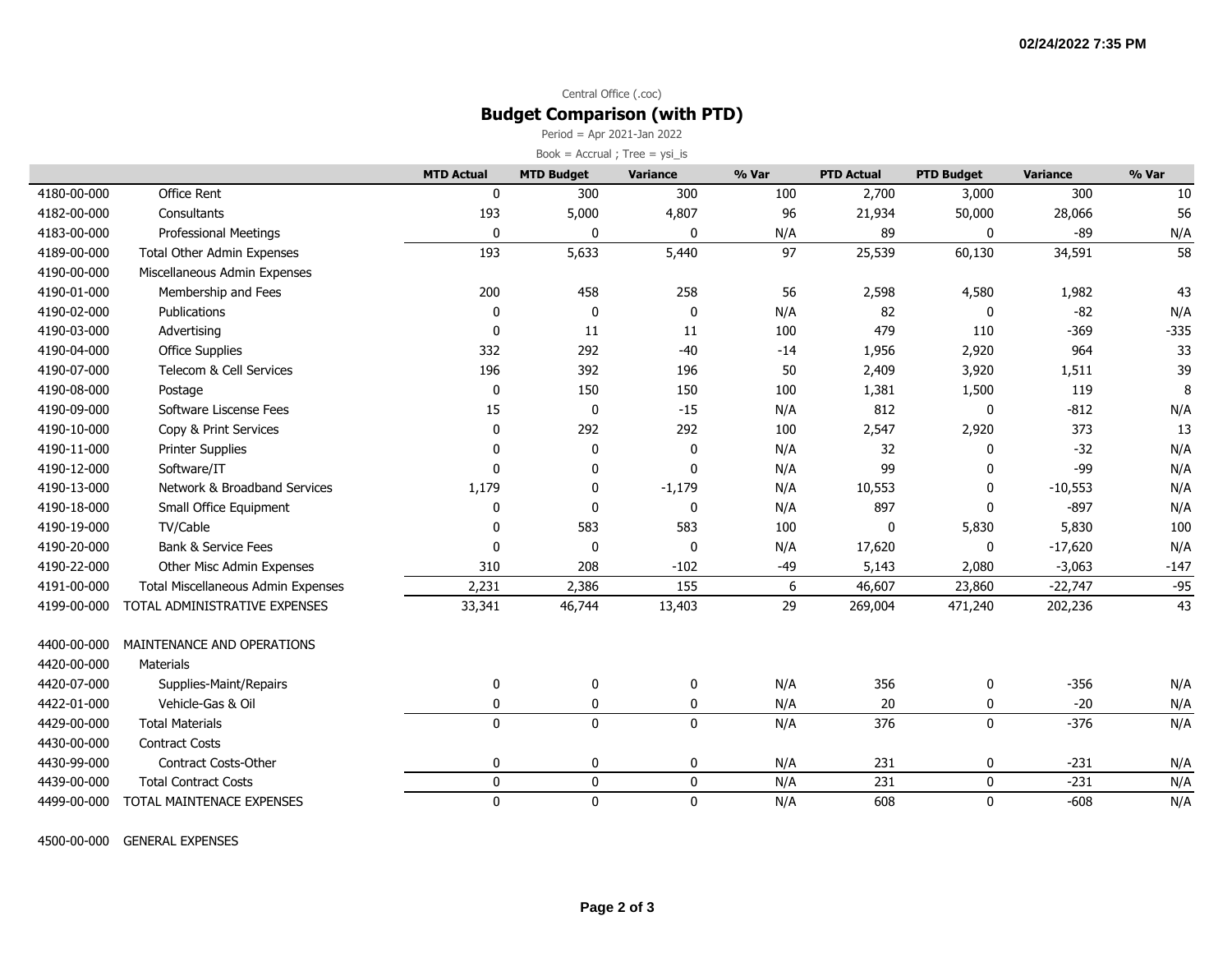### Central Office (.coc) **Budget Comparison (with PTD)**

Period = Apr 2021-Jan 2022

| Book = $Accrual$ ; Tree = $ysi_is$ |                                    |                   |                   |                 |       |                   |                   |                 |        |  |
|------------------------------------|------------------------------------|-------------------|-------------------|-----------------|-------|-------------------|-------------------|-----------------|--------|--|
|                                    |                                    | <b>MTD Actual</b> | <b>MTD Budget</b> | <b>Variance</b> | % Var | <b>PTD Actual</b> | <b>PTD Budget</b> | <b>Variance</b> | % Var  |  |
| 4180-00-000                        | Office Rent                        | 0                 | 300               | 300             | 100   | 2,700             | 3,000             | 300             | 10     |  |
| 4182-00-000                        | Consultants                        | 193               | 5,000             | 4,807           | 96    | 21,934            | 50,000            | 28,066          | 56     |  |
| 4183-00-000                        | <b>Professional Meetings</b>       | $\mathbf{0}$      | 0                 | $\mathbf{0}$    | N/A   | 89                | 0                 | $-89$           | N/A    |  |
| 4189-00-000                        | <b>Total Other Admin Expenses</b>  | 193               | 5,633             | 5,440           | 97    | 25,539            | 60,130            | 34,591          | 58     |  |
| 4190-00-000                        | Miscellaneous Admin Expenses       |                   |                   |                 |       |                   |                   |                 |        |  |
| 4190-01-000                        | Membership and Fees                | 200               | 458               | 258             | 56    | 2,598             | 4,580             | 1,982           | 43     |  |
| 4190-02-000                        | Publications                       | 0                 | 0                 | $\mathbf 0$     | N/A   | 82                | 0                 | $-82$           | N/A    |  |
| 4190-03-000                        | Advertising                        | $\mathbf 0$       | 11                | 11              | 100   | 479               | 110               | $-369$          | $-335$ |  |
| 4190-04-000                        | <b>Office Supplies</b>             | 332               | 292               | $-40$           | $-14$ | 1,956             | 2,920             | 964             | 33     |  |
| 4190-07-000                        | Telecom & Cell Services            | 196               | 392               | 196             | 50    | 2,409             | 3,920             | 1,511           | 39     |  |
| 4190-08-000                        | Postage                            | 0                 | 150               | 150             | 100   | 1,381             | 1,500             | 119             | 8      |  |
| 4190-09-000                        | Software Liscense Fees             | 15                | 0                 | $-15$           | N/A   | 812               | $\mathbf 0$       | $-812$          | N/A    |  |
| 4190-10-000                        | Copy & Print Services              | $\mathbf{0}$      | 292               | 292             | 100   | 2,547             | 2,920             | 373             | 13     |  |
| 4190-11-000                        | <b>Printer Supplies</b>            | $\mathbf{0}$      | 0                 | $\mathbf 0$     | N/A   | 32                | 0                 | $-32$           | N/A    |  |
| 4190-12-000                        | Software/IT                        | $\mathbf{0}$      | 0                 | $\mathbf{0}$    | N/A   | 99                | $\Omega$          | -99             | N/A    |  |
| 4190-13-000                        | Network & Broadband Services       | 1,179             | 0                 | $-1,179$        | N/A   | 10,553            | $\Omega$          | $-10,553$       | N/A    |  |
| 4190-18-000                        | Small Office Equipment             | 0                 | 0                 | 0               | N/A   | 897               | 0                 | $-897$          | N/A    |  |
| 4190-19-000                        | TV/Cable                           | 0                 | 583               | 583             | 100   | 0                 | 5,830             | 5,830           | 100    |  |
| 4190-20-000                        | <b>Bank &amp; Service Fees</b>     | $\mathbf 0$       | $\pmb{0}$         | 0               | N/A   | 17,620            | 0                 | $-17,620$       | N/A    |  |
| 4190-22-000                        | Other Misc Admin Expenses          | 310               | 208               | $-102$          | $-49$ | 5,143             | 2,080             | $-3,063$        | $-147$ |  |
| 4191-00-000                        | Total Miscellaneous Admin Expenses | 2,231             | 2,386             | 155             | 6     | 46,607            | 23,860            | $-22,747$       | $-95$  |  |
| 4199-00-000                        | TOTAL ADMINISTRATIVE EXPENSES      | 33,341            | 46,744            | 13,403          | 29    | 269,004           | 471,240           | 202,236         | 43     |  |
| 4400-00-000                        | MAINTENANCE AND OPERATIONS         |                   |                   |                 |       |                   |                   |                 |        |  |
| 4420-00-000                        | <b>Materials</b>                   |                   |                   |                 |       |                   |                   |                 |        |  |
| 4420-07-000                        | Supplies-Maint/Repairs             | $\mathbf 0$       | 0                 | 0               | N/A   | 356               | 0                 | $-356$          | N/A    |  |
| 4422-01-000                        | Vehicle-Gas & Oil                  | 0                 | 0                 | 0               | N/A   | 20                | 0                 | $-20$           | N/A    |  |
| 4429-00-000                        | <b>Total Materials</b>             | $\mathbf 0$       | $\pmb{0}$         | $\mathbf 0$     | N/A   | 376               | $\mathbf 0$       | $-376$          | N/A    |  |
| 4430-00-000                        | <b>Contract Costs</b>              |                   |                   |                 |       |                   |                   |                 |        |  |
| 4430-99-000                        | Contract Costs-Other               | 0                 | 0                 | 0               | N/A   | 231               | 0                 | $-231$          | N/A    |  |
| 4439-00-000                        | <b>Total Contract Costs</b>        | $\pmb{0}$         | $\pmb{0}$         | $\mathbf 0$     | N/A   | 231               | $\mathbf 0$       | $-231$          | N/A    |  |
| 4499-00-000                        | TOTAL MAINTENACE EXPENSES          | $\mathbf{0}$      | $\mathbf 0$       | $\mathbf{0}$    | N/A   | 608               | $\mathbf{0}$      | $-608$          | N/A    |  |

4500-00-000 GENERAL EXPENSES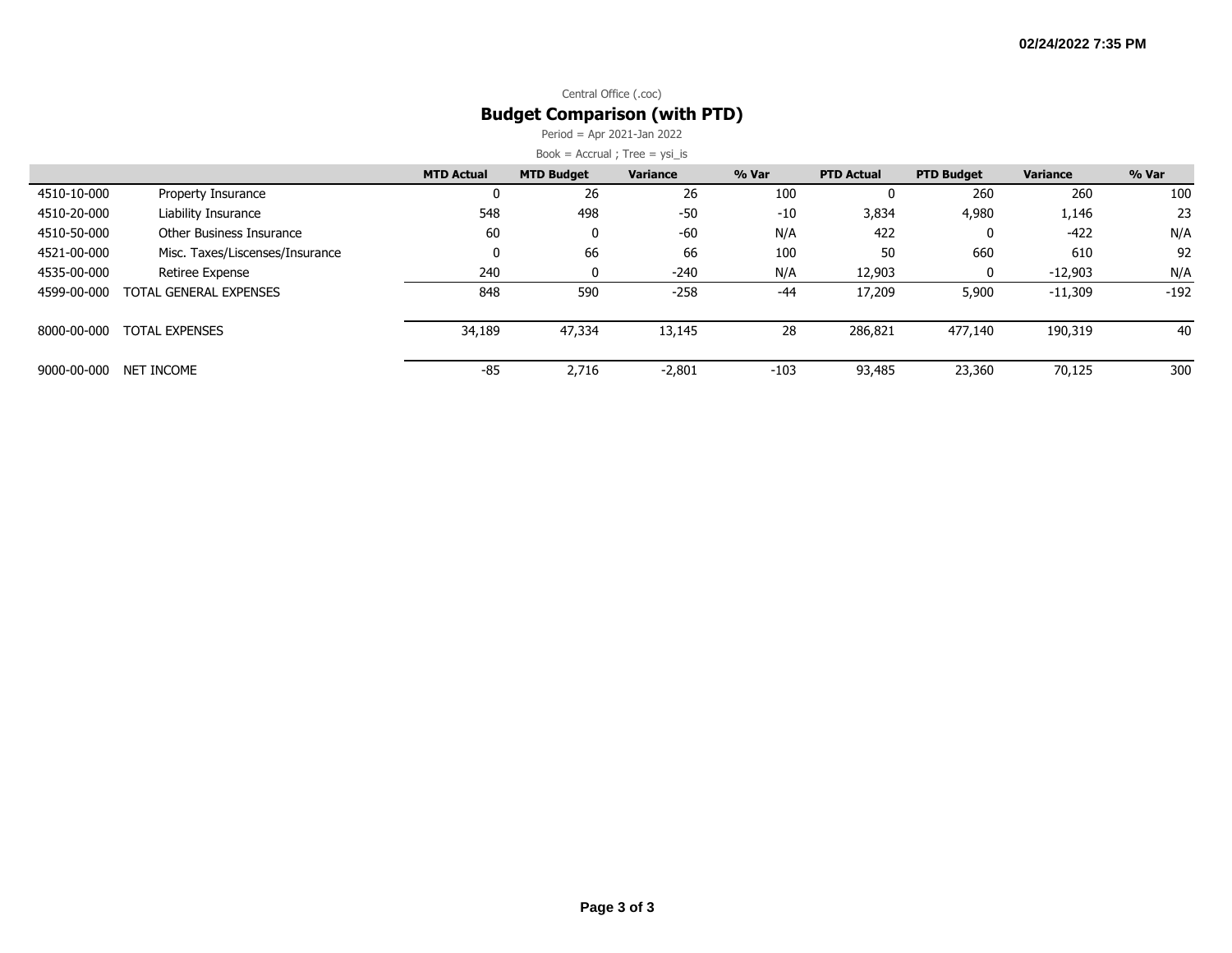### Central Office (.coc) **Budget Comparison (with PTD)**

Period = Apr 2021-Jan 2022

|             |                                 | <b>MTD Actual</b> | <b>MTD Budget</b> | <b>Variance</b> | % Var  | <b>PTD Actual</b> | <b>PTD Budget</b> | Variance  | % Var  |
|-------------|---------------------------------|-------------------|-------------------|-----------------|--------|-------------------|-------------------|-----------|--------|
| 4510-10-000 | Property Insurance              | 0                 | 26                | 26              | 100    | 0                 | 260               | 260       | 100    |
| 4510-20-000 | Liability Insurance             | 548               | 498               | $-50$           | $-10$  | 3,834             | 4,980             | 1,146     | 23     |
| 4510-50-000 | Other Business Insurance        | 60                | 0                 | $-60$           | N/A    | 422               | 0                 | -422      | N/A    |
| 4521-00-000 | Misc. Taxes/Liscenses/Insurance | 0                 | 66                | 66              | 100    | 50                | 660               | 610       | 92     |
| 4535-00-000 | Retiree Expense                 | 240               | 0                 | $-240$          | N/A    | 12,903            | $\mathbf{0}$      | $-12,903$ | N/A    |
| 4599-00-000 | TOTAL GENERAL EXPENSES          | 848               | 590               | $-258$          | $-44$  | 17,209            | 5,900             | $-11,309$ | $-192$ |
|             |                                 |                   |                   |                 |        |                   |                   |           |        |
| 8000-00-000 | <b>TOTAL EXPENSES</b>           | 34,189            | 47,334            | 13,145          | 28     | 286,821           | 477,140           | 190,319   | 40     |
|             |                                 |                   |                   |                 |        |                   |                   |           |        |
| 9000-00-000 | NET INCOME                      | $-85$             | 2,716             | $-2,801$        | $-103$ | 93,485            | 23,360            | 70,125    | 300    |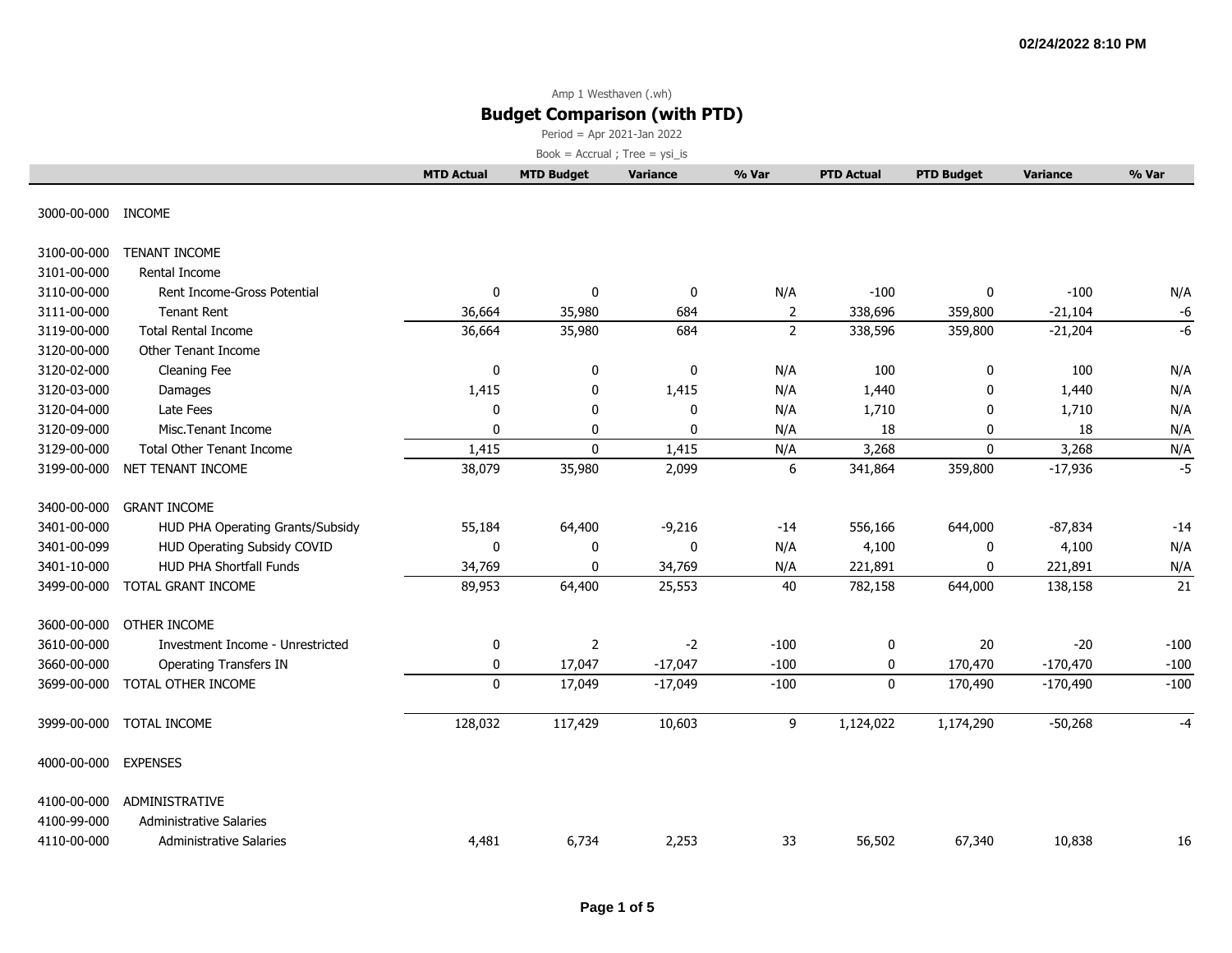Period = Apr 2021-Jan 2022

|                      |                                  | <b>MTD Actual</b> | <b>MTD Budget</b> | Variance  | % Var          | <b>PTD Actual</b> | <b>PTD Budget</b> | <b>Variance</b> | % Var  |
|----------------------|----------------------------------|-------------------|-------------------|-----------|----------------|-------------------|-------------------|-----------------|--------|
| 3000-00-000 INCOME   |                                  |                   |                   |           |                |                   |                   |                 |        |
| 3100-00-000          | TENANT INCOME                    |                   |                   |           |                |                   |                   |                 |        |
| 3101-00-000          | Rental Income                    |                   |                   |           |                |                   |                   |                 |        |
| 3110-00-000          | Rent Income-Gross Potential      | 0                 | 0                 | 0         | N/A            | $-100$            | 0                 | $-100$          | N/A    |
| 3111-00-000          | <b>Tenant Rent</b>               | 36,664            | 35,980            | 684       | 2              | 338,696           | 359,800           | $-21,104$       | -6     |
| 3119-00-000          | <b>Total Rental Income</b>       | 36,664            | 35,980            | 684       | $\overline{2}$ | 338,596           | 359,800           | $-21,204$       | $-6$   |
| 3120-00-000          | Other Tenant Income              |                   |                   |           |                |                   |                   |                 |        |
| 3120-02-000          | Cleaning Fee                     | 0                 | 0                 | 0         | N/A            | 100               | 0                 | 100             | N/A    |
| 3120-03-000          | Damages                          | 1,415             | 0                 | 1,415     | N/A            | 1,440             | 0                 | 1,440           | N/A    |
| 3120-04-000          | Late Fees                        | 0                 | 0                 | 0         | N/A            | 1,710             | 0                 | 1,710           | N/A    |
| 3120-09-000          | Misc.Tenant Income               | $\mathbf 0$       | 0                 | 0         | N/A            | 18                | 0                 | 18              | N/A    |
| 3129-00-000          | <b>Total Other Tenant Income</b> | 1,415             | $\mathbf 0$       | 1,415     | N/A            | 3,268             | $\mathbf{0}$      | 3,268           | N/A    |
| 3199-00-000          | NET TENANT INCOME                | 38,079            | 35,980            | 2,099     | 6              | 341,864           | 359,800           | $-17,936$       | $-5$   |
| 3400-00-000          | <b>GRANT INCOME</b>              |                   |                   |           |                |                   |                   |                 |        |
| 3401-00-000          | HUD PHA Operating Grants/Subsidy | 55,184            | 64,400            | $-9,216$  | $-14$          | 556,166           | 644,000           | $-87,834$       | $-14$  |
| 3401-00-099          | HUD Operating Subsidy COVID      | 0                 | 0                 | 0         | N/A            | 4,100             | 0                 | 4,100           | N/A    |
| 3401-10-000          | <b>HUD PHA Shortfall Funds</b>   | 34,769            | 0                 | 34,769    | N/A            | 221,891           | 0                 | 221,891         | N/A    |
| 3499-00-000          | TOTAL GRANT INCOME               | 89,953            | 64,400            | 25,553    | 40             | 782,158           | 644,000           | 138,158         | 21     |
| 3600-00-000          | OTHER INCOME                     |                   |                   |           |                |                   |                   |                 |        |
| 3610-00-000          | Investment Income - Unrestricted | 0                 | $\overline{2}$    | $-2$      | $-100$         | 0                 | 20                | $-20$           | $-100$ |
| 3660-00-000          | <b>Operating Transfers IN</b>    | 0                 | 17,047            | $-17,047$ | $-100$         | 0                 | 170,470           | $-170,470$      | $-100$ |
| 3699-00-000          | TOTAL OTHER INCOME               | $\pmb{0}$         | 17,049            | $-17,049$ | $-100$         | $\mathbf 0$       | 170,490           | $-170,490$      | $-100$ |
| 3999-00-000          | TOTAL INCOME                     | 128,032           | 117,429           | 10,603    | 9              | 1,124,022         | 1,174,290         | $-50,268$       | -4     |
| 4000-00-000 EXPENSES |                                  |                   |                   |           |                |                   |                   |                 |        |
| 4100-00-000          | ADMINISTRATIVE                   |                   |                   |           |                |                   |                   |                 |        |
| 4100-99-000          | <b>Administrative Salaries</b>   |                   |                   |           |                |                   |                   |                 |        |
| 4110-00-000          | <b>Administrative Salaries</b>   | 4,481             | 6,734             | 2,253     | 33             | 56,502            | 67,340            | 10,838          | 16     |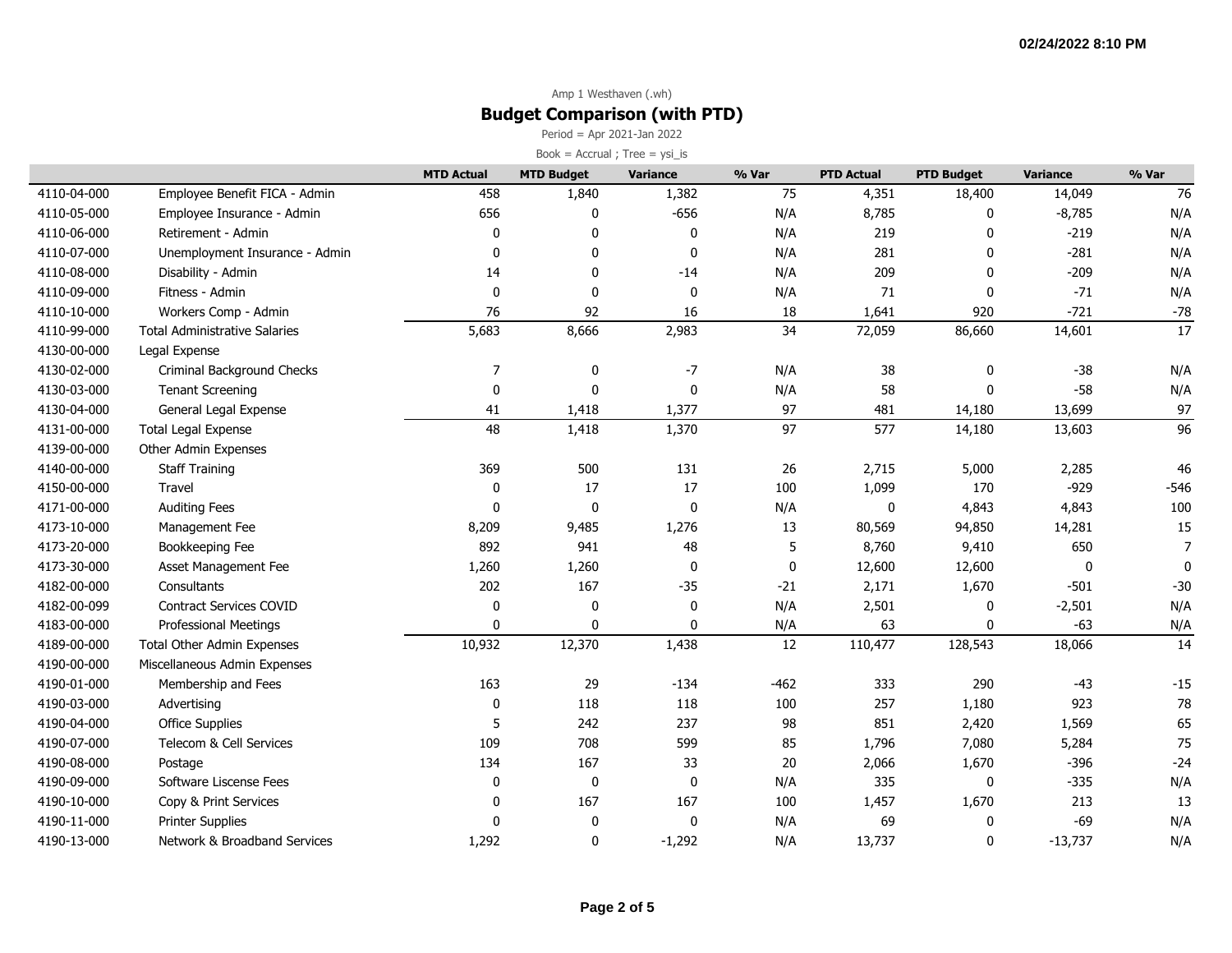Period = Apr 2021-Jan 2022  $Book = Accrual ; Tree = ysi_is$ 

|             |                                      | <b>MTD Actual</b> | <b>MTD Budget</b> | Variance    | % Var       | <b>PTD Actual</b> | <b>PTD Budget</b> | <b>Variance</b> | % Var        |
|-------------|--------------------------------------|-------------------|-------------------|-------------|-------------|-------------------|-------------------|-----------------|--------------|
| 4110-04-000 | Employee Benefit FICA - Admin        | 458               | 1,840             | 1,382       | 75          | 4,351             | 18,400            | 14,049          | 76           |
| 4110-05-000 | Employee Insurance - Admin           | 656               | $\mathbf 0$       | $-656$      | N/A         | 8,785             | $\mathbf 0$       | $-8,785$        | N/A          |
| 4110-06-000 | Retirement - Admin                   | $\mathbf 0$       | $\mathbf 0$       | 0           | N/A         | 219               | 0                 | $-219$          | N/A          |
| 4110-07-000 | Unemployment Insurance - Admin       | $\mathbf{0}$      | $\pmb{0}$         | 0           | N/A         | 281               | $\mathbf{0}$      | $-281$          | N/A          |
| 4110-08-000 | Disability - Admin                   | 14                | 0                 | $-14$       | N/A         | 209               | $\mathbf 0$       | $-209$          | N/A          |
| 4110-09-000 | Fitness - Admin                      | $\mathbf 0$       | 0                 | 0           | N/A         | 71                | $\mathbf 0$       | $-71$           | N/A          |
| 4110-10-000 | Workers Comp - Admin                 | 76                | 92                | 16          | 18          | 1,641             | 920               | $-721$          | $-78$        |
| 4110-99-000 | <b>Total Administrative Salaries</b> | 5,683             | 8,666             | 2,983       | 34          | 72,059            | 86,660            | 14,601          | 17           |
| 4130-00-000 | Legal Expense                        |                   |                   |             |             |                   |                   |                 |              |
| 4130-02-000 | Criminal Background Checks           | 7                 | 0                 | $-7$        | N/A         | 38                | 0                 | $-38$           | N/A          |
| 4130-03-000 | <b>Tenant Screening</b>              | $\mathbf 0$       | $\mathbf{0}$      | 0           | N/A         | 58                | $\mathbf{0}$      | $-58$           | N/A          |
| 4130-04-000 | General Legal Expense                | 41                | 1,418             | 1,377       | 97          | 481               | 14,180            | 13,699          | 97           |
| 4131-00-000 | <b>Total Legal Expense</b>           | 48                | 1,418             | 1,370       | 97          | 577               | 14,180            | 13,603          | 96           |
| 4139-00-000 | Other Admin Expenses                 |                   |                   |             |             |                   |                   |                 |              |
| 4140-00-000 | <b>Staff Training</b>                | 369               | 500               | 131         | 26          | 2,715             | 5,000             | 2,285           | 46           |
| 4150-00-000 | Travel                               | 0                 | 17                | 17          | 100         | 1,099             | 170               | $-929$          | $-546$       |
| 4171-00-000 | <b>Auditing Fees</b>                 | $\mathbf{0}$      | $\mathbf{0}$      | 0           | N/A         | 0                 | 4,843             | 4,843           | 100          |
| 4173-10-000 | Management Fee                       | 8,209             | 9,485             | 1,276       | 13          | 80,569            | 94,850            | 14,281          | 15           |
| 4173-20-000 | Bookkeeping Fee                      | 892               | 941               | 48          | 5           | 8,760             | 9,410             | 650             | 7            |
| 4173-30-000 | Asset Management Fee                 | 1,260             | 1,260             | 0           | $\mathbf 0$ | 12,600            | 12,600            | 0               | $\mathbf{0}$ |
| 4182-00-000 | Consultants                          | 202               | 167               | $-35$       | $-21$       | 2,171             | 1,670             | $-501$          | $-30$        |
| 4182-00-099 | Contract Services COVID              | $\mathbf 0$       | 0                 | 0           | N/A         | 2,501             | 0                 | $-2,501$        | N/A          |
| 4183-00-000 | Professional Meetings                | $\mathbf{0}$      | 0                 | 0           | N/A         | 63                | $\mathbf{0}$      | $-63$           | N/A          |
| 4189-00-000 | <b>Total Other Admin Expenses</b>    | 10,932            | 12,370            | 1,438       | 12          | 110,477           | 128,543           | 18,066          | 14           |
| 4190-00-000 | Miscellaneous Admin Expenses         |                   |                   |             |             |                   |                   |                 |              |
| 4190-01-000 | Membership and Fees                  | 163               | 29                | $-134$      | $-462$      | 333               | 290               | $-43$           | $-15$        |
| 4190-03-000 | Advertising                          | $\mathbf 0$       | 118               | 118         | 100         | 257               | 1,180             | 923             | 78           |
| 4190-04-000 | <b>Office Supplies</b>               | 5                 | 242               | 237         | 98          | 851               | 2,420             | 1,569           | 65           |
| 4190-07-000 | Telecom & Cell Services              | 109               | 708               | 599         | 85          | 1,796             | 7,080             | 5,284           | 75           |
| 4190-08-000 | Postage                              | 134               | 167               | 33          | 20          | 2,066             | 1,670             | $-396$          | $-24$        |
| 4190-09-000 | Software Liscense Fees               | 0                 | $\pmb{0}$         | $\mathbf 0$ | N/A         | 335               | $\mathbf 0$       | $-335$          | N/A          |
| 4190-10-000 | Copy & Print Services                | $\mathbf 0$       | 167               | 167         | 100         | 1,457             | 1,670             | 213             | 13           |
| 4190-11-000 | <b>Printer Supplies</b>              | $\Omega$          | $\pmb{0}$         | 0           | N/A         | 69                | $\mathbf 0$       | $-69$           | N/A          |
| 4190-13-000 | Network & Broadband Services         | 1,292             | 0                 | $-1,292$    | N/A         | 13,737            | $\mathbf 0$       | $-13,737$       | N/A          |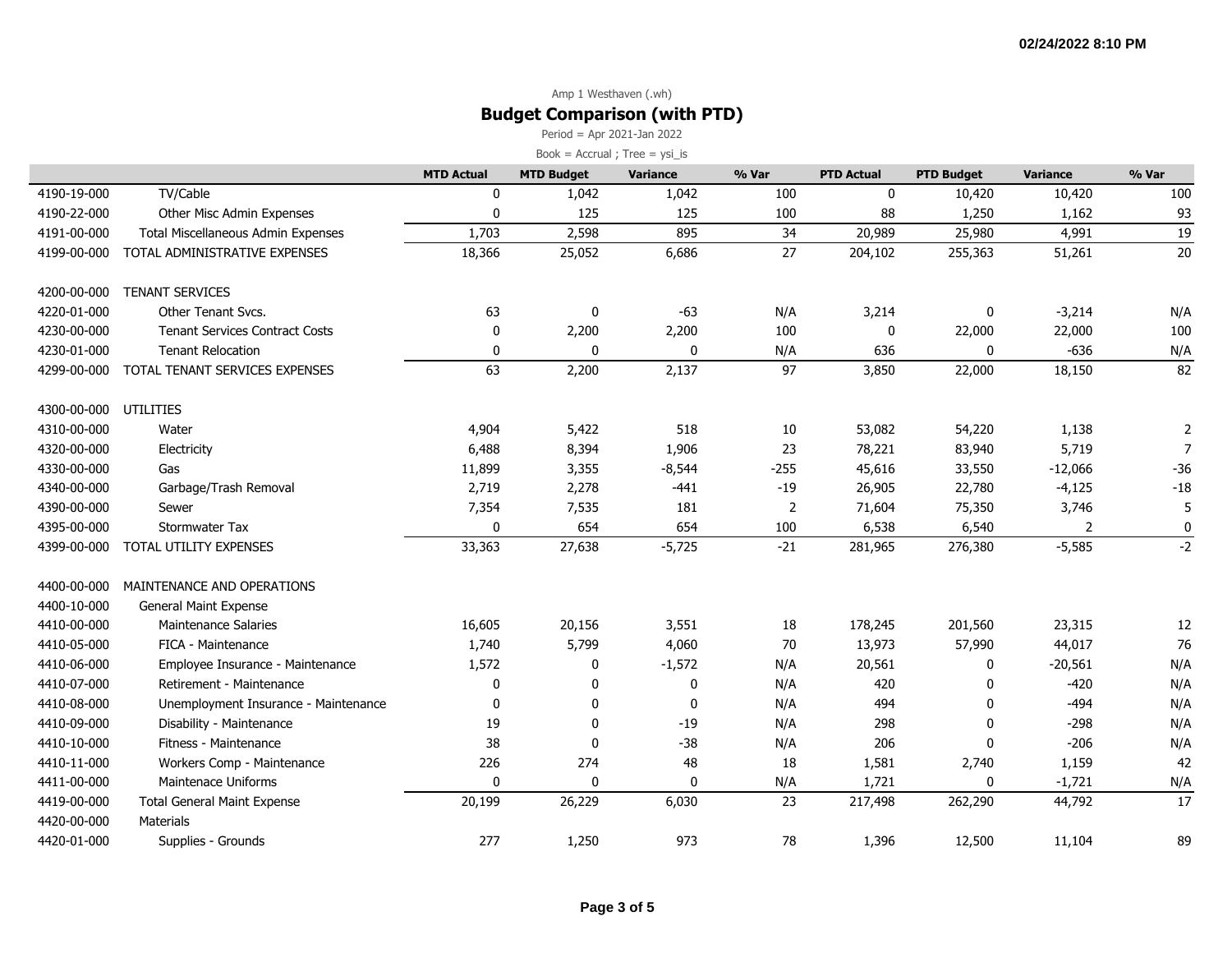Period = Apr 2021-Jan 2022

|             |                                       | <b>MTD Actual</b> | <b>MTD Budget</b> | Variance     | % Var  | <b>PTD Actual</b> | <b>PTD Budget</b> | <b>Variance</b> | % Var           |
|-------------|---------------------------------------|-------------------|-------------------|--------------|--------|-------------------|-------------------|-----------------|-----------------|
| 4190-19-000 | TV/Cable                              | 0                 | 1,042             | 1,042        | 100    | 0                 | 10,420            | 10,420          | 100             |
| 4190-22-000 | Other Misc Admin Expenses             | $\mathbf{0}$      | 125               | 125          | 100    | 88                | 1,250             | 1,162           | 93              |
| 4191-00-000 | Total Miscellaneous Admin Expenses    | 1,703             | 2,598             | 895          | 34     | 20,989            | 25,980            | 4,991           | 19              |
| 4199-00-000 | TOTAL ADMINISTRATIVE EXPENSES         | 18,366            | 25,052            | 6,686        | 27     | 204,102           | 255,363           | 51,261          | 20              |
|             |                                       |                   |                   |              |        |                   |                   |                 |                 |
| 4200-00-000 | <b>TENANT SERVICES</b>                |                   |                   |              |        |                   |                   |                 |                 |
| 4220-01-000 | Other Tenant Sycs.                    | 63                | 0                 | $-63$        | N/A    | 3,214             | 0                 | $-3,214$        | N/A             |
| 4230-00-000 | <b>Tenant Services Contract Costs</b> | 0                 | 2,200             | 2,200        | 100    | 0                 | 22,000            | 22,000          | 100             |
| 4230-01-000 | <b>Tenant Relocation</b>              | 0                 | 0                 | 0            | N/A    | 636               | $\mathbf 0$       | $-636$          | N/A             |
| 4299-00-000 | TOTAL TENANT SERVICES EXPENSES        | 63                | 2,200             | 2,137        | 97     | 3,850             | 22,000            | 18,150          | 82              |
| 4300-00-000 | UTILITIES                             |                   |                   |              |        |                   |                   |                 |                 |
| 4310-00-000 | Water                                 | 4,904             | 5,422             | 518          | 10     | 53,082            | 54,220            | 1,138           | $\overline{2}$  |
| 4320-00-000 | Electricity                           | 6,488             | 8,394             | 1,906        | 23     | 78,221            | 83,940            | 5,719           | $\overline{7}$  |
| 4330-00-000 | Gas                                   | 11,899            | 3,355             | $-8,544$     | $-255$ | 45,616            | 33,550            | $-12,066$       | $-36$           |
| 4340-00-000 | Garbage/Trash Removal                 | 2,719             | 2,278             | $-441$       | $-19$  | 26,905            | 22,780            | $-4,125$        | $-18$           |
| 4390-00-000 | Sewer                                 | 7,354             | 7,535             | 181          | 2      | 71,604            | 75,350            | 3,746           | 5               |
| 4395-00-000 | <b>Stormwater Tax</b>                 | $\Omega$          | 654               | 654          | 100    | 6,538             | 6,540             | 2               | 0               |
| 4399-00-000 | TOTAL UTILITY EXPENSES                | 33,363            | 27,638            | $-5,725$     | $-21$  | 281,965           | 276,380           | $-5,585$        | $-2$            |
|             |                                       |                   |                   |              |        |                   |                   |                 |                 |
| 4400-00-000 | MAINTENANCE AND OPERATIONS            |                   |                   |              |        |                   |                   |                 |                 |
| 4400-10-000 | <b>General Maint Expense</b>          |                   |                   |              |        |                   |                   |                 |                 |
| 4410-00-000 | <b>Maintenance Salaries</b>           | 16,605            | 20,156            | 3,551        | 18     | 178,245           | 201,560           | 23,315          | 12              |
| 4410-05-000 | FICA - Maintenance                    | 1,740             | 5,799             | 4,060        | 70     | 13,973            | 57,990            | 44,017          | 76              |
| 4410-06-000 | Employee Insurance - Maintenance      | 1,572             | 0                 | $-1,572$     | N/A    | 20,561            | 0                 | $-20,561$       | N/A             |
| 4410-07-000 | Retirement - Maintenance              | 0                 | 0                 | 0            | N/A    | 420               | $\mathbf{0}$      | $-420$          | N/A             |
| 4410-08-000 | Unemployment Insurance - Maintenance  | 0                 | 0                 | $\mathbf{0}$ | N/A    | 494               | $\mathbf{0}$      | $-494$          | N/A             |
| 4410-09-000 | Disability - Maintenance              | 19                | 0                 | $-19$        | N/A    | 298               | $\mathbf{0}$      | $-298$          | N/A             |
| 4410-10-000 | Fitness - Maintenance                 | 38                | $\mathbf 0$       | $-38$        | N/A    | 206               | $\Omega$          | $-206$          | N/A             |
| 4410-11-000 | Workers Comp - Maintenance            | 226               | 274               | 48           | 18     | 1,581             | 2,740             | 1,159           | 42              |
| 4411-00-000 | Maintenace Uniforms                   | 0                 | 0                 | 0            | N/A    | 1,721             | $\mathbf{0}$      | $-1,721$        | N/A             |
| 4419-00-000 | <b>Total General Maint Expense</b>    | 20,199            | 26,229            | 6,030        | 23     | 217,498           | 262,290           | 44,792          | $\overline{17}$ |
| 4420-00-000 | Materials                             |                   |                   |              |        |                   |                   |                 |                 |
| 4420-01-000 | Supplies - Grounds                    | 277               | 1,250             | 973          | 78     | 1,396             | 12,500            | 11,104          | 89              |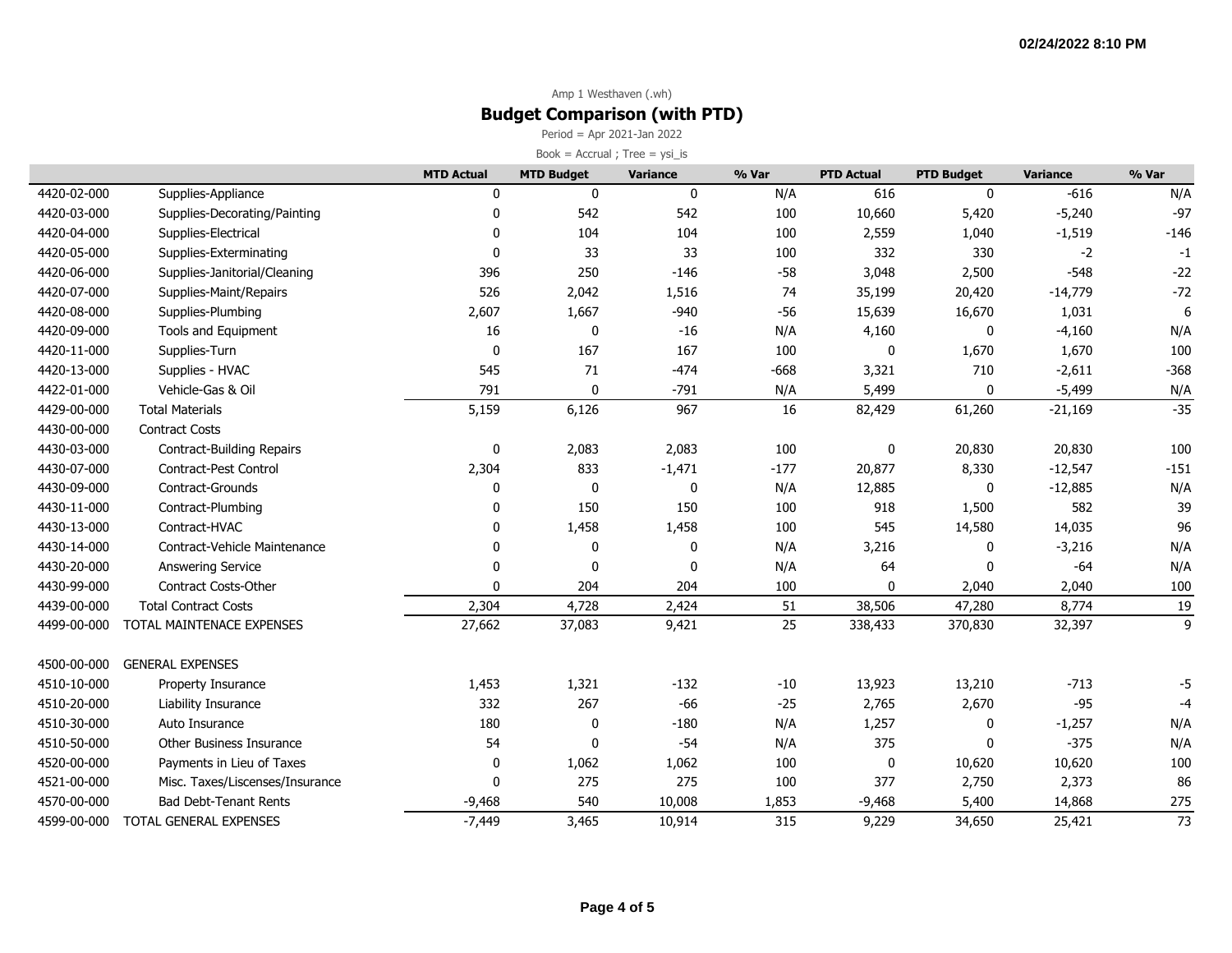Period = Apr 2021-Jan 2022  $Book = Accrual ; Tree = ysi_is$ 

|             |                                 | <b>MTD Actual</b> | <b>MTD Budget</b> | <b>Variance</b> | % Var  | <b>PTD Actual</b> | <b>PTD Budget</b> | <b>Variance</b> | % Var  |
|-------------|---------------------------------|-------------------|-------------------|-----------------|--------|-------------------|-------------------|-----------------|--------|
| 4420-02-000 | Supplies-Appliance              | $\mathbf{0}$      | $\mathbf 0$       | $\mathbf 0$     | N/A    | 616               | $\mathbf{0}$      | $-616$          | N/A    |
| 4420-03-000 | Supplies-Decorating/Painting    | $\mathbf 0$       | 542               | 542             | 100    | 10,660            | 5,420             | $-5,240$        | $-97$  |
| 4420-04-000 | Supplies-Electrical             | $\mathbf{0}$      | 104               | 104             | 100    | 2,559             | 1,040             | $-1,519$        | $-146$ |
| 4420-05-000 | Supplies-Exterminating          | $\mathbf 0$       | 33                | 33              | 100    | 332               | 330               | $-2$            | $-1$   |
| 4420-06-000 | Supplies-Janitorial/Cleaning    | 396               | 250               | $-146$          | $-58$  | 3,048             | 2,500             | $-548$          | $-22$  |
| 4420-07-000 | Supplies-Maint/Repairs          | 526               | 2,042             | 1,516           | 74     | 35,199            | 20,420            | $-14,779$       | $-72$  |
| 4420-08-000 | Supplies-Plumbing               | 2,607             | 1,667             | $-940$          | $-56$  | 15,639            | 16,670            | 1,031           |        |
| 4420-09-000 | Tools and Equipment             | 16                | $\pmb{0}$         | $-16$           | N/A    | 4,160             | $\mathbf 0$       | $-4,160$        | N/A    |
| 4420-11-000 | Supplies-Turn                   | $\mathbf 0$       | 167               | 167             | 100    | 0                 | 1,670             | 1,670           | 100    |
| 4420-13-000 | Supplies - HVAC                 | 545               | 71                | $-474$          | $-668$ | 3,321             | 710               | $-2,611$        | $-368$ |
| 4422-01-000 | Vehicle-Gas & Oil               | 791               | $\mathbf 0$       | $-791$          | N/A    | 5,499             | $\Omega$          | $-5,499$        | N/A    |
| 4429-00-000 | <b>Total Materials</b>          | 5,159             | 6,126             | 967             | 16     | 82,429            | 61,260            | $-21,169$       | $-35$  |
| 4430-00-000 | <b>Contract Costs</b>           |                   |                   |                 |        |                   |                   |                 |        |
| 4430-03-000 | Contract-Building Repairs       | 0                 | 2,083             | 2,083           | 100    | 0                 | 20,830            | 20,830          | 100    |
| 4430-07-000 | Contract-Pest Control           | 2,304             | 833               | $-1,471$        | $-177$ | 20,877            | 8,330             | $-12,547$       | $-151$ |
| 4430-09-000 | Contract-Grounds                | 0                 | $\mathbf 0$       | 0               | N/A    | 12,885            | $\mathbf{0}$      | $-12,885$       | N/A    |
| 4430-11-000 | Contract-Plumbing               | 0                 | 150               | 150             | 100    | 918               | 1,500             | 582             | 39     |
| 4430-13-000 | Contract-HVAC                   | 0                 | 1,458             | 1,458           | 100    | 545               | 14,580            | 14,035          | 96     |
| 4430-14-000 | Contract-Vehicle Maintenance    | $\mathbf{0}$      | 0                 | 0               | N/A    | 3,216             | $\mathbf{0}$      | $-3,216$        | N/A    |
| 4430-20-000 | <b>Answering Service</b>        | $\mathbf{0}$      | 0                 | 0               | N/A    | 64                | $\Omega$          | $-64$           | N/A    |
| 4430-99-000 | <b>Contract Costs-Other</b>     | $\Omega$          | 204               | 204             | 100    | 0                 | 2,040             | 2,040           | 100    |
| 4439-00-000 | <b>Total Contract Costs</b>     | 2,304             | 4,728             | 2,424           | 51     | 38,506            | 47,280            | 8,774           | 19     |
| 4499-00-000 | TOTAL MAINTENACE EXPENSES       | 27,662            | 37,083            | 9,421           | 25     | 338,433           | 370,830           | 32,397          | 9      |
| 4500-00-000 | <b>GENERAL EXPENSES</b>         |                   |                   |                 |        |                   |                   |                 |        |
| 4510-10-000 | Property Insurance              | 1,453             | 1,321             | $-132$          | $-10$  | 13,923            | 13,210            | $-713$          | -5     |
| 4510-20-000 | Liability Insurance             | 332               | 267               | $-66$           | $-25$  | 2,765             | 2,670             | $-95$           | $-4$   |
| 4510-30-000 | Auto Insurance                  | 180               | 0                 | $-180$          | N/A    | 1,257             | 0                 | $-1,257$        | N/A    |
| 4510-50-000 | Other Business Insurance        | 54                | $\mathbf 0$       | $-54$           | N/A    | 375               | $\Omega$          | $-375$          | N/A    |
| 4520-00-000 | Payments in Lieu of Taxes       | 0                 | 1,062             | 1,062           | 100    | 0                 | 10,620            | 10,620          | 100    |
| 4521-00-000 | Misc. Taxes/Liscenses/Insurance | $\mathbf{0}$      | 275               | 275             | 100    | 377               | 2,750             | 2,373           | 86     |
| 4570-00-000 | <b>Bad Debt-Tenant Rents</b>    | $-9,468$          | 540               | 10,008          | 1,853  | $-9,468$          | 5,400             | 14,868          | 275    |
| 4599-00-000 | TOTAL GENERAL EXPENSES          | $-7,449$          | 3,465             | 10,914          | 315    | 9,229             | 34,650            | 25,421          | 73     |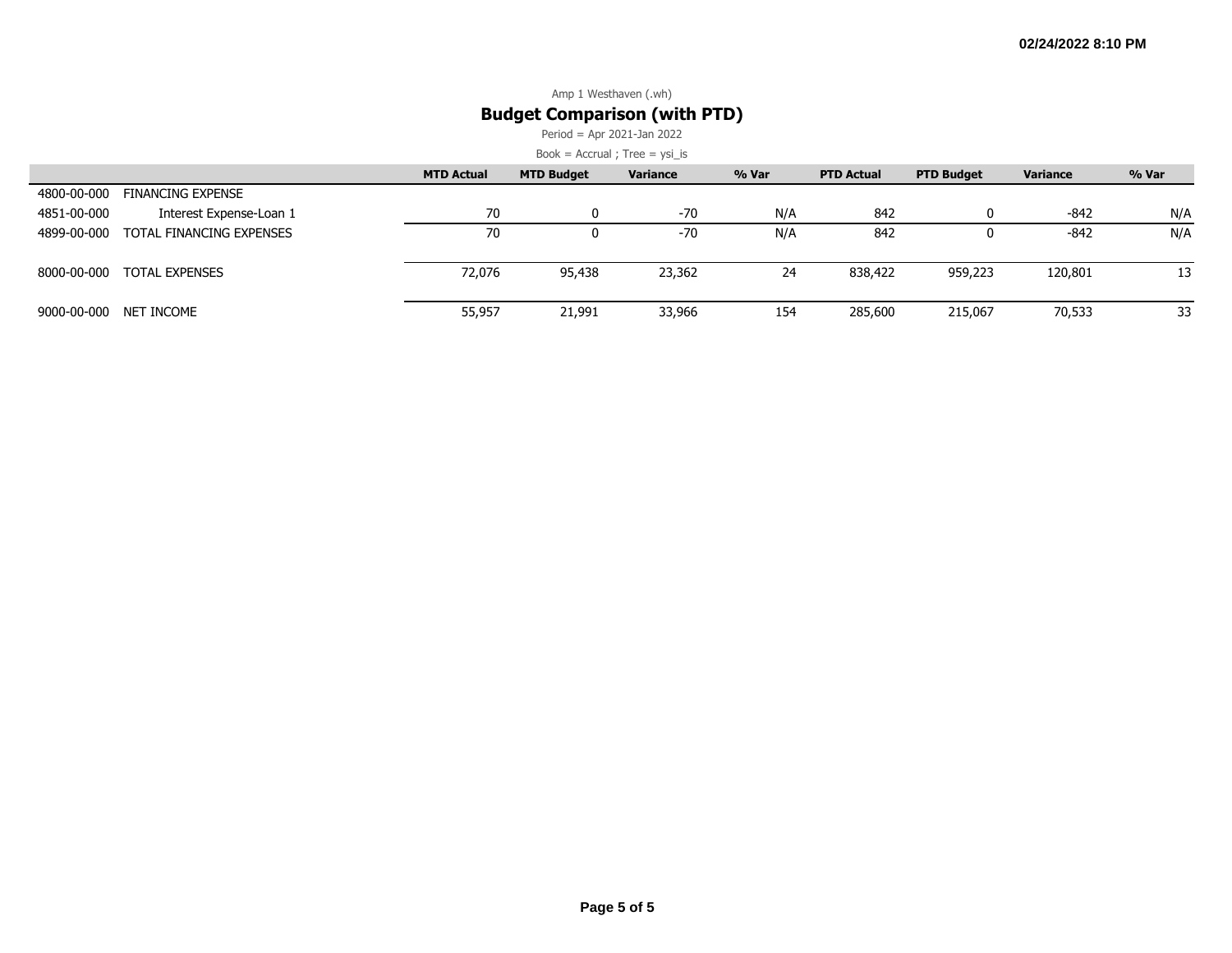Period = Apr 2021-Jan 2022

|             |                          | <b>MTD Actual</b> | <b>MTD Budget</b> | Variance | % Var | <b>PTD Actual</b> | <b>PTD Budget</b> | <b>Variance</b> | % Var |
|-------------|--------------------------|-------------------|-------------------|----------|-------|-------------------|-------------------|-----------------|-------|
| 4800-00-000 | FINANCING EXPENSE        |                   |                   |          |       |                   |                   |                 |       |
| 4851-00-000 | Interest Expense-Loan 1  | 70                |                   | $-70$    | N/A   | 842               |                   | $-842$          | N/A   |
| 4899-00-000 | TOTAL FINANCING EXPENSES | 70                |                   | $-70$    | N/A   | 842               |                   | -842            | N/A   |
| 8000-00-000 | TOTAL EXPENSES           | 72,076            | 95,438            | 23,362   | 24    | 838,422           | 959,223           | 120,801         | 13    |
| 9000-00-000 | NET INCOME               | 55,957            | 21,991            | 33,966   | 154   | 285,600           | 215,067           | 70,533          | 33    |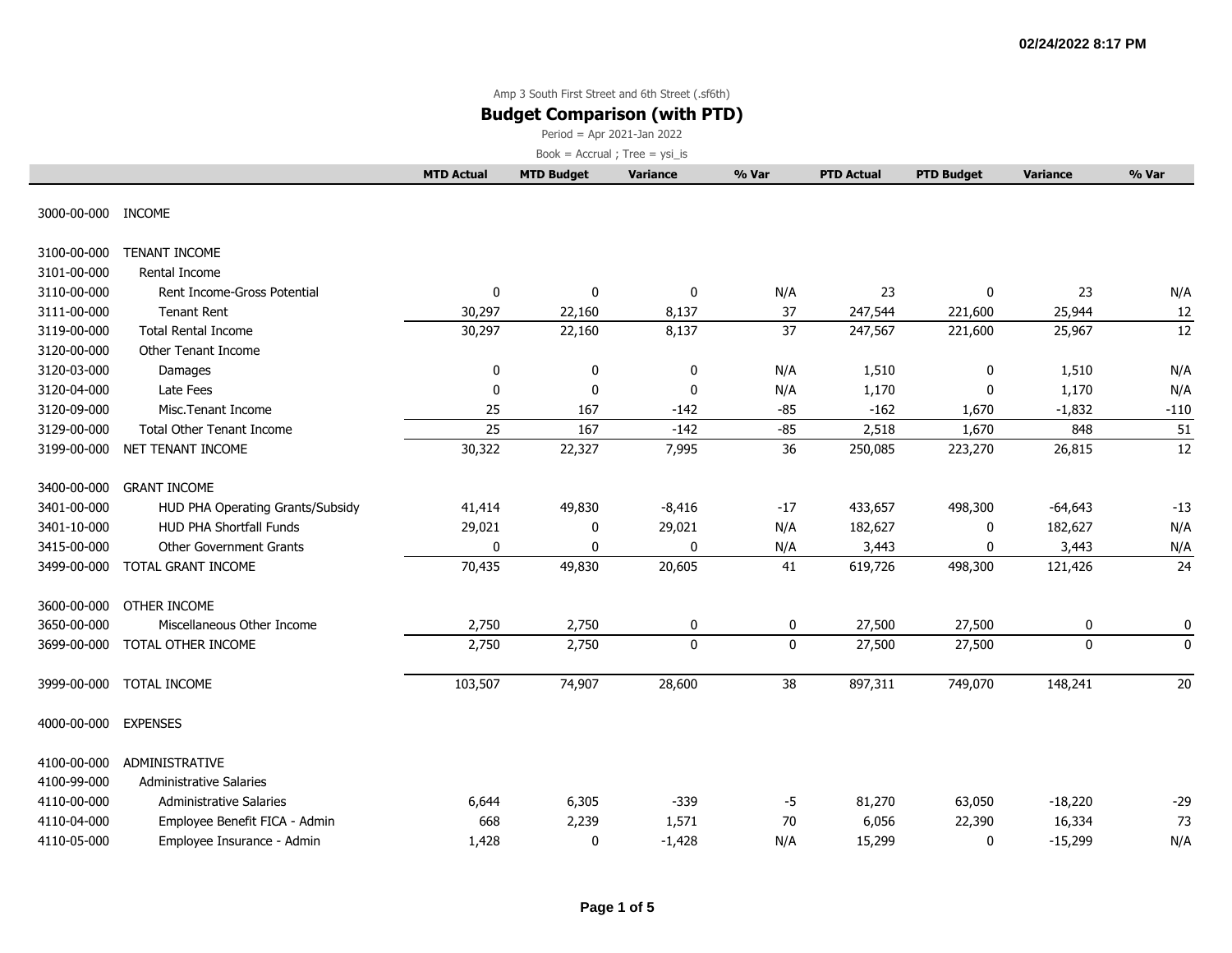### **Budget Comparison (with PTD)**

Period = Apr 2021-Jan 2022

|                    |                                  | <b>MTD Actual</b> | <b>MTD Budget</b> | <b>Variance</b> | % Var        | <b>PTD Actual</b> | <b>PTD Budget</b> | <b>Variance</b> | % Var       |
|--------------------|----------------------------------|-------------------|-------------------|-----------------|--------------|-------------------|-------------------|-----------------|-------------|
| 3000-00-000 INCOME |                                  |                   |                   |                 |              |                   |                   |                 |             |
| 3100-00-000        | <b>TENANT INCOME</b>             |                   |                   |                 |              |                   |                   |                 |             |
| 3101-00-000        | Rental Income                    |                   |                   |                 |              |                   |                   |                 |             |
| 3110-00-000        | Rent Income-Gross Potential      | 0                 | 0                 | 0               | N/A          | 23                | 0                 | 23              | N/A         |
| 3111-00-000        | <b>Tenant Rent</b>               | 30,297            | 22,160            | 8,137           | 37           | 247,544           | 221,600           | 25,944          | 12          |
| 3119-00-000        | <b>Total Rental Income</b>       | 30,297            | 22,160            | 8,137           | 37           | 247,567           | 221,600           | 25,967          | 12          |
| 3120-00-000        | Other Tenant Income              |                   |                   |                 |              |                   |                   |                 |             |
| 3120-03-000        | Damages                          | 0                 | 0                 | 0               | N/A          | 1,510             | 0                 | 1,510           | N/A         |
| 3120-04-000        | Late Fees                        | 0                 | 0                 | 0               | N/A          | 1,170             | $\mathbf 0$       | 1,170           | N/A         |
| 3120-09-000        | Misc.Tenant Income               | 25                | 167               | $-142$          | $-85$        | $-162$            | 1,670             | $-1,832$        | $-110$      |
| 3129-00-000        | <b>Total Other Tenant Income</b> | 25                | 167               | $-142$          | $-85$        | 2,518             | 1,670             | 848             | 51          |
| 3199-00-000        | NET TENANT INCOME                | 30,322            | 22,327            | 7,995           | 36           | 250,085           | 223,270           | 26,815          | 12          |
| 3400-00-000        | <b>GRANT INCOME</b>              |                   |                   |                 |              |                   |                   |                 |             |
| 3401-00-000        | HUD PHA Operating Grants/Subsidy | 41,414            | 49,830            | $-8,416$        | $-17$        | 433,657           | 498,300           | $-64,643$       | $-13$       |
| 3401-10-000        | HUD PHA Shortfall Funds          | 29,021            | 0                 | 29,021          | N/A          | 182,627           | 0                 | 182,627         | N/A         |
| 3415-00-000        | Other Government Grants          | 0                 | 0                 | $\mathbf{0}$    | N/A          | 3,443             | 0                 | 3,443           | N/A         |
| 3499-00-000        | TOTAL GRANT INCOME               | 70,435            | 49,830            | 20,605          | 41           | 619,726           | 498,300           | 121,426         | 24          |
| 3600-00-000        | OTHER INCOME                     |                   |                   |                 |              |                   |                   |                 |             |
| 3650-00-000        | Miscellaneous Other Income       | 2,750             | 2,750             | 0               | 0            | 27,500            | 27,500            | 0               | 0           |
| 3699-00-000        | TOTAL OTHER INCOME               | 2,750             | 2,750             | $\mathbf 0$     | $\mathbf{0}$ | 27,500            | 27,500            | 0               | $\mathbf 0$ |
| 3999-00-000        | TOTAL INCOME                     | 103,507           | 74,907            | 28,600          | 38           | 897,311           | 749,070           | 148,241         | 20          |
| 4000-00-000        | <b>EXPENSES</b>                  |                   |                   |                 |              |                   |                   |                 |             |
| 4100-00-000        | <b>ADMINISTRATIVE</b>            |                   |                   |                 |              |                   |                   |                 |             |
| 4100-99-000        | <b>Administrative Salaries</b>   |                   |                   |                 |              |                   |                   |                 |             |
| 4110-00-000        | <b>Administrative Salaries</b>   | 6,644             | 6,305             | $-339$          | $-5$         | 81,270            | 63,050            | $-18,220$       | $-29$       |
| 4110-04-000        | Employee Benefit FICA - Admin    | 668               | 2,239             | 1,571           | 70           | 6,056             | 22,390            | 16,334          | 73          |
| 4110-05-000        | Employee Insurance - Admin       | 1,428             | 0                 | $-1,428$        | N/A          | 15,299            | 0                 | $-15,299$       | N/A         |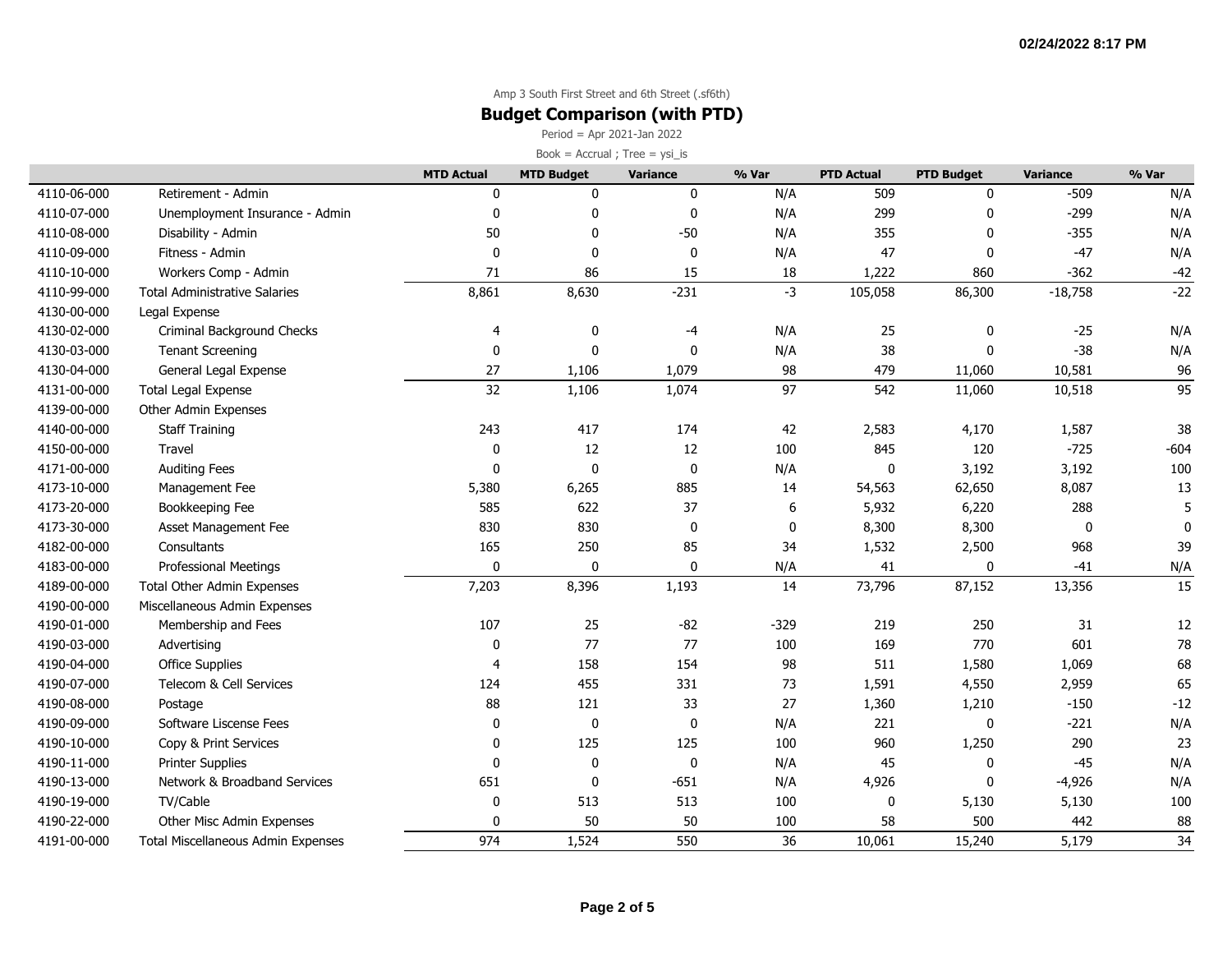### **Budget Comparison (with PTD)**

Period = Apr 2021-Jan 2022

|             |                                           | <b>MTD Actual</b> | <b>MTD Budget</b> | Variance    | % Var  | <b>PTD Actual</b> | <b>PTD Budget</b> | <b>Variance</b> | % Var       |
|-------------|-------------------------------------------|-------------------|-------------------|-------------|--------|-------------------|-------------------|-----------------|-------------|
| 4110-06-000 | Retirement - Admin                        | 0                 | 0                 | 0           | N/A    | 509               | 0                 | $-509$          | N/A         |
| 4110-07-000 | Unemployment Insurance - Admin            | 0                 | $\mathbf 0$       | $\mathbf 0$ | N/A    | 299               | $\mathbf{0}$      | $-299$          | N/A         |
| 4110-08-000 | Disability - Admin                        | 50                | 0                 | $-50$       | N/A    | 355               | $\mathbf{0}$      | $-355$          | N/A         |
| 4110-09-000 | Fitness - Admin                           | 0                 | $\mathbf 0$       | $\mathbf 0$ | N/A    | 47                | $\mathbf 0$       | $-47$           | N/A         |
| 4110-10-000 | Workers Comp - Admin                      | 71                | 86                | 15          | 18     | 1,222             | 860               | $-362$          | $-42$       |
| 4110-99-000 | <b>Total Administrative Salaries</b>      | 8,861             | 8,630             | $-231$      | $-3$   | 105,058           | 86,300            | $-18,758$       | $-22$       |
| 4130-00-000 | Legal Expense                             |                   |                   |             |        |                   |                   |                 |             |
| 4130-02-000 | Criminal Background Checks                | 4                 | 0                 | $-4$        | N/A    | 25                | 0                 | $-25$           | N/A         |
| 4130-03-000 | <b>Tenant Screening</b>                   | 0                 | 0                 | $\mathbf 0$ | N/A    | 38                | $\mathbf 0$       | $-38$           | N/A         |
| 4130-04-000 | General Legal Expense                     | 27                | 1,106             | 1,079       | 98     | 479               | 11,060            | 10,581          | 96          |
| 4131-00-000 | <b>Total Legal Expense</b>                | 32                | 1,106             | 1,074       | 97     | 542               | 11,060            | 10,518          | 95          |
| 4139-00-000 | Other Admin Expenses                      |                   |                   |             |        |                   |                   |                 |             |
| 4140-00-000 | <b>Staff Training</b>                     | 243               | 417               | 174         | 42     | 2,583             | 4,170             | 1,587           | 38          |
| 4150-00-000 | Travel                                    | 0                 | 12                | $12\,$      | 100    | 845               | 120               | $-725$          | $-604$      |
| 4171-00-000 | <b>Auditing Fees</b>                      | 0                 | $\mathbf 0$       | $\mathbf 0$ | N/A    | $\mathbf 0$       | 3,192             | 3,192           | 100         |
| 4173-10-000 | Management Fee                            | 5,380             | 6,265             | 885         | 14     | 54,563            | 62,650            | 8,087           | 13          |
| 4173-20-000 | Bookkeeping Fee                           | 585               | 622               | 37          | 6      | 5,932             | 6,220             | 288             | 5           |
| 4173-30-000 | Asset Management Fee                      | 830               | 830               | $\mathbf 0$ | 0      | 8,300             | 8,300             | 0               | $\mathbf 0$ |
| 4182-00-000 | Consultants                               | 165               | 250               | 85          | 34     | 1,532             | 2,500             | 968             | 39          |
| 4183-00-000 | Professional Meetings                     | 0                 | $\pmb{0}$         | 0           | N/A    | 41                | $\pmb{0}$         | $-41$           | N/A         |
| 4189-00-000 | Total Other Admin Expenses                | 7,203             | 8,396             | 1,193       | 14     | 73,796            | 87,152            | 13,356          | 15          |
| 4190-00-000 | Miscellaneous Admin Expenses              |                   |                   |             |        |                   |                   |                 |             |
| 4190-01-000 | Membership and Fees                       | 107               | 25                | $-82$       | $-329$ | 219               | 250               | 31              | 12          |
| 4190-03-000 | Advertising                               | $\mathbf 0$       | 77                | 77          | 100    | 169               | 770               | 601             | 78          |
| 4190-04-000 | <b>Office Supplies</b>                    | 4                 | 158               | 154         | 98     | 511               | 1,580             | 1,069           | 68          |
| 4190-07-000 | Telecom & Cell Services                   | 124               | 455               | 331         | 73     | 1,591             | 4,550             | 2,959           | 65          |
| 4190-08-000 | Postage                                   | 88                | 121               | 33          | 27     | 1,360             | 1,210             | $-150$          | $-12$       |
| 4190-09-000 | Software Liscense Fees                    | 0                 | $\pmb{0}$         | $\mathbf 0$ | N/A    | 221               | $\pmb{0}$         | $-221$          | N/A         |
| 4190-10-000 | Copy & Print Services                     | 0                 | 125               | 125         | 100    | 960               | 1,250             | 290             | 23          |
| 4190-11-000 | <b>Printer Supplies</b>                   | $\pmb{0}$         | $\pmb{0}$         | $\mathbf 0$ | N/A    | 45                | $\mathbf 0$       | $-45$           | N/A         |
| 4190-13-000 | Network & Broadband Services              | 651               | 0                 | $-651$      | N/A    | 4,926             | $\mathbf{0}$      | $-4,926$        | N/A         |
| 4190-19-000 | TV/Cable                                  | $\mathbf 0$       | 513               | 513         | 100    | 0                 | 5,130             | 5,130           | 100         |
| 4190-22-000 | Other Misc Admin Expenses                 | 0                 | 50                | 50          | 100    | 58                | 500               | 442             | 88          |
| 4191-00-000 | <b>Total Miscellaneous Admin Expenses</b> | 974               | 1,524             | 550         | 36     | 10,061            | 15,240            | 5,179           | 34          |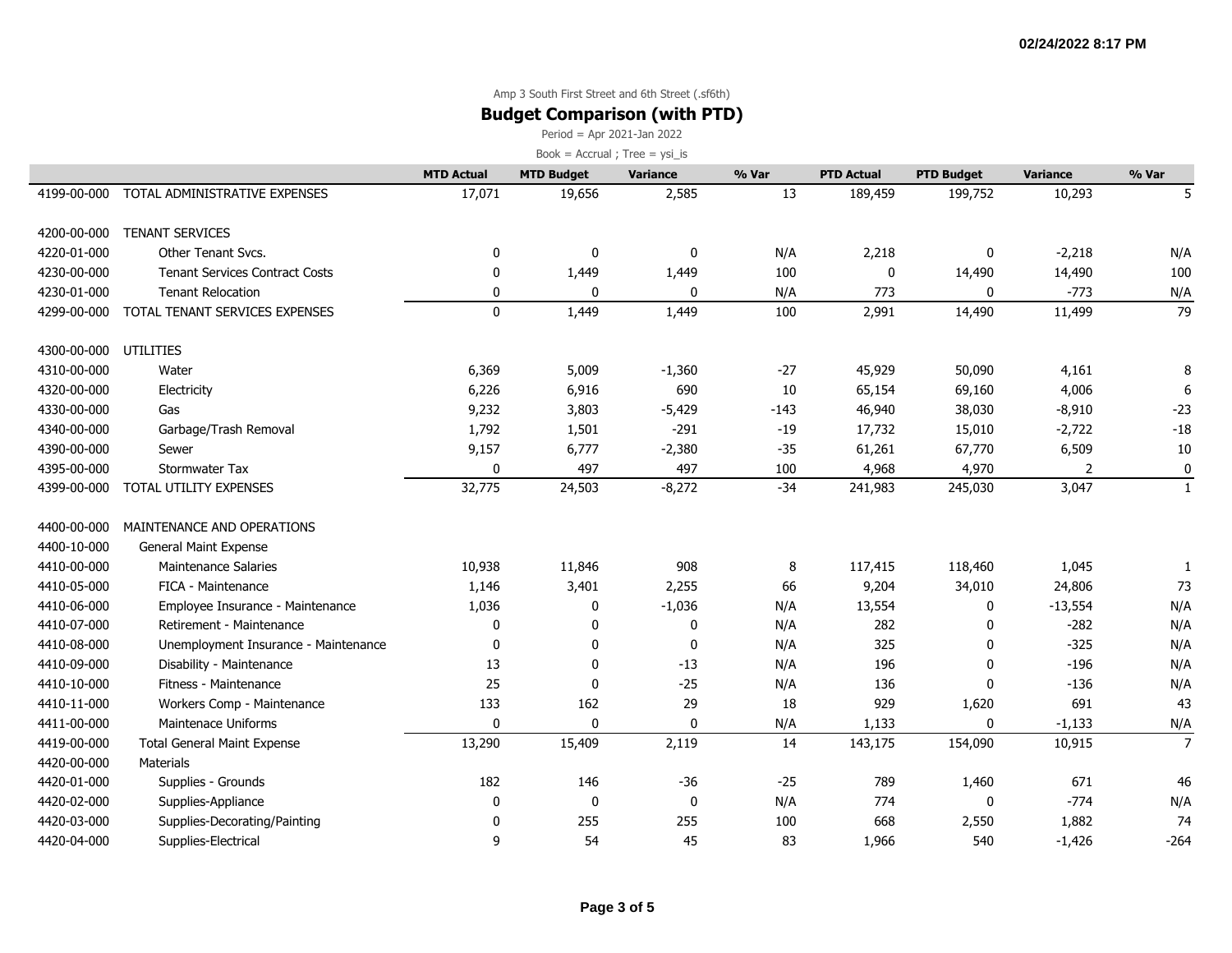### **Budget Comparison (with PTD)**

Period = Apr 2021-Jan 2022

|             |                                       | <b>MTD Actual</b> | <b>MTD Budget</b> | <b>Variance</b> | % Var  | <b>PTD Actual</b> | <b>PTD Budget</b> | <b>Variance</b> | % Var          |
|-------------|---------------------------------------|-------------------|-------------------|-----------------|--------|-------------------|-------------------|-----------------|----------------|
| 4199-00-000 | TOTAL ADMINISTRATIVE EXPENSES         | 17,071            | 19,656            | 2,585           | 13     | 189,459           | 199,752           | 10,293          |                |
| 4200-00-000 | <b>TENANT SERVICES</b>                |                   |                   |                 |        |                   |                   |                 |                |
| 4220-01-000 | Other Tenant Svcs.                    | $\mathbf{0}$      | 0                 | 0               | N/A    | 2,218             | $\mathbf 0$       | $-2,218$        | N/A            |
| 4230-00-000 | <b>Tenant Services Contract Costs</b> | 0                 | 1,449             | 1,449           | 100    | 0                 | 14,490            | 14,490          | 100            |
| 4230-01-000 | <b>Tenant Relocation</b>              | 0                 | 0                 | 0               | N/A    | 773               | $\mathbf 0$       | $-773$          | N/A            |
| 4299-00-000 | TOTAL TENANT SERVICES EXPENSES        | $\mathbf 0$       | 1,449             | 1,449           | 100    | 2,991             | 14,490            | 11,499          | 79             |
| 4300-00-000 | UTILITIES                             |                   |                   |                 |        |                   |                   |                 |                |
| 4310-00-000 | Water                                 | 6,369             | 5,009             | $-1,360$        | $-27$  | 45,929            | 50,090            | 4,161           | 8              |
| 4320-00-000 | Electricity                           | 6,226             | 6,916             | 690             | 10     | 65,154            | 69,160            | 4,006           | 6              |
| 4330-00-000 | Gas                                   | 9,232             | 3,803             | $-5,429$        | $-143$ | 46,940            | 38,030            | $-8,910$        | $-23$          |
| 4340-00-000 | Garbage/Trash Removal                 | 1,792             | 1,501             | $-291$          | $-19$  | 17,732            | 15,010            | $-2,722$        | $-18$          |
| 4390-00-000 | Sewer                                 | 9,157             | 6,777             | $-2,380$        | $-35$  | 61,261            | 67,770            | 6,509           | $10\,$         |
| 4395-00-000 | <b>Stormwater Tax</b>                 | $\mathbf{0}$      | 497               | 497             | 100    | 4,968             | 4,970             | 2               | 0              |
| 4399-00-000 | TOTAL UTILITY EXPENSES                | 32,775            | 24,503            | $-8,272$        | $-34$  | 241,983           | 245,030           | 3,047           | $\mathbf{1}$   |
| 4400-00-000 | MAINTENANCE AND OPERATIONS            |                   |                   |                 |        |                   |                   |                 |                |
| 4400-10-000 | <b>General Maint Expense</b>          |                   |                   |                 |        |                   |                   |                 |                |
| 4410-00-000 | <b>Maintenance Salaries</b>           | 10,938            | 11,846            | 908             | 8      | 117,415           | 118,460           | 1,045           | $\mathbf{1}$   |
| 4410-05-000 | FICA - Maintenance                    | 1,146             | 3,401             | 2,255           | 66     | 9,204             | 34,010            | 24,806          | 73             |
| 4410-06-000 | Employee Insurance - Maintenance      | 1,036             | 0                 | $-1,036$        | N/A    | 13,554            | $\mathbf 0$       | $-13,554$       | N/A            |
| 4410-07-000 | Retirement - Maintenance              | 0                 | 0                 | 0               | N/A    | 282               | 0                 | $-282$          | N/A            |
| 4410-08-000 | Unemployment Insurance - Maintenance  | $\mathbf 0$       | 0                 | 0               | N/A    | 325               | $\Omega$          | $-325$          | N/A            |
| 4410-09-000 | Disability - Maintenance              | 13                | $\mathbf 0$       | $-13$           | N/A    | 196               | $\Omega$          | $-196$          | N/A            |
| 4410-10-000 | Fitness - Maintenance                 | 25                | $\mathbf{0}$      | $-25$           | N/A    | 136               | $\Omega$          | $-136$          | N/A            |
| 4410-11-000 | Workers Comp - Maintenance            | 133               | 162               | 29              | 18     | 929               | 1,620             | 691             | 43             |
| 4411-00-000 | <b>Maintenace Uniforms</b>            | $\Omega$          | $\mathbf 0$       | 0               | N/A    | 1,133             | $\Omega$          | $-1,133$        | N/A            |
| 4419-00-000 | <b>Total General Maint Expense</b>    | 13,290            | 15,409            | 2,119           | 14     | 143,175           | 154,090           | 10,915          | $\overline{7}$ |
| 4420-00-000 | <b>Materials</b>                      |                   |                   |                 |        |                   |                   |                 |                |
| 4420-01-000 | Supplies - Grounds                    | 182               | 146               | $-36$           | $-25$  | 789               | 1,460             | 671             | 46             |
| 4420-02-000 | Supplies-Appliance                    | $\mathbf 0$       | $\pmb{0}$         | 0               | N/A    | 774               | $\mathbf 0$       | $-774$          | N/A            |
| 4420-03-000 | Supplies-Decorating/Painting          | $\mathbf{0}$      | 255               | 255             | 100    | 668               | 2,550             | 1,882           | 74             |
| 4420-04-000 | Supplies-Electrical                   | 9                 | 54                | 45              | 83     | 1,966             | 540               | $-1,426$        | $-264$         |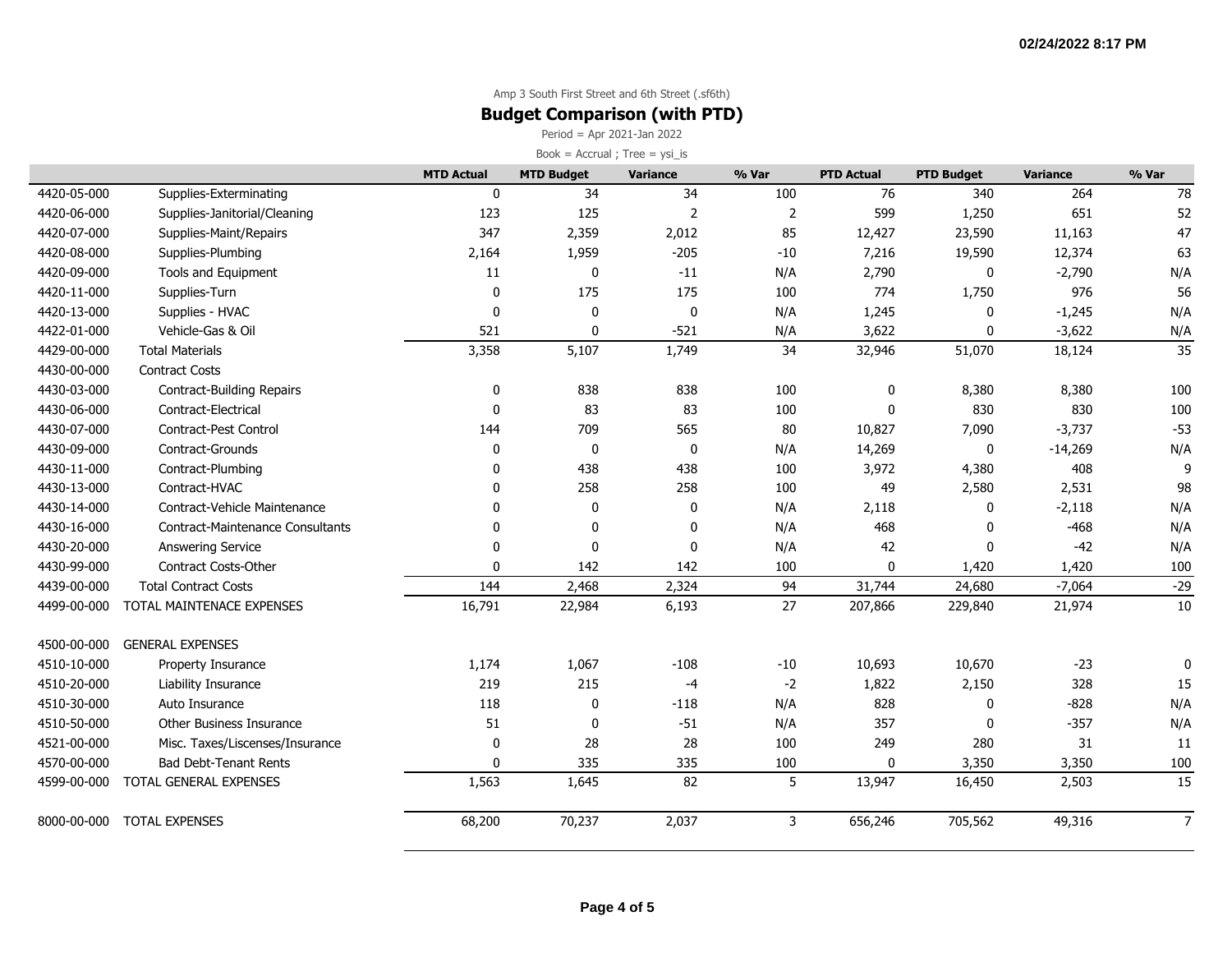### **Budget Comparison (with PTD)**

Period = Apr 2021-Jan 2022

|             |                                         | <b>MTD Actual</b> | <b>MTD Budget</b> | Variance       | % Var          | <b>PTD Actual</b> | <b>PTD Budget</b> | <b>Variance</b> | % Var           |
|-------------|-----------------------------------------|-------------------|-------------------|----------------|----------------|-------------------|-------------------|-----------------|-----------------|
| 4420-05-000 | Supplies-Exterminating                  | $\mathbf{0}$      | 34                | 34             | 100            | 76                | 340               | 264             | 78              |
| 4420-06-000 | Supplies-Janitorial/Cleaning            | 123               | 125               | $\overline{2}$ | $\overline{2}$ | 599               | 1,250             | 651             | 52              |
| 4420-07-000 | Supplies-Maint/Repairs                  | 347               | 2,359             | 2,012          | 85             | 12,427            | 23,590            | 11,163          | 47              |
| 4420-08-000 | Supplies-Plumbing                       | 2,164             | 1,959             | $-205$         | $-10$          | 7,216             | 19,590            | 12,374          | 63              |
| 4420-09-000 | Tools and Equipment                     | 11                | $\pmb{0}$         | $-11$          | N/A            | 2,790             | 0                 | $-2,790$        | N/A             |
| 4420-11-000 | Supplies-Turn                           | $\mathbf 0$       | 175               | 175            | 100            | 774               | 1,750             | 976             | 56              |
| 4420-13-000 | Supplies - HVAC                         | $\mathbf 0$       | 0                 | $\mathbf 0$    | N/A            | 1,245             | 0                 | $-1,245$        | N/A             |
| 4422-01-000 | Vehicle-Gas & Oil                       | 521               | $\mathbf 0$       | $-521$         | N/A            | 3,622             | $\mathbf 0$       | $-3,622$        | N/A             |
| 4429-00-000 | <b>Total Materials</b>                  | 3,358             | 5,107             | 1,749          | 34             | 32,946            | 51,070            | 18,124          | $\overline{35}$ |
| 4430-00-000 | <b>Contract Costs</b>                   |                   |                   |                |                |                   |                   |                 |                 |
| 4430-03-000 | <b>Contract-Building Repairs</b>        | 0                 | 838               | 838            | 100            | 0                 | 8,380             | 8,380           | 100             |
| 4430-06-000 | Contract-Electrical                     | 0                 | 83                | 83             | 100            | $\mathbf{0}$      | 830               | 830             | 100             |
| 4430-07-000 | Contract-Pest Control                   | 144               | 709               | 565            | 80             | 10,827            | 7,090             | $-3,737$        | $-53$           |
| 4430-09-000 | Contract-Grounds                        | 0                 | $\pmb{0}$         | 0              | N/A            | 14,269            | $\mathbf 0$       | $-14,269$       | N/A             |
| 4430-11-000 | Contract-Plumbing                       | 0                 | 438               | 438            | 100            | 3,972             | 4,380             | 408             | $\mathbf{q}$    |
| 4430-13-000 | Contract-HVAC                           | $\Omega$          | 258               | 258            | 100            | 49                | 2,580             | 2,531           | 98              |
| 4430-14-000 | Contract-Vehicle Maintenance            | 0                 | 0                 | 0              | N/A            | 2,118             | 0                 | $-2,118$        | N/A             |
| 4430-16-000 | <b>Contract-Maintenance Consultants</b> | 0                 | $\boldsymbol{0}$  | 0              | N/A            | 468               | $\Omega$          | $-468$          | N/A             |
| 4430-20-000 | Answering Service                       | $\mathbf{0}$      | $\mathbf 0$       | $\mathbf{0}$   | N/A            | 42                | $\mathbf 0$       | $-42$           | N/A             |
| 4430-99-000 | <b>Contract Costs-Other</b>             | $\mathbf{0}$      | 142               | 142            | 100            | $\mathbf{0}$      | 1,420             | 1,420           | 100             |
| 4439-00-000 | <b>Total Contract Costs</b>             | 144               | 2,468             | 2,324          | 94             | 31,744            | 24,680            | $-7,064$        | $-29$           |
| 4499-00-000 | TOTAL MAINTENACE EXPENSES               | 16,791            | 22,984            | 6,193          | 27             | 207,866           | 229,840           | 21,974          | 10              |
| 4500-00-000 | <b>GENERAL EXPENSES</b>                 |                   |                   |                |                |                   |                   |                 |                 |
| 4510-10-000 | Property Insurance                      | 1,174             | 1,067             | $-108$         | $-10$          | 10,693            | 10,670            | $-23$           | 0               |
| 4510-20-000 | Liability Insurance                     | 219               | 215               | $-4$           | $-2$           | 1,822             | 2,150             | 328             | 15              |
| 4510-30-000 | Auto Insurance                          | 118               | 0                 | $-118$         | N/A            | 828               | $\mathbf 0$       | $-828$          | N/A             |
| 4510-50-000 | Other Business Insurance                | 51                | $\pmb{0}$         | $-51$          | N/A            | 357               | $\mathbf 0$       | $-357$          | N/A             |
| 4521-00-000 | Misc. Taxes/Liscenses/Insurance         | $\mathbf 0$       | 28                | 28             | 100            | 249               | 280               | 31              | 11              |
| 4570-00-000 | <b>Bad Debt-Tenant Rents</b>            | $\mathbf{0}$      | 335               | 335            | 100            | 0                 | 3,350             | 3,350           | 100             |
| 4599-00-000 | TOTAL GENERAL EXPENSES                  | 1,563             | 1,645             | 82             | 5              | 13,947            | 16,450            | 2,503           | 15              |
| 8000-00-000 | <b>TOTAL EXPENSES</b>                   | 68,200            | 70,237            | 2,037          | $\overline{3}$ | 656,246           | 705,562           | 49,316          | $\overline{7}$  |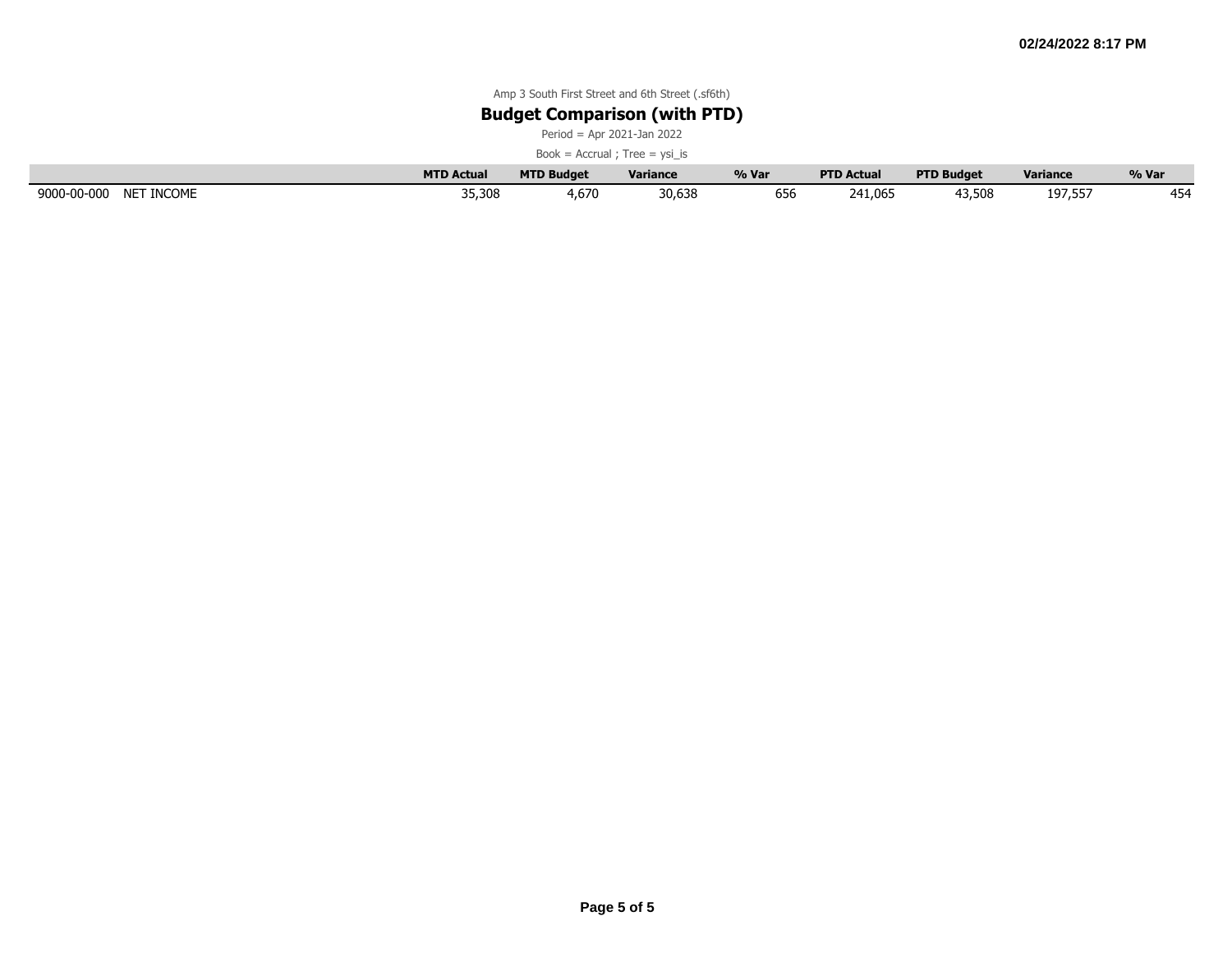### **Budget Comparison (with PTD)**

Period = Apr 2021-Jan 2022

|                           | <b>MTD Actual</b> | <b>MTD Budget</b> | <b>Variance</b> | % Var                       | <b>PTD Actual</b> | <b>PTD Budget</b> | <b>Variance</b> | % Var |
|---------------------------|-------------------|-------------------|-----------------|-----------------------------|-------------------|-------------------|-----------------|-------|
| 9000-00-000<br>NET INCOME | 35,308            | 4,670             | 30,638          | $\sim$ $\sim$ $\sim$<br>656 | 241.065           | 13,508            | 197,557         | 454   |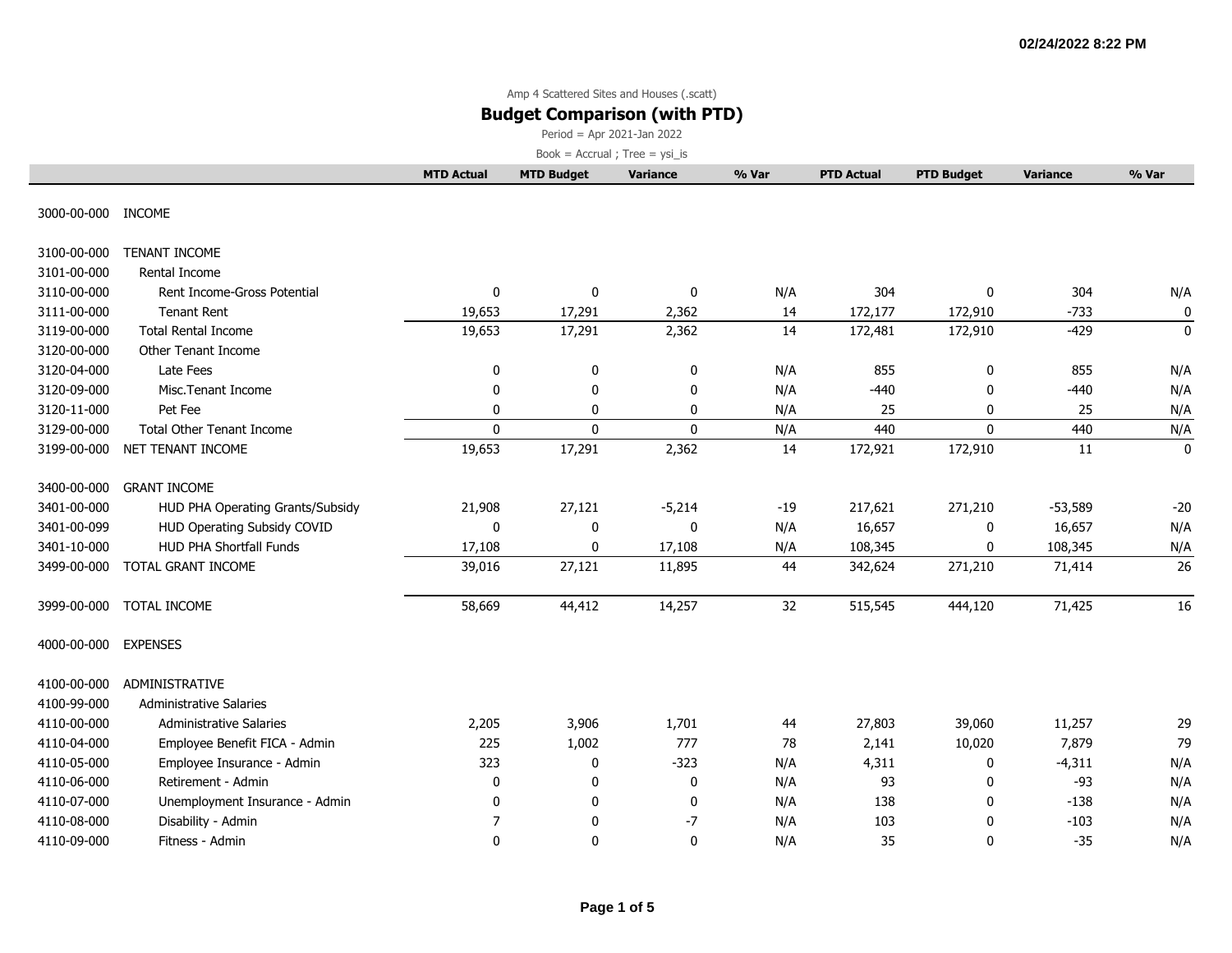### **Budget Comparison (with PTD)**

Period = Apr 2021-Jan 2022

|                    |                                  | <b>MTD Actual</b> | <b>MTD Budget</b> | <b>Variance</b> | % Var | <b>PTD Actual</b> | <b>PTD Budget</b> | <b>Variance</b> | % Var       |
|--------------------|----------------------------------|-------------------|-------------------|-----------------|-------|-------------------|-------------------|-----------------|-------------|
| 3000-00-000 INCOME |                                  |                   |                   |                 |       |                   |                   |                 |             |
| 3100-00-000        | <b>TENANT INCOME</b>             |                   |                   |                 |       |                   |                   |                 |             |
| 3101-00-000        | Rental Income                    |                   |                   |                 |       |                   |                   |                 |             |
| 3110-00-000        | Rent Income-Gross Potential      | $\mathbf 0$       | 0                 | 0               | N/A   | 304               | $\mathbf 0$       | 304             | N/A         |
| 3111-00-000        | <b>Tenant Rent</b>               | 19,653            | 17,291            | 2,362           | 14    | 172,177           | 172,910           | $-733$          | 0           |
| 3119-00-000        | <b>Total Rental Income</b>       | 19,653            | 17,291            | 2,362           | 14    | 172,481           | 172,910           | $-429$          | $\pmb{0}$   |
| 3120-00-000        | Other Tenant Income              |                   |                   |                 |       |                   |                   |                 |             |
| 3120-04-000        | Late Fees                        | 0                 | $\mathbf 0$       | 0               | N/A   | 855               | 0                 | 855             | N/A         |
| 3120-09-000        | Misc.Tenant Income               | $\mathbf 0$       | 0                 | 0               | N/A   | $-440$            | 0                 | $-440$          | N/A         |
| 3120-11-000        | Pet Fee                          | $\mathbf 0$       | 0                 | 0               | N/A   | 25                | 0                 | 25              | N/A         |
| 3129-00-000        | <b>Total Other Tenant Income</b> | $\mathbf{0}$      | $\mathbf 0$       | $\mathbf 0$     | N/A   | 440               | $\mathbf{0}$      | 440             | N/A         |
| 3199-00-000        | NET TENANT INCOME                | 19,653            | 17,291            | 2,362           | 14    | 172,921           | 172,910           | 11              | $\mathbf 0$ |
| 3400-00-000        | <b>GRANT INCOME</b>              |                   |                   |                 |       |                   |                   |                 |             |
| 3401-00-000        | HUD PHA Operating Grants/Subsidy | 21,908            | 27,121            | $-5,214$        | $-19$ | 217,621           | 271,210           | $-53,589$       | $-20$       |
| 3401-00-099        | HUD Operating Subsidy COVID      | $\mathbf 0$       | 0                 | $\mathbf 0$     | N/A   | 16,657            | 0                 | 16,657          | N/A         |
| 3401-10-000        | <b>HUD PHA Shortfall Funds</b>   | 17,108            | 0                 | 17,108          | N/A   | 108,345           | $\mathbf{0}$      | 108,345         | N/A         |
| 3499-00-000        | TOTAL GRANT INCOME               | 39,016            | 27,121            | 11,895          | 44    | 342,624           | 271,210           | 71,414          | 26          |
| 3999-00-000        | TOTAL INCOME                     | 58,669            | 44,412            | 14,257          | 32    | 515,545           | 444,120           | 71,425          | 16          |
| 4000-00-000        | <b>EXPENSES</b>                  |                   |                   |                 |       |                   |                   |                 |             |
| 4100-00-000        | ADMINISTRATIVE                   |                   |                   |                 |       |                   |                   |                 |             |
| 4100-99-000        | <b>Administrative Salaries</b>   |                   |                   |                 |       |                   |                   |                 |             |
| 4110-00-000        | <b>Administrative Salaries</b>   | 2,205             | 3,906             | 1,701           | 44    | 27,803            | 39,060            | 11,257          | 29          |
| 4110-04-000        | Employee Benefit FICA - Admin    | 225               | 1,002             | 777             | 78    | 2,141             | 10,020            | 7,879           | 79          |
| 4110-05-000        | Employee Insurance - Admin       | 323               | 0                 | $-323$          | N/A   | 4,311             | 0                 | $-4,311$        | N/A         |
| 4110-06-000        | Retirement - Admin               | 0                 | 0                 | 0               | N/A   | 93                | $\mathbf 0$       | $-93$           | N/A         |
| 4110-07-000        | Unemployment Insurance - Admin   | $\mathbf 0$       | 0                 | 0               | N/A   | 138               | $\mathbf 0$       | $-138$          | N/A         |
| 4110-08-000        | Disability - Admin               | 7                 | 0                 | -7              | N/A   | 103               | 0                 | $-103$          | N/A         |
| 4110-09-000        | Fitness - Admin                  | $\Omega$          | $\Omega$          | 0               | N/A   | 35                | $\mathbf{0}$      | $-35$           | N/A         |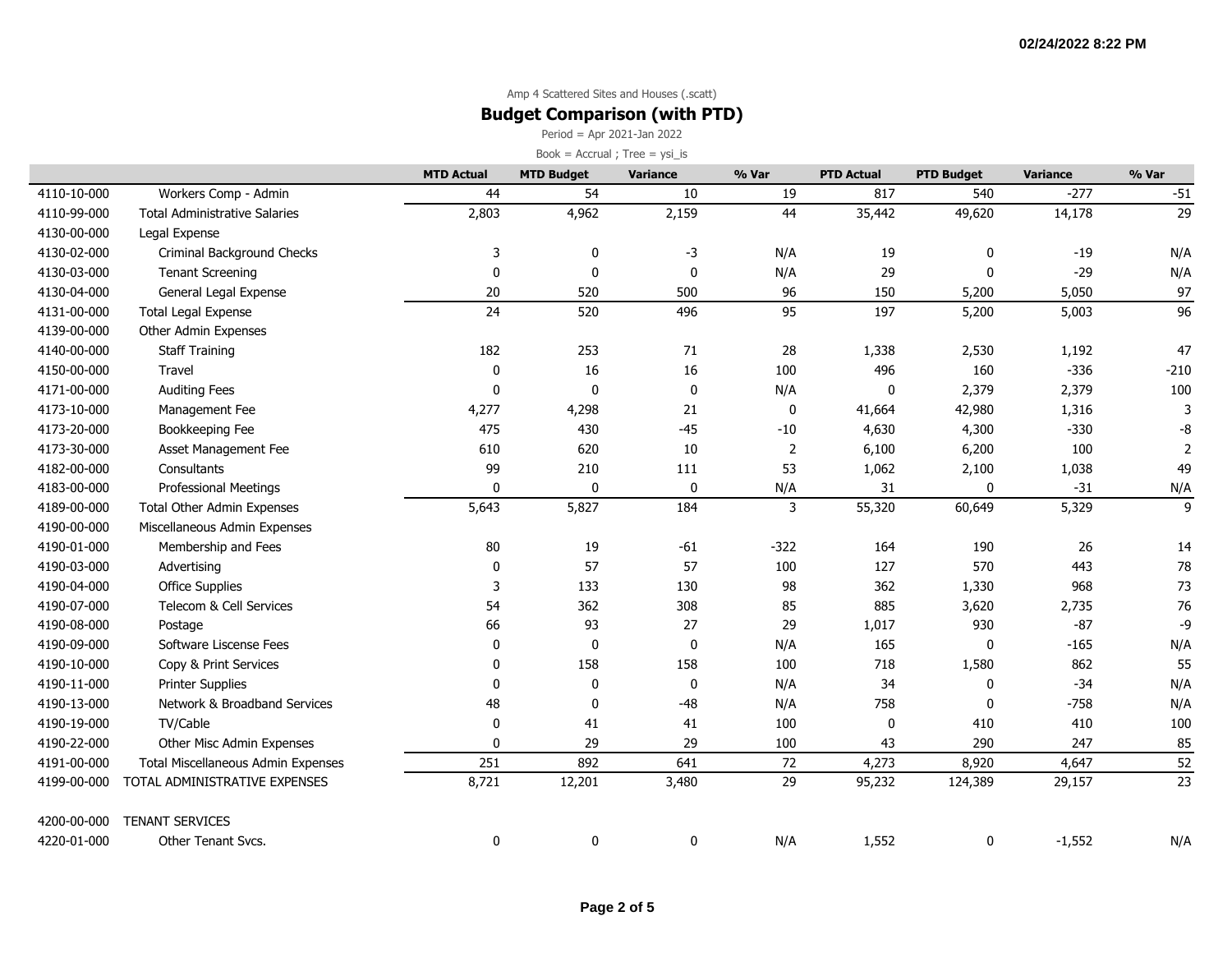### **Budget Comparison (with PTD)**

Period = Apr 2021-Jan 2022

|             |                                      | <b>MTD Actual</b> | <b>MTD Budget</b> | Variance    | % Var          | <b>PTD Actual</b> | <b>PTD Budget</b> | <b>Variance</b> | % Var           |
|-------------|--------------------------------------|-------------------|-------------------|-------------|----------------|-------------------|-------------------|-----------------|-----------------|
| 4110-10-000 | Workers Comp - Admin                 | 44                | 54                | 10          | 19             | 817               | 540               | $-277$          | $-51$           |
| 4110-99-000 | <b>Total Administrative Salaries</b> | 2,803             | 4,962             | 2,159       | 44             | 35,442            | 49,620            | 14,178          | 29              |
| 4130-00-000 | Legal Expense                        |                   |                   |             |                |                   |                   |                 |                 |
| 4130-02-000 | Criminal Background Checks           | 3                 | 0                 | $-3$        | N/A            | 19                | 0                 | $-19$           | N/A             |
| 4130-03-000 | <b>Tenant Screening</b>              | $\Omega$          | $\mathbf 0$       | $\mathbf 0$ | N/A            | 29                | $\Omega$          | $-29$           | N/A             |
| 4130-04-000 | General Legal Expense                | 20                | 520               | 500         | 96             | 150               | 5,200             | 5,050           | 97              |
| 4131-00-000 | <b>Total Legal Expense</b>           | 24                | 520               | 496         | 95             | 197               | 5,200             | 5,003           | $\overline{96}$ |
| 4139-00-000 | Other Admin Expenses                 |                   |                   |             |                |                   |                   |                 |                 |
| 4140-00-000 | <b>Staff Training</b>                | 182               | 253               | 71          | 28             | 1,338             | 2,530             | 1,192           | 47              |
| 4150-00-000 | Travel                               | 0                 | 16                | 16          | 100            | 496               | 160               | $-336$          | $-210$          |
| 4171-00-000 | <b>Auditing Fees</b>                 | $\mathbf{0}$      | $\Omega$          | $\mathbf 0$ | N/A            | 0                 | 2,379             | 2,379           | 100             |
| 4173-10-000 | Management Fee                       | 4,277             | 4,298             | 21          | 0              | 41,664            | 42,980            | 1,316           | 3               |
| 4173-20-000 | Bookkeeping Fee                      | 475               | 430               | $-45$       | $-10$          | 4,630             | 4,300             | $-330$          | -8              |
| 4173-30-000 | Asset Management Fee                 | 610               | 620               | $10\,$      | $\overline{2}$ | 6,100             | 6,200             | 100             | 2               |
| 4182-00-000 | Consultants                          | 99                | 210               | 111         | 53             | 1,062             | 2,100             | 1,038           | 49              |
| 4183-00-000 | <b>Professional Meetings</b>         | $\mathbf{0}$      | 0                 | 0           | N/A            | 31                | $\Omega$          | $-31$           | N/A             |
| 4189-00-000 | Total Other Admin Expenses           | 5,643             | 5,827             | 184         | 3              | 55,320            | 60,649            | 5,329           | $\overline{9}$  |
| 4190-00-000 | Miscellaneous Admin Expenses         |                   |                   |             |                |                   |                   |                 |                 |
| 4190-01-000 | Membership and Fees                  | 80                | 19                | $-61$       | $-322$         | 164               | 190               | 26              | 14              |
| 4190-03-000 | Advertising                          | 0                 | 57                | 57          | 100            | 127               | 570               | 443             | 78              |
| 4190-04-000 | <b>Office Supplies</b>               | 3                 | 133               | 130         | 98             | 362               | 1,330             | 968             | 73              |
| 4190-07-000 | Telecom & Cell Services              | 54                | 362               | 308         | 85             | 885               | 3,620             | 2,735           | 76              |
| 4190-08-000 | Postage                              | 66                | 93                | 27          | 29             | 1,017             | 930               | $-87$           | -9              |
| 4190-09-000 | Software Liscense Fees               | 0                 | 0                 | 0           | N/A            | 165               | 0                 | $-165$          | N/A             |
| 4190-10-000 | Copy & Print Services                | $\mathbf{0}$      | 158               | 158         | 100            | 718               | 1,580             | 862             | 55              |
| 4190-11-000 | <b>Printer Supplies</b>              | $\mathbf{0}$      | 0                 | $\mathbf 0$ | N/A            | 34                | 0                 | $-34$           | N/A             |
| 4190-13-000 | Network & Broadband Services         | 48                | $\mathbf 0$       | $-48$       | N/A            | 758               | $\Omega$          | $-758$          | N/A             |
| 4190-19-000 | TV/Cable                             | $\mathbf 0$       | 41                | 41          | 100            | 0                 | 410               | 410             | 100             |
| 4190-22-000 | Other Misc Admin Expenses            | 0                 | 29                | 29          | 100            | 43                | 290               | 247             | 85              |
| 4191-00-000 | Total Miscellaneous Admin Expenses   | 251               | 892               | 641         | 72             | 4,273             | 8,920             | 4,647           | 52              |
| 4199-00-000 | TOTAL ADMINISTRATIVE EXPENSES        | 8,721             | 12,201            | 3,480       | 29             | 95,232            | 124,389           | 29,157          | 23              |
| 4200-00-000 | <b>TENANT SERVICES</b>               |                   |                   |             |                |                   |                   |                 |                 |
| 4220-01-000 | Other Tenant Svcs.                   | 0                 | 0                 | 0           | N/A            | 1,552             | 0                 | $-1,552$        | N/A             |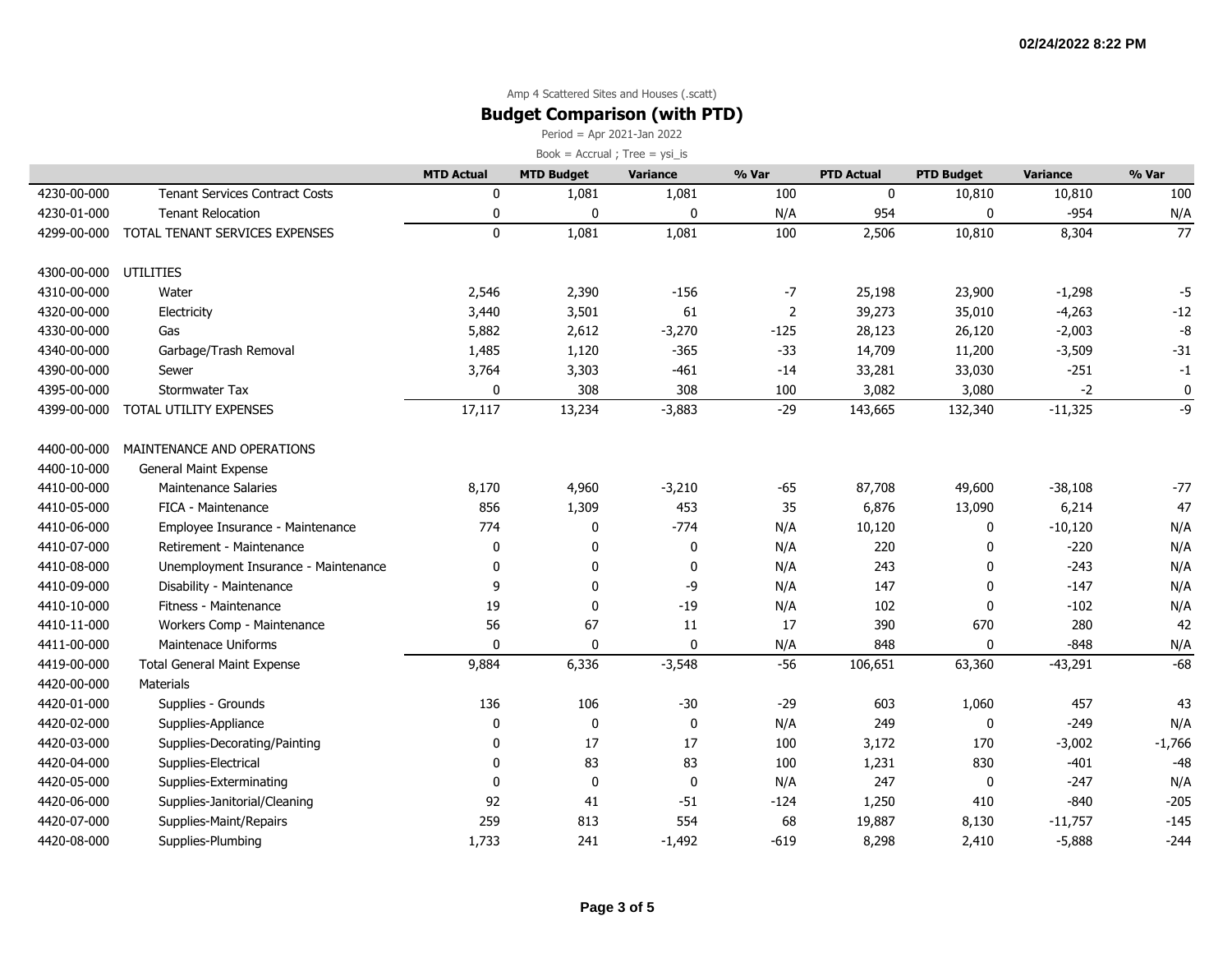### **Budget Comparison (with PTD)**

Period = Apr 2021-Jan 2022

|             |                                       | <b>MTD Actual</b> | <b>MTD Budget</b> | Variance  | % Var          | <b>PTD Actual</b> | <b>PTD Budget</b> | <b>Variance</b> | % Var    |
|-------------|---------------------------------------|-------------------|-------------------|-----------|----------------|-------------------|-------------------|-----------------|----------|
| 4230-00-000 | <b>Tenant Services Contract Costs</b> | 0                 | 1,081             | 1,081     | 100            | $\mathbf 0$       | 10,810            | 10,810          | 100      |
| 4230-01-000 | <b>Tenant Relocation</b>              | 0                 | $\mathbf 0$       | 0         | N/A            | 954               | $\mathbf{0}$      | $-954$          | N/A      |
| 4299-00-000 | TOTAL TENANT SERVICES EXPENSES        | $\mathbf 0$       | 1,081             | 1,081     | 100            | 2,506             | 10,810            | 8,304           | 77       |
|             |                                       |                   |                   |           |                |                   |                   |                 |          |
| 4300-00-000 | UTILITIES                             |                   |                   |           |                |                   |                   |                 |          |
| 4310-00-000 | Water                                 | 2,546             | 2,390             | $-156$    | -7             | 25,198            | 23,900            | $-1,298$        | $-5$     |
| 4320-00-000 | Electricity                           | 3,440             | 3,501             | 61        | $\overline{2}$ | 39,273            | 35,010            | $-4,263$        | $-12$    |
| 4330-00-000 | Gas                                   | 5,882             | 2,612             | $-3,270$  | $-125$         | 28,123            | 26,120            | $-2,003$        | -8       |
| 4340-00-000 | Garbage/Trash Removal                 | 1,485             | 1,120             | $-365$    | $-33$          | 14,709            | 11,200            | $-3,509$        | $-31$    |
| 4390-00-000 | Sewer                                 | 3,764             | 3,303             | $-461$    | $-14$          | 33,281            | 33,030            | $-251$          | $-1$     |
| 4395-00-000 | Stormwater Tax                        | 0                 | 308               | 308       | 100            | 3,082             | 3,080             | $-2$            | 0        |
| 4399-00-000 | TOTAL UTILITY EXPENSES                | 17,117            | 13,234            | $-3,883$  | $-29$          | 143,665           | 132,340           | $-11,325$       | -9       |
| 4400-00-000 | MAINTENANCE AND OPERATIONS            |                   |                   |           |                |                   |                   |                 |          |
| 4400-10-000 | General Maint Expense                 |                   |                   |           |                |                   |                   |                 |          |
| 4410-00-000 | <b>Maintenance Salaries</b>           | 8,170             | 4,960             | $-3,210$  | $-65$          | 87,708            | 49,600            | $-38,108$       | $-77$    |
| 4410-05-000 | FICA - Maintenance                    | 856               | 1,309             | 453       | 35             | 6,876             | 13,090            | 6,214           | 47       |
| 4410-06-000 | Employee Insurance - Maintenance      | 774               | 0                 | $-774$    | N/A            | 10,120            | 0                 | $-10,120$       | N/A      |
| 4410-07-000 | Retirement - Maintenance              | $\mathbf 0$       | 0                 | 0         | N/A            | 220               | $\mathbf 0$       | $-220$          | N/A      |
| 4410-08-000 | Unemployment Insurance - Maintenance  | $\mathbf 0$       | 0                 | 0         | N/A            | 243               | $\Omega$          | $-243$          | N/A      |
| 4410-09-000 | Disability - Maintenance              | 9                 | 0                 | -9        | N/A            | 147               | $\mathbf 0$       | $-147$          | N/A      |
| 4410-10-000 | Fitness - Maintenance                 | 19                | 0                 | $-19$     | N/A            | 102               | 0                 | $-102$          | N/A      |
| 4410-11-000 | Workers Comp - Maintenance            | 56                | 67                | $11\,$    | 17             | 390               | 670               | 280             | 42       |
| 4411-00-000 | Maintenace Uniforms                   | $\Omega$          | $\mathbf 0$       | 0         | N/A            | 848               | $\mathbf 0$       | -848            | N/A      |
| 4419-00-000 | <b>Total General Maint Expense</b>    | 9,884             | 6,336             | $-3,548$  | $-56$          | 106,651           | 63,360            | $-43,291$       | $-68$    |
| 4420-00-000 | Materials                             |                   |                   |           |                |                   |                   |                 |          |
| 4420-01-000 | Supplies - Grounds                    | 136               | 106               | $-30$     | $-29$          | 603               | 1,060             | 457             | 43       |
| 4420-02-000 | Supplies-Appliance                    | 0                 | $\boldsymbol{0}$  | 0         | N/A            | 249               | 0                 | $-249$          | N/A      |
| 4420-03-000 | Supplies-Decorating/Painting          | 0                 | 17                | 17        | 100            | 3,172             | 170               | $-3,002$        | $-1,766$ |
| 4420-04-000 | Supplies-Electrical                   | 0                 | 83                | 83        | 100            | 1,231             | 830               | $-401$          | $-48$    |
| 4420-05-000 | Supplies-Exterminating                | $\Omega$          | $\pmb{0}$         | $\pmb{0}$ | N/A            | 247               | $\mathbf 0$       | $-247$          | N/A      |
| 4420-06-000 | Supplies-Janitorial/Cleaning          | 92                | 41                | $-51$     | $-124$         | 1,250             | 410               | $-840$          | $-205$   |
| 4420-07-000 | Supplies-Maint/Repairs                | 259               | 813               | 554       | 68             | 19,887            | 8,130             | $-11,757$       | $-145$   |
| 4420-08-000 | Supplies-Plumbing                     | 1,733             | 241               | $-1,492$  | $-619$         | 8,298             | 2,410             | $-5,888$        | $-244$   |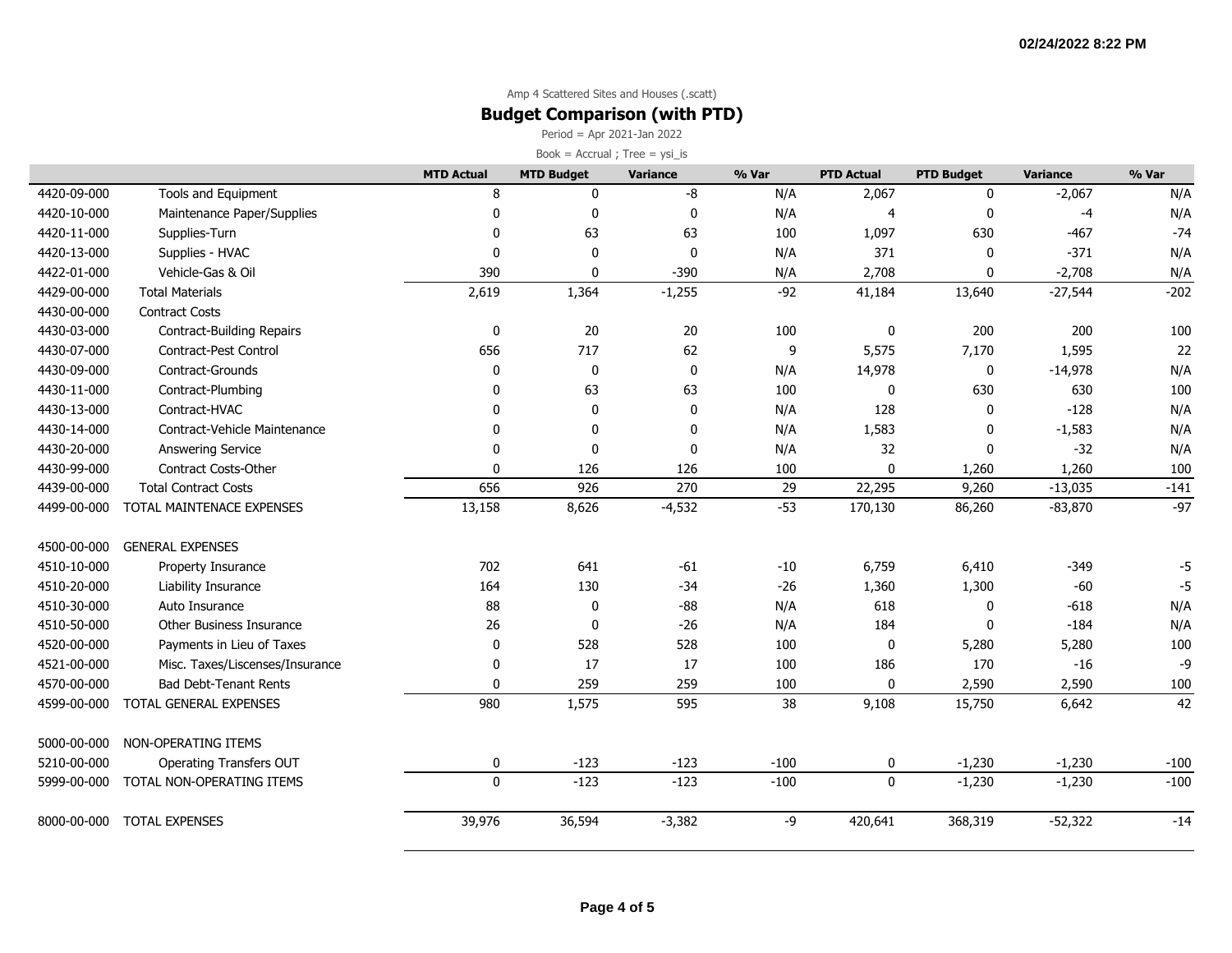### **Budget Comparison (with PTD)**

Period = Apr 2021-Jan 2022

|             |                                 | <b>MTD Actual</b> | <b>MTD Budget</b> | Variance | % Var  | <b>PTD Actual</b> | <b>PTD Budget</b> | <b>Variance</b> | % Var  |
|-------------|---------------------------------|-------------------|-------------------|----------|--------|-------------------|-------------------|-----------------|--------|
| 4420-09-000 | Tools and Equipment             | 8                 | $\mathbf 0$       | -8       | N/A    | 2,067             | $\mathbf{0}$      | $-2,067$        | N/A    |
| 4420-10-000 | Maintenance Paper/Supplies      | 0                 | 0                 | 0        | N/A    | 4                 | $\mathbf{0}$      | $-4$            | N/A    |
| 4420-11-000 | Supplies-Turn                   | $\Omega$          | 63                | 63       | 100    | 1,097             | 630               | $-467$          | $-74$  |
| 4420-13-000 | Supplies - HVAC                 | $\Omega$          | 0                 | 0        | N/A    | 371               | $\mathbf{0}$      | $-371$          | N/A    |
| 4422-01-000 | Vehicle-Gas & Oil               | 390               | $\mathbf 0$       | $-390$   | N/A    | 2,708             | $\mathbf 0$       | $-2,708$        | N/A    |
| 4429-00-000 | <b>Total Materials</b>          | 2,619             | 1,364             | $-1,255$ | $-92$  | 41,184            | 13,640            | $-27,544$       | $-202$ |
| 4430-00-000 | <b>Contract Costs</b>           |                   |                   |          |        |                   |                   |                 |        |
| 4430-03-000 | Contract-Building Repairs       | 0                 | 20                | $20\,$   | 100    | 0                 | 200               | 200             | 100    |
| 4430-07-000 | Contract-Pest Control           | 656               | 717               | 62       | 9      | 5,575             | 7,170             | 1,595           | 22     |
| 4430-09-000 | Contract-Grounds                | $\mathbf{0}$      | $\pmb{0}$         | 0        | N/A    | 14,978            | $\mathbf 0$       | $-14,978$       | N/A    |
| 4430-11-000 | Contract-Plumbing               | 0                 | 63                | 63       | 100    | 0                 | 630               | 630             | 100    |
| 4430-13-000 | Contract-HVAC                   | $\Omega$          | 0                 | 0        | N/A    | 128               | 0                 | $-128$          | N/A    |
| 4430-14-000 | Contract-Vehicle Maintenance    | $\Omega$          | 0                 | 0        | N/A    | 1,583             | 0                 | $-1,583$        | N/A    |
| 4430-20-000 | <b>Answering Service</b>        | $\Omega$          | 0                 | 0        | N/A    | 32                | $\mathbf{0}$      | $-32$           | N/A    |
| 4430-99-000 | <b>Contract Costs-Other</b>     | $\mathbf{0}$      | 126               | 126      | 100    | 0                 | 1,260             | 1,260           | 100    |
| 4439-00-000 | <b>Total Contract Costs</b>     | 656               | 926               | 270      | 29     | 22,295            | 9,260             | $-13,035$       | $-141$ |
| 4499-00-000 | TOTAL MAINTENACE EXPENSES       | 13,158            | 8,626             | $-4,532$ | $-53$  | 170,130           | 86,260            | $-83,870$       | $-97$  |
| 4500-00-000 | <b>GENERAL EXPENSES</b>         |                   |                   |          |        |                   |                   |                 |        |
| 4510-10-000 | Property Insurance              | 702               | 641               | $-61$    | $-10$  | 6,759             | 6,410             | $-349$          | -5     |
| 4510-20-000 | Liability Insurance             | 164               | 130               | $-34$    | $-26$  | 1,360             | 1,300             | $-60$           | $-5$   |
| 4510-30-000 | Auto Insurance                  | 88                | 0                 | $-88$    | N/A    | 618               | 0                 | $-618$          | N/A    |
| 4510-50-000 | Other Business Insurance        | 26                | 0                 | $-26$    | N/A    | 184               | $\Omega$          | $-184$          | N/A    |
| 4520-00-000 | Payments in Lieu of Taxes       | 0                 | 528               | 528      | 100    | 0                 | 5,280             | 5,280           | 100    |
| 4521-00-000 | Misc. Taxes/Liscenses/Insurance | 0                 | 17                | 17       | 100    | 186               | 170               | $-16$           | -9     |
| 4570-00-000 | <b>Bad Debt-Tenant Rents</b>    | $\mathbf{0}$      | 259               | 259      | 100    | $\Omega$          | 2,590             | 2,590           | 100    |
| 4599-00-000 | TOTAL GENERAL EXPENSES          | 980               | 1,575             | 595      | 38     | 9,108             | 15,750            | 6,642           | 42     |
| 5000-00-000 | NON-OPERATING ITEMS             |                   |                   |          |        |                   |                   |                 |        |
| 5210-00-000 | Operating Transfers OUT         | 0                 | $-123$            | $-123$   | $-100$ | 0                 | $-1,230$          | $-1,230$        | $-100$ |
| 5999-00-000 | TOTAL NON-OPERATING ITEMS       | $\Omega$          | $-123$            | $-123$   | $-100$ | $\mathbf 0$       | $-1,230$          | $-1,230$        | $-100$ |
| 8000-00-000 | <b>TOTAL EXPENSES</b>           | 39,976            | 36,594            | $-3,382$ | $-9$   | 420,641           | 368,319           | $-52,322$       | $-14$  |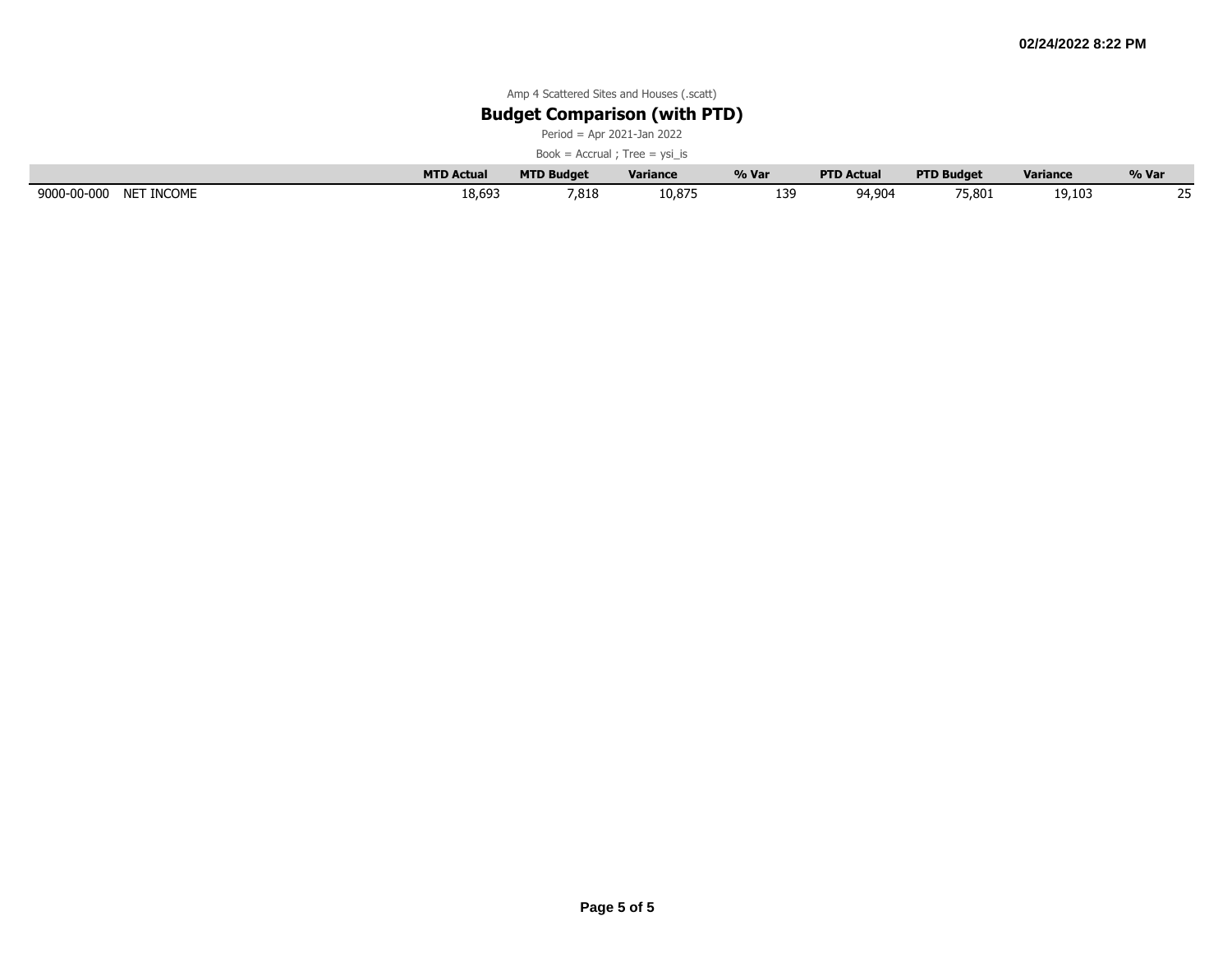### **Budget Comparison (with PTD)**

Period = Apr 2021-Jan 2022

|                           | <b>MTD Actual</b> | <b>MTD Budget</b> | <b>Variance</b> | % Var     | <b>PTD Actual</b> | <b>PTD Budget</b> | <b>Variance</b> | % Var      |
|---------------------------|-------------------|-------------------|-----------------|-----------|-------------------|-------------------|-----------------|------------|
| 9000-00-000<br>NET INCOME | 18,693            | 7,818             | 10,875          | 134<br>∸– | 94,904            | 75,801            | 19,103          | $\sim$ $-$ |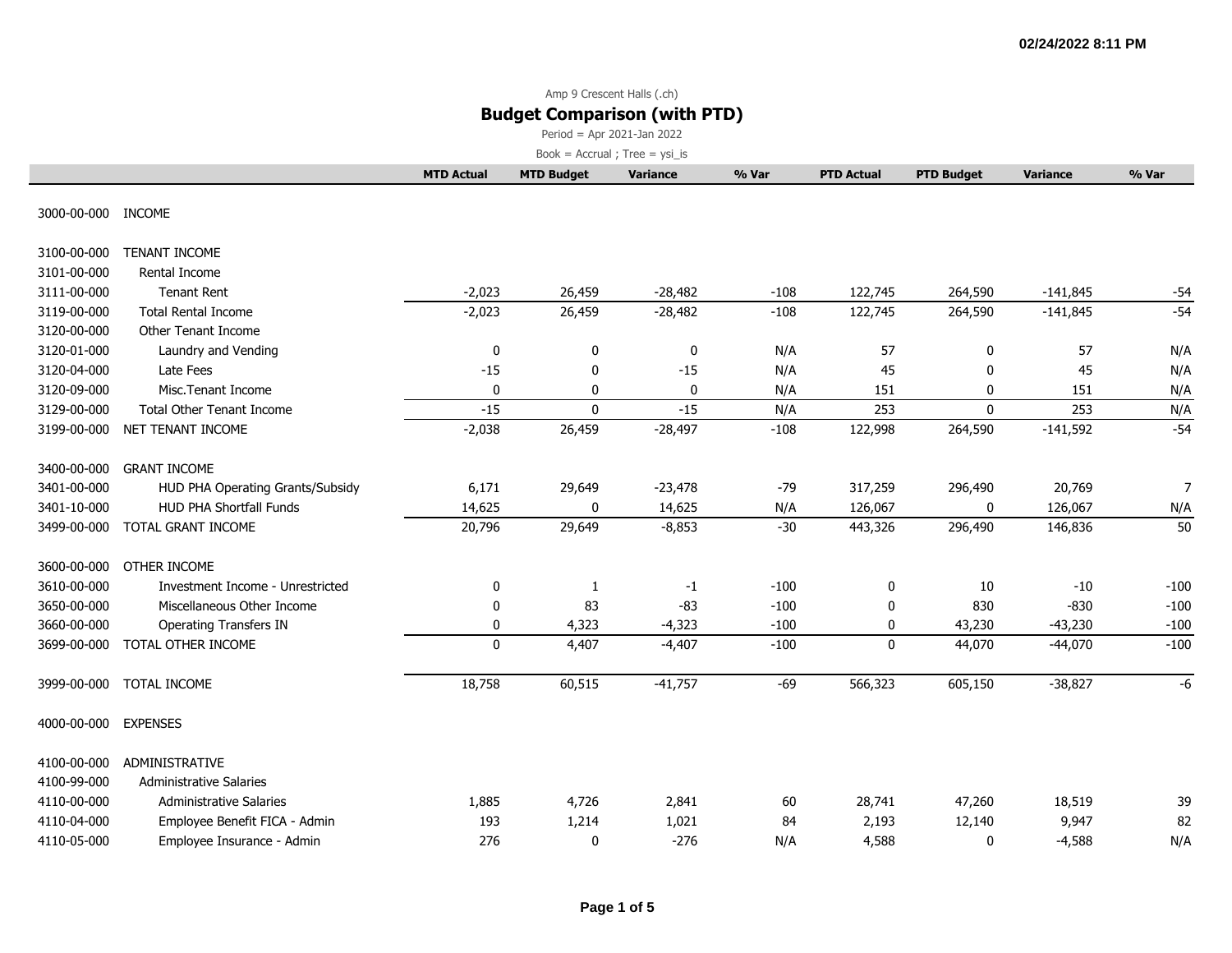# Amp 9 Crescent Halls (.ch)

# **Budget Comparison (with PTD)**

Period = Apr 2021-Jan 2022

|                    |                                  | <b>MTD Actual</b> | <b>MTD Budget</b> | <b>Variance</b> | % Var  | <b>PTD Actual</b> | <b>PTD Budget</b> | <b>Variance</b> | % Var          |
|--------------------|----------------------------------|-------------------|-------------------|-----------------|--------|-------------------|-------------------|-----------------|----------------|
| 3000-00-000 INCOME |                                  |                   |                   |                 |        |                   |                   |                 |                |
| 3100-00-000        | TENANT INCOME                    |                   |                   |                 |        |                   |                   |                 |                |
| 3101-00-000        | Rental Income                    |                   |                   |                 |        |                   |                   |                 |                |
| 3111-00-000        | <b>Tenant Rent</b>               | $-2,023$          | 26,459            | $-28,482$       | $-108$ | 122,745           | 264,590           | $-141,845$      | $-54$          |
| 3119-00-000        | <b>Total Rental Income</b>       | $-2,023$          | 26,459            | $-28,482$       | $-108$ | 122,745           | 264,590           | $-141,845$      | $-54$          |
| 3120-00-000        | <b>Other Tenant Income</b>       |                   |                   |                 |        |                   |                   |                 |                |
| 3120-01-000        | Laundry and Vending              | 0                 | 0                 | 0               | N/A    | 57                | $\mathbf 0$       | 57              | N/A            |
| 3120-04-000        | Late Fees                        | $-15$             | 0                 | $-15$           | N/A    | 45                | $\mathbf{0}$      | 45              | N/A            |
| 3120-09-000        | Misc. Tenant Income              | 0                 | 0                 | 0               | N/A    | 151               | 0                 | 151             | N/A            |
| 3129-00-000        | <b>Total Other Tenant Income</b> | $-15$             | $\mathbf 0$       | $-15$           | N/A    | 253               | $\mathbf 0$       | 253             | N/A            |
| 3199-00-000        | NET TENANT INCOME                | $-2,038$          | 26,459            | $-28,497$       | $-108$ | 122,998           | 264,590           | $-141,592$      | $-54$          |
| 3400-00-000        | <b>GRANT INCOME</b>              |                   |                   |                 |        |                   |                   |                 |                |
| 3401-00-000        | HUD PHA Operating Grants/Subsidy | 6,171             | 29,649            | $-23,478$       | $-79$  | 317,259           | 296,490           | 20,769          | $\overline{7}$ |
| 3401-10-000        | HUD PHA Shortfall Funds          | 14,625            | 0                 | 14,625          | N/A    | 126,067           | 0                 | 126,067         | N/A            |
| 3499-00-000        | TOTAL GRANT INCOME               | 20,796            | 29,649            | $-8,853$        | $-30$  | 443,326           | 296,490           | 146,836         | 50             |
| 3600-00-000        | OTHER INCOME                     |                   |                   |                 |        |                   |                   |                 |                |
| 3610-00-000        | Investment Income - Unrestricted | 0                 | 1                 | $-1$            | $-100$ | 0                 | 10                | $-10$           | $-100$         |
| 3650-00-000        | Miscellaneous Other Income       | 0                 | 83                | $-83$           | $-100$ | 0                 | 830               | $-830$          | $-100$         |
| 3660-00-000        | <b>Operating Transfers IN</b>    | 0                 | 4,323             | $-4,323$        | $-100$ | 0                 | 43,230            | $-43,230$       | $-100$         |
| 3699-00-000        | TOTAL OTHER INCOME               | $\mathbf 0$       | 4,407             | $-4,407$        | $-100$ | $\mathbf 0$       | 44,070            | $-44,070$       | $-100$         |
| 3999-00-000        | TOTAL INCOME                     | 18,758            | 60,515            | $-41,757$       | $-69$  | 566,323           | 605,150           | $-38,827$       | -6             |
| 4000-00-000        | <b>EXPENSES</b>                  |                   |                   |                 |        |                   |                   |                 |                |
| 4100-00-000        | ADMINISTRATIVE                   |                   |                   |                 |        |                   |                   |                 |                |
| 4100-99-000        | <b>Administrative Salaries</b>   |                   |                   |                 |        |                   |                   |                 |                |
| 4110-00-000        | <b>Administrative Salaries</b>   | 1,885             | 4,726             | 2,841           | 60     | 28,741            | 47,260            | 18,519          | 39             |
| 4110-04-000        | Employee Benefit FICA - Admin    | 193               | 1,214             | 1,021           | 84     | 2,193             | 12,140            | 9,947           | 82             |
| 4110-05-000        | Employee Insurance - Admin       | 276               | 0                 | $-276$          | N/A    | 4,588             | 0                 | $-4,588$        | N/A            |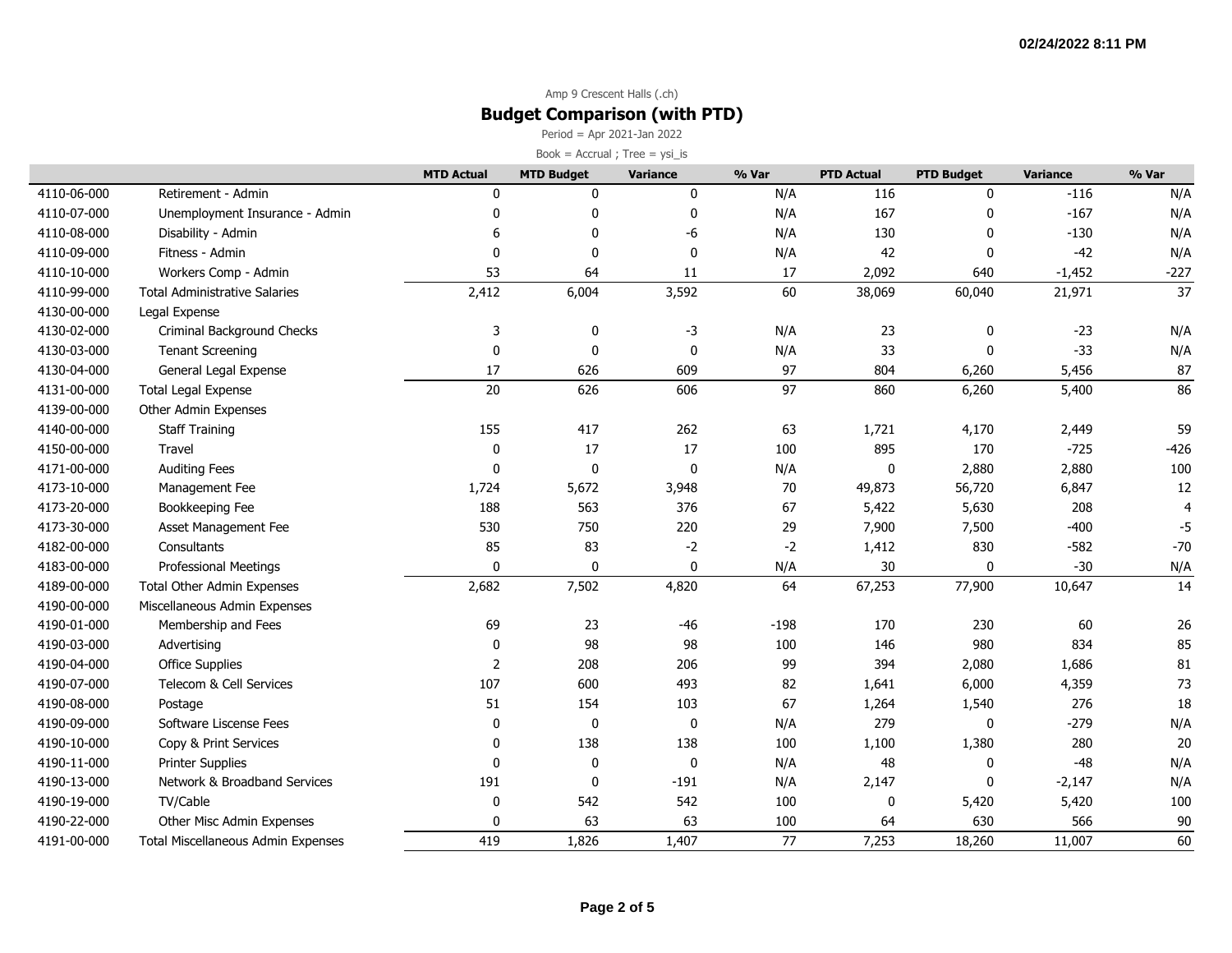# Amp 9 Crescent Halls (.ch) **Budget Comparison (with PTD)**

Period = Apr 2021-Jan 2022

| Book = $Accrual$ ; Tree = $ysi_is$ |  |
|------------------------------------|--|
|------------------------------------|--|

|             |                                      | <b>MTD Actual</b> | <b>MTD Budget</b> | <b>Variance</b> | % Var  | <b>PTD Actual</b> | <b>PTD Budget</b> | Variance | % Var  |
|-------------|--------------------------------------|-------------------|-------------------|-----------------|--------|-------------------|-------------------|----------|--------|
| 4110-06-000 | Retirement - Admin                   |                   | 0                 | 0               | N/A    | 116               | 0                 | $-116$   | N/A    |
| 4110-07-000 | Unemployment Insurance - Admin       | ŋ                 | 0                 | 0               | N/A    | 167               | $\mathbf{0}$      | $-167$   | N/A    |
| 4110-08-000 | Disability - Admin                   |                   | $\mathbf{0}$      | -6              | N/A    | 130               | $\mathbf{0}$      | $-130$   | N/A    |
| 4110-09-000 | Fitness - Admin                      | $\Omega$          | $\mathbf 0$       | $\mathbf 0$     | N/A    | 42                | $\mathbf{0}$      | $-42$    | N/A    |
| 4110-10-000 | Workers Comp - Admin                 | 53                | 64                | 11              | 17     | 2,092             | 640               | $-1,452$ | $-227$ |
| 4110-99-000 | <b>Total Administrative Salaries</b> | 2,412             | 6,004             | 3,592           | 60     | 38,069            | 60,040            | 21,971   | 37     |
| 4130-00-000 | Legal Expense                        |                   |                   |                 |        |                   |                   |          |        |
| 4130-02-000 | Criminal Background Checks           | 3                 | 0                 | -3              | N/A    | 23                | 0                 | $-23$    | N/A    |
| 4130-03-000 | <b>Tenant Screening</b>              | $\mathbf 0$       | 0                 | 0               | N/A    | 33                | 0                 | $-33$    | N/A    |
| 4130-04-000 | General Legal Expense                | 17                | 626               | 609             | 97     | 804               | 6,260             | 5,456    | 87     |
| 4131-00-000 | <b>Total Legal Expense</b>           | 20                | 626               | 606             | 97     | 860               | 6,260             | 5,400    | 86     |
| 4139-00-000 | Other Admin Expenses                 |                   |                   |                 |        |                   |                   |          |        |
| 4140-00-000 | <b>Staff Training</b>                | 155               | 417               | 262             | 63     | 1,721             | 4,170             | 2,449    | 59     |
| 4150-00-000 | Travel                               | 0                 | 17                | 17              | 100    | 895               | 170               | $-725$   | $-426$ |
| 4171-00-000 | <b>Auditing Fees</b>                 | $\mathbf{0}$      | 0                 | $\mathbf 0$     | N/A    | $\pmb{0}$         | 2,880             | 2,880    | 100    |
| 4173-10-000 | Management Fee                       | 1,724             | 5,672             | 3,948           | 70     | 49,873            | 56,720            | 6,847    | 12     |
| 4173-20-000 | Bookkeeping Fee                      | 188               | 563               | 376             | 67     | 5,422             | 5,630             | 208      |        |
| 4173-30-000 | Asset Management Fee                 | 530               | 750               | 220             | 29     | 7,900             | 7,500             | $-400$   | -5     |
| 4182-00-000 | Consultants                          | 85                | 83                | $-2$            | $-2$   | 1,412             | 830               | $-582$   | $-70$  |
| 4183-00-000 | <b>Professional Meetings</b>         | $\mathbf{0}$      | $\mathbf 0$       | $\mathbf 0$     | N/A    | 30                | $\mathbf{0}$      | $-30$    | N/A    |
| 4189-00-000 | <b>Total Other Admin Expenses</b>    | 2,682             | 7,502             | 4,820           | 64     | 67,253            | 77,900            | 10,647   | 14     |
| 4190-00-000 | Miscellaneous Admin Expenses         |                   |                   |                 |        |                   |                   |          |        |
| 4190-01-000 | Membership and Fees                  | 69                | 23                | $-46$           | $-198$ | 170               | 230               | 60       | 26     |
| 4190-03-000 | Advertising                          | $\mathbf 0$       | 98                | 98              | 100    | 146               | 980               | 834      | 85     |
| 4190-04-000 | Office Supplies                      | $\overline{2}$    | 208               | 206             | 99     | 394               | 2,080             | 1,686    | 81     |
| 4190-07-000 | Telecom & Cell Services              | 107               | 600               | 493             | 82     | 1,641             | 6,000             | 4,359    | 73     |
| 4190-08-000 | Postage                              | 51                | 154               | 103             | 67     | 1,264             | 1,540             | 276      | 18     |
| 4190-09-000 | Software Liscense Fees               | $\Omega$          | 0                 | 0               | N/A    | 279               | $\mathbf{0}$      | $-279$   | N/A    |
| 4190-10-000 | Copy & Print Services                | 0                 | 138               | 138             | 100    | 1,100             | 1,380             | 280      | 20     |
| 4190-11-000 | <b>Printer Supplies</b>              | $\mathbf{0}$      | 0                 | $\pmb{0}$       | N/A    | 48                | 0                 | $-48$    | N/A    |
| 4190-13-000 | Network & Broadband Services         | 191               | 0                 | $-191$          | N/A    | 2,147             | $\mathbf{0}$      | $-2,147$ | N/A    |
| 4190-19-000 | TV/Cable                             | $\mathbf 0$       | 542               | 542             | 100    | 0                 | 5,420             | 5,420    | 100    |
| 4190-22-000 | Other Misc Admin Expenses            | n                 | 63                | 63              | 100    | 64                | 630               | 566      | 90     |
| 4191-00-000 | Total Miscellaneous Admin Expenses   | 419               | 1,826             | 1,407           | 77     | 7,253             | 18,260            | 11,007   | 60     |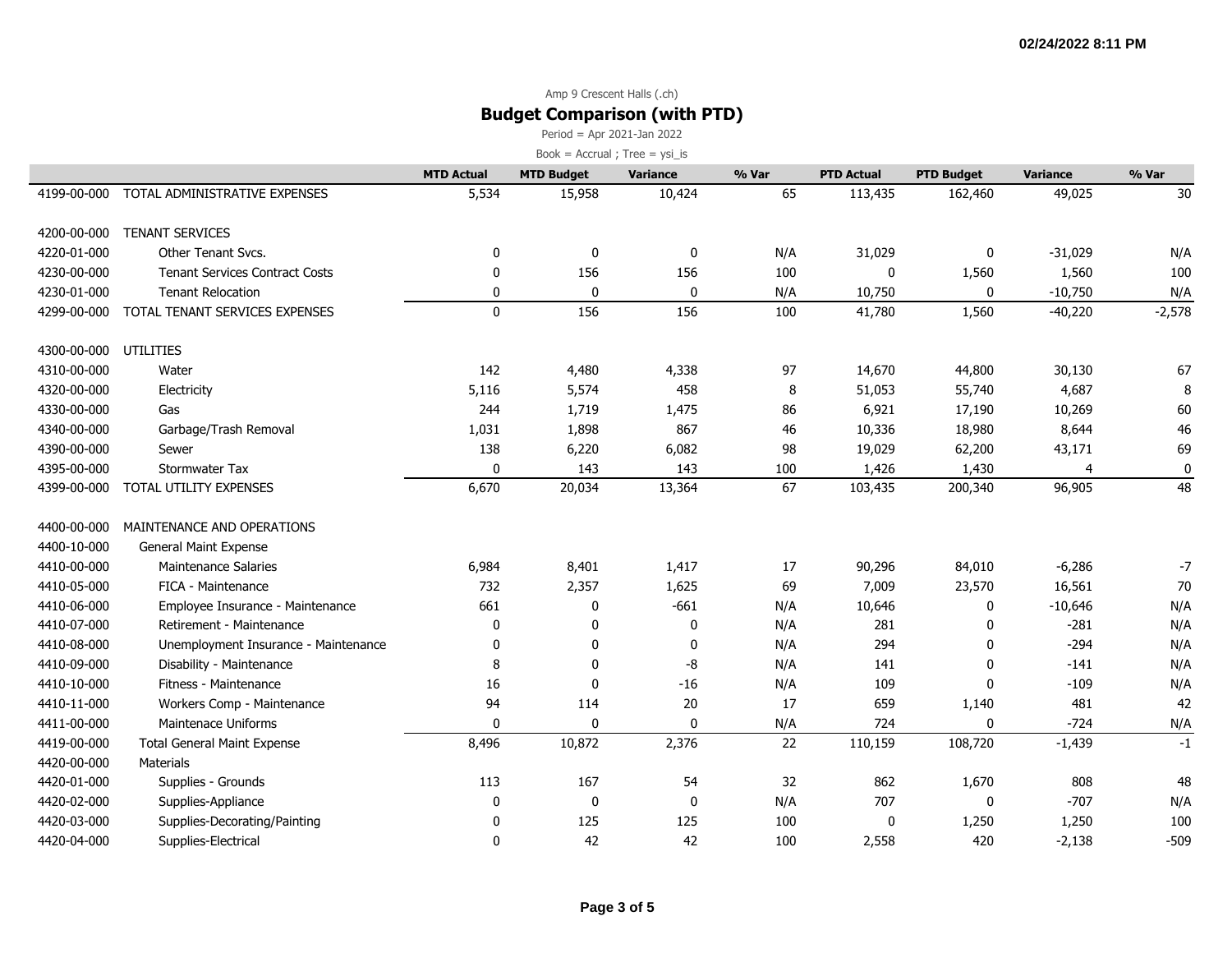### Amp 9 Crescent Halls (.ch) **Budget Comparison (with PTD)**

Period = Apr 2021-Jan 2022

|             |                                       | <b>MTD Actual</b> | <b>MTD Budget</b> | <b>Variance</b> | % Var | <b>PTD Actual</b> | <b>PTD Budget</b> | <b>Variance</b> | % Var    |
|-------------|---------------------------------------|-------------------|-------------------|-----------------|-------|-------------------|-------------------|-----------------|----------|
| 4199-00-000 | TOTAL ADMINISTRATIVE EXPENSES         | 5,534             | 15,958            | 10,424          | 65    | 113,435           | 162,460           | 49,025          | 30       |
| 4200-00-000 | <b>TENANT SERVICES</b>                |                   |                   |                 |       |                   |                   |                 |          |
| 4220-01-000 | Other Tenant Svcs.                    | 0                 | 0                 | 0               | N/A   | 31,029            | $\mathbf{0}$      | $-31,029$       | N/A      |
| 4230-00-000 | <b>Tenant Services Contract Costs</b> | $\Omega$          | 156               | 156             | 100   | 0                 | 1,560             | 1,560           | 100      |
| 4230-01-000 | <b>Tenant Relocation</b>              | 0                 | 0                 | 0               | N/A   | 10,750            | 0                 | $-10,750$       | N/A      |
| 4299-00-000 | TOTAL TENANT SERVICES EXPENSES        | $\mathbf 0$       | 156               | 156             | 100   | 41,780            | 1,560             | $-40,220$       | $-2,578$ |
| 4300-00-000 | UTILITIES                             |                   |                   |                 |       |                   |                   |                 |          |
| 4310-00-000 | Water                                 | 142               | 4,480             | 4,338           | 97    | 14,670            | 44,800            | 30,130          | 67       |
| 4320-00-000 | Electricity                           | 5,116             | 5,574             | 458             | 8     | 51,053            | 55,740            | 4,687           | 8        |
| 4330-00-000 | Gas                                   | 244               | 1,719             | 1,475           | 86    | 6,921             | 17,190            | 10,269          | 60       |
| 4340-00-000 | Garbage/Trash Removal                 | 1,031             | 1,898             | 867             | 46    | 10,336            | 18,980            | 8,644           | 46       |
| 4390-00-000 | Sewer                                 | 138               | 6,220             | 6,082           | 98    | 19,029            | 62,200            | 43,171          | 69       |
| 4395-00-000 | <b>Stormwater Tax</b>                 | 0                 | 143               | 143             | 100   | 1,426             | 1,430             |                 | 0        |
| 4399-00-000 | TOTAL UTILITY EXPENSES                | 6,670             | 20,034            | 13,364          | 67    | 103,435           | 200,340           | 96,905          | 48       |
| 4400-00-000 | MAINTENANCE AND OPERATIONS            |                   |                   |                 |       |                   |                   |                 |          |
| 4400-10-000 | <b>General Maint Expense</b>          |                   |                   |                 |       |                   |                   |                 |          |
| 4410-00-000 | <b>Maintenance Salaries</b>           | 6,984             | 8,401             | 1,417           | 17    | 90,296            | 84,010            | $-6,286$        | $-7$     |
| 4410-05-000 | FICA - Maintenance                    | 732               | 2,357             | 1,625           | 69    | 7,009             | 23,570            | 16,561          | $70\,$   |
| 4410-06-000 | Employee Insurance - Maintenance      | 661               | 0                 | $-661$          | N/A   | 10,646            | 0                 | $-10,646$       | N/A      |
| 4410-07-000 | Retirement - Maintenance              | 0                 | 0                 | 0               | N/A   | 281               | 0                 | $-281$          | N/A      |
| 4410-08-000 | Unemployment Insurance - Maintenance  | $\mathbf 0$       | 0                 | 0               | N/A   | 294               | 0                 | $-294$          | N/A      |
| 4410-09-000 | Disability - Maintenance              | 8                 | 0                 | -8              | N/A   | 141               | $\Omega$          | $-141$          | N/A      |
| 4410-10-000 | Fitness - Maintenance                 | 16                | $\mathbf{0}$      | $-16$           | N/A   | 109               | $\Omega$          | $-109$          | N/A      |
| 4410-11-000 | Workers Comp - Maintenance            | 94                | 114               | $20\,$          | 17    | 659               | 1,140             | 481             | 42       |
| 4411-00-000 | <b>Maintenace Uniforms</b>            | $\mathbf{0}$      | 0                 | $\mathbf{0}$    | N/A   | 724               | $\Omega$          | $-724$          | N/A      |
| 4419-00-000 | <b>Total General Maint Expense</b>    | 8,496             | 10,872            | 2,376           | 22    | 110,159           | 108,720           | $-1,439$        | $-1$     |
| 4420-00-000 | <b>Materials</b>                      |                   |                   |                 |       |                   |                   |                 |          |
| 4420-01-000 | Supplies - Grounds                    | 113               | 167               | 54              | 32    | 862               | 1,670             | 808             | 48       |
| 4420-02-000 | Supplies-Appliance                    | $\mathbf 0$       | 0                 | 0               | N/A   | 707               | 0                 | $-707$          | N/A      |
| 4420-03-000 | Supplies-Decorating/Painting          | 0                 | 125               | 125             | 100   | 0                 | 1,250             | 1,250           | 100      |
| 4420-04-000 | Supplies-Electrical                   | 0                 | 42                | 42              | 100   | 2,558             | 420               | $-2,138$        | $-509$   |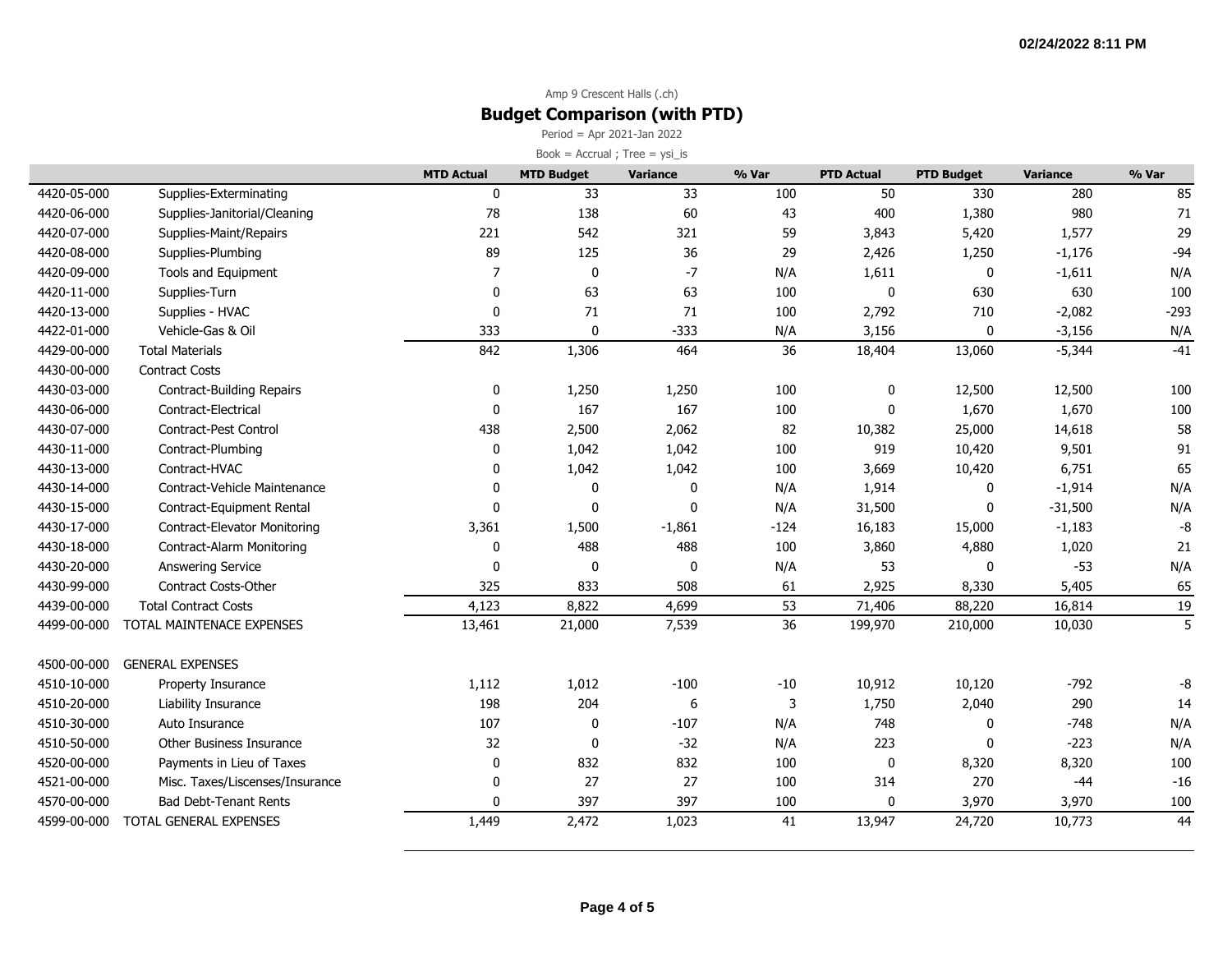### Amp 9 Crescent Halls (.ch) **Budget Comparison (with PTD)**

Period = Apr 2021-Jan 2022  $Book = Accrual ; Tree = ysi_is$ 

|             |                                  | <b>MTD Actual</b> | <b>MTD Budget</b> | <b>Variance</b> | % Var  | <b>PTD Actual</b> | <b>PTD Budget</b> | <b>Variance</b> | % Var  |
|-------------|----------------------------------|-------------------|-------------------|-----------------|--------|-------------------|-------------------|-----------------|--------|
| 4420-05-000 | Supplies-Exterminating           | $\mathbf{0}$      | 33                | 33              | 100    | 50                | 330               | 280             | 85     |
| 4420-06-000 | Supplies-Janitorial/Cleaning     | 78                | 138               | 60              | 43     | 400               | 1,380             | 980             | 71     |
| 4420-07-000 | Supplies-Maint/Repairs           | 221               | 542               | 321             | 59     | 3,843             | 5,420             | 1,577           | 29     |
| 4420-08-000 | Supplies-Plumbing                | 89                | 125               | 36              | 29     | 2,426             | 1,250             | $-1,176$        | $-94$  |
| 4420-09-000 | Tools and Equipment              | 7                 | $\pmb{0}$         | $-7$            | N/A    | 1,611             | $\mathbf 0$       | $-1,611$        | N/A    |
| 4420-11-000 | Supplies-Turn                    | $\mathbf 0$       | 63                | 63              | 100    | 0                 | 630               | 630             | 100    |
| 4420-13-000 | Supplies - HVAC                  | 0                 | 71                | $71\,$          | 100    | 2,792             | 710               | $-2,082$        | $-293$ |
| 4422-01-000 | Vehicle-Gas & Oil                | 333               | $\mathbf 0$       | $-333$          | N/A    | 3,156             | 0                 | $-3,156$        | N/A    |
| 4429-00-000 | <b>Total Materials</b>           | 842               | 1,306             | 464             | 36     | 18,404            | 13,060            | $-5,344$        | $-41$  |
| 4430-00-000 | <b>Contract Costs</b>            |                   |                   |                 |        |                   |                   |                 |        |
| 4430-03-000 | <b>Contract-Building Repairs</b> | 0                 | 1,250             | 1,250           | 100    | 0                 | 12,500            | 12,500          | 100    |
| 4430-06-000 | Contract-Electrical              | $\mathbf{0}$      | 167               | 167             | 100    | 0                 | 1,670             | 1,670           | 100    |
| 4430-07-000 | Contract-Pest Control            | 438               | 2,500             | 2,062           | 82     | 10,382            | 25,000            | 14,618          | 58     |
| 4430-11-000 | Contract-Plumbing                | 0                 | 1,042             | 1,042           | 100    | 919               | 10,420            | 9,501           | 91     |
| 4430-13-000 | Contract-HVAC                    | $\mathbf 0$       | 1,042             | 1,042           | 100    | 3,669             | 10,420            | 6,751           | 65     |
| 4430-14-000 | Contract-Vehicle Maintenance     | $\mathbf{0}$      | 0                 | 0               | N/A    | 1,914             | 0                 | $-1,914$        | N/A    |
| 4430-15-000 | Contract-Equipment Rental        | $\mathbf{0}$      | $\mathbf 0$       | 0               | N/A    | 31,500            | 0                 | $-31,500$       | N/A    |
| 4430-17-000 | Contract-Elevator Monitoring     | 3,361             | 1,500             | $-1,861$        | $-124$ | 16,183            | 15,000            | $-1,183$        | -8     |
| 4430-18-000 | Contract-Alarm Monitoring        | 0                 | 488               | 488             | 100    | 3,860             | 4,880             | 1,020           | 21     |
| 4430-20-000 | Answering Service                | $\mathbf{0}$      | 0                 | 0               | N/A    | 53                | 0                 | $-53$           | N/A    |
| 4430-99-000 | <b>Contract Costs-Other</b>      | 325               | 833               | 508             | 61     | 2,925             | 8,330             | 5,405           | 65     |
| 4439-00-000 | <b>Total Contract Costs</b>      | 4,123             | 8,822             | 4,699           | 53     | 71,406            | 88,220            | 16,814          | 19     |
| 4499-00-000 | TOTAL MAINTENACE EXPENSES        | 13,461            | 21,000            | 7,539           | 36     | 199,970           | 210,000           | 10,030          | 5      |
| 4500-00-000 | <b>GENERAL EXPENSES</b>          |                   |                   |                 |        |                   |                   |                 |        |
| 4510-10-000 | Property Insurance               | 1,112             | 1,012             | $-100$          | $-10$  | 10,912            | 10,120            | $-792$          | -8     |
| 4510-20-000 | <b>Liability Insurance</b>       | 198               | 204               | 6               | 3      | 1,750             | 2,040             | 290             | 14     |
| 4510-30-000 | Auto Insurance                   | 107               | 0                 | $-107$          | N/A    | 748               | $\mathbf 0$       | $-748$          | N/A    |
| 4510-50-000 | Other Business Insurance         | 32                | 0                 | $-32$           | N/A    | 223               | 0                 | $-223$          | N/A    |
| 4520-00-000 | Payments in Lieu of Taxes        | $\mathbf 0$       | 832               | 832             | 100    | 0                 | 8,320             | 8,320           | 100    |
| 4521-00-000 | Misc. Taxes/Liscenses/Insurance  | $\mathbf 0$       | 27                | 27              | 100    | 314               | 270               | $-44$           | $-16$  |
| 4570-00-000 | <b>Bad Debt-Tenant Rents</b>     | $\mathbf{0}$      | 397               | 397             | 100    | 0                 | 3,970             | 3,970           | 100    |
| 4599-00-000 | TOTAL GENERAL EXPENSES           | 1,449             | 2,472             | 1,023           | 41     | 13,947            | 24,720            | 10,773          | 44     |